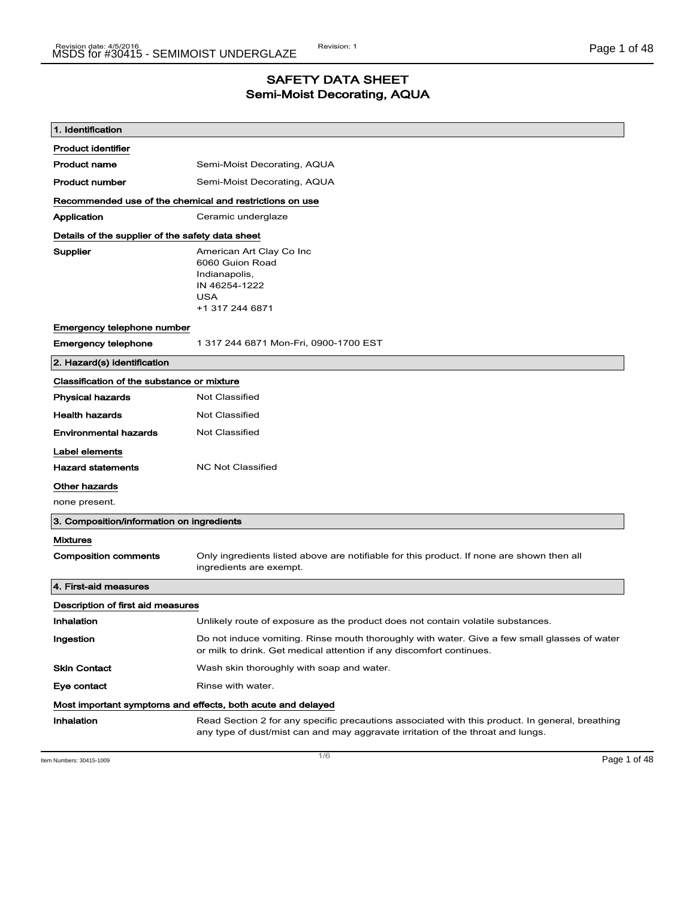### SAFETY DATA SHEET Semi-Moist Decorating, AQUA

| 1. Identification                                       |                                                                                                                                                                                    |  |
|---------------------------------------------------------|------------------------------------------------------------------------------------------------------------------------------------------------------------------------------------|--|
| <b>Product identifier</b>                               |                                                                                                                                                                                    |  |
| <b>Product name</b>                                     | Semi-Moist Decorating, AQUA                                                                                                                                                        |  |
| <b>Product number</b>                                   | Semi-Moist Decorating, AQUA                                                                                                                                                        |  |
| Recommended use of the chemical and restrictions on use |                                                                                                                                                                                    |  |
| Application                                             | Ceramic underglaze                                                                                                                                                                 |  |
| Details of the supplier of the safety data sheet        |                                                                                                                                                                                    |  |
| Supplier                                                | American Art Clay Co Inc<br>6060 Guion Road<br>Indianapolis,<br>IN 46254-1222<br><b>USA</b><br>+1 317 244 6871                                                                     |  |
| Emergency telephone number                              |                                                                                                                                                                                    |  |
| <b>Emergency telephone</b>                              | 1 317 244 6871 Mon-Fri, 0900-1700 EST                                                                                                                                              |  |
| 2. Hazard(s) identification                             |                                                                                                                                                                                    |  |
| Classification of the substance or mixture              |                                                                                                                                                                                    |  |
| <b>Physical hazards</b>                                 | <b>Not Classified</b>                                                                                                                                                              |  |
| <b>Health hazards</b>                                   | <b>Not Classified</b>                                                                                                                                                              |  |
| <b>Environmental hazards</b>                            | <b>Not Classified</b>                                                                                                                                                              |  |
| Label elements                                          |                                                                                                                                                                                    |  |
| <b>Hazard statements</b>                                | <b>NC Not Classified</b>                                                                                                                                                           |  |
| Other hazards                                           |                                                                                                                                                                                    |  |
| none present.                                           |                                                                                                                                                                                    |  |
| 3. Composition/information on ingredients               |                                                                                                                                                                                    |  |
| <b>Mixtures</b>                                         |                                                                                                                                                                                    |  |
| <b>Composition comments</b>                             | Only ingredients listed above are notifiable for this product. If none are shown then all<br>ingredients are exempt.                                                               |  |
| 4. First-aid measures                                   |                                                                                                                                                                                    |  |
| Description of first aid measures                       |                                                                                                                                                                                    |  |
| Inhalation                                              | Unlikely route of exposure as the product does not contain volatile substances.                                                                                                    |  |
| Ingestion                                               | Do not induce vomiting. Rinse mouth thoroughly with water. Give a few small glasses of water<br>or milk to drink. Get medical attention if any discomfort continues.               |  |
| <b>Skin Contact</b>                                     | Wash skin thoroughly with soap and water.                                                                                                                                          |  |
| Eye contact                                             | Rinse with water.                                                                                                                                                                  |  |
|                                                         | Most important symptoms and effects, both acute and delayed                                                                                                                        |  |
| Inhalation                                              | Read Section 2 for any specific precautions associated with this product. In general, breathing<br>any type of dust/mist can and may aggravate irritation of the throat and lungs. |  |

Item Numbers: 30415-1009 Page 1 of 48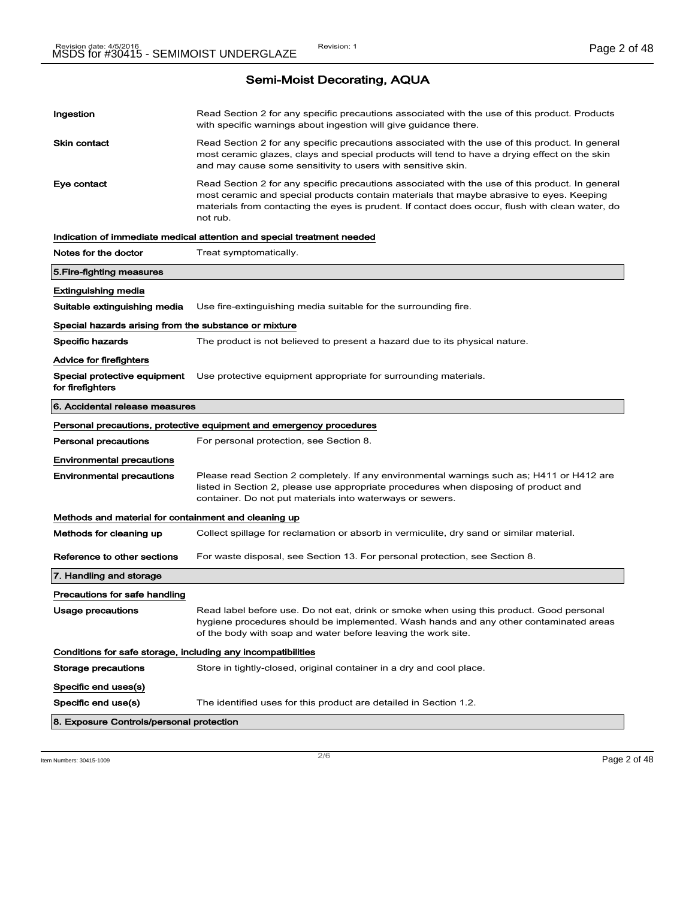| Ingestion                                                    | Read Section 2 for any specific precautions associated with the use of this product. Products<br>with specific warnings about ingestion will give guidance there.                                                                                                                                           |
|--------------------------------------------------------------|-------------------------------------------------------------------------------------------------------------------------------------------------------------------------------------------------------------------------------------------------------------------------------------------------------------|
| Skin contact                                                 | Read Section 2 for any specific precautions associated with the use of this product. In general<br>most ceramic glazes, clays and special products will tend to have a drying effect on the skin<br>and may cause some sensitivity to users with sensitive skin.                                            |
| Eye contact                                                  | Read Section 2 for any specific precautions associated with the use of this product. In general<br>most ceramic and special products contain materials that maybe abrasive to eyes. Keeping<br>materials from contacting the eyes is prudent. If contact does occur, flush with clean water, do<br>not rub. |
|                                                              | Indication of immediate medical attention and special treatment needed                                                                                                                                                                                                                                      |
| Notes for the doctor                                         | Treat symptomatically.                                                                                                                                                                                                                                                                                      |
| 5.Fire-fighting measures                                     |                                                                                                                                                                                                                                                                                                             |
| Extinguishing media                                          |                                                                                                                                                                                                                                                                                                             |
| Suitable extinguishing media                                 | Use fire-extinguishing media suitable for the surrounding fire.                                                                                                                                                                                                                                             |
| Special hazards arising from the substance or mixture        |                                                                                                                                                                                                                                                                                                             |
| Specific hazards                                             | The product is not believed to present a hazard due to its physical nature.                                                                                                                                                                                                                                 |
| Advice for firefighters                                      |                                                                                                                                                                                                                                                                                                             |
| Special protective equipment<br>for firefighters             | Use protective equipment appropriate for surrounding materials.                                                                                                                                                                                                                                             |
| 6. Accidental release measures                               |                                                                                                                                                                                                                                                                                                             |
|                                                              | Personal precautions, protective equipment and emergency procedures                                                                                                                                                                                                                                         |
| Personal precautions                                         | For personal protection, see Section 8.                                                                                                                                                                                                                                                                     |
| Environmental precautions                                    |                                                                                                                                                                                                                                                                                                             |
| Environmental precautions                                    | Please read Section 2 completely. If any environmental warnings such as; H411 or H412 are<br>listed in Section 2, please use appropriate procedures when disposing of product and<br>container. Do not put materials into waterways or sewers.                                                              |
| Methods and material for containment and cleaning up         |                                                                                                                                                                                                                                                                                                             |
| Methods for cleaning up                                      | Collect spillage for reclamation or absorb in vermiculite, dry sand or similar material.                                                                                                                                                                                                                    |
| Reference to other sections                                  | For waste disposal, see Section 13. For personal protection, see Section 8.                                                                                                                                                                                                                                 |
| 7. Handling and storage                                      |                                                                                                                                                                                                                                                                                                             |
| Precautions for safe handling                                |                                                                                                                                                                                                                                                                                                             |
| Usage precautions                                            | Read label before use. Do not eat, drink or smoke when using this product. Good personal<br>hygiene procedures should be implemented. Wash hands and any other contaminated areas<br>of the body with soap and water before leaving the work site.                                                          |
| Conditions for safe storage, including any incompatibilities |                                                                                                                                                                                                                                                                                                             |
| Storage precautions                                          | Store in tightly-closed, original container in a dry and cool place.                                                                                                                                                                                                                                        |
| Specific end uses(s)                                         |                                                                                                                                                                                                                                                                                                             |
| Specific end use(s)                                          | The identified uses for this product are detailed in Section 1.2.                                                                                                                                                                                                                                           |
| 8. Exposure Controls/personal protection                     |                                                                                                                                                                                                                                                                                                             |

#### Item Numbers: 30415-1009 Page 2 of 48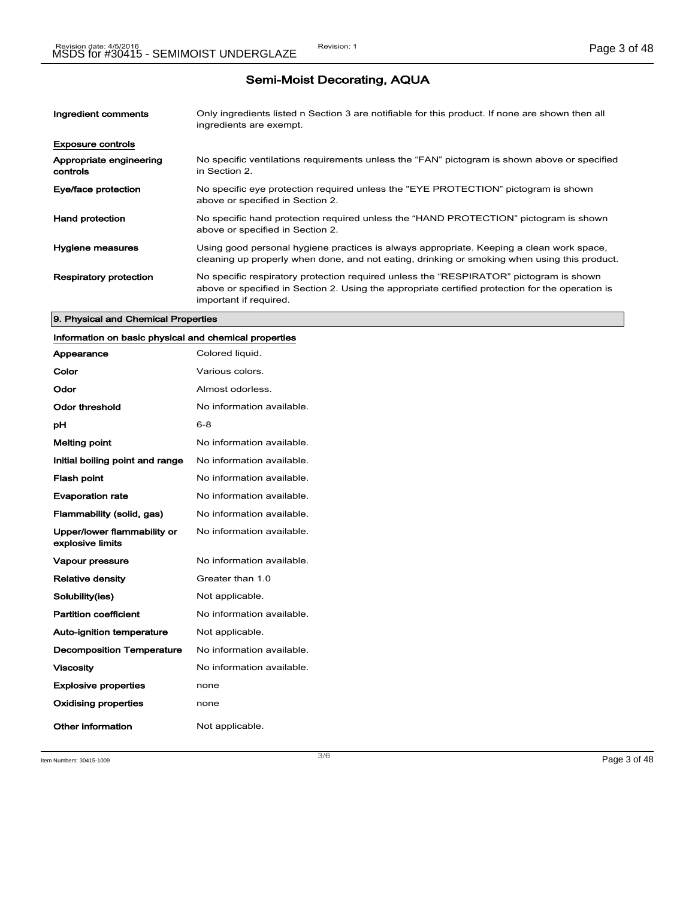| Ingredient comments                 | Only ingredients listed n Section 3 are notifiable for this product. If none are shown then all<br>ingredients are exempt.                                                                                           |
|-------------------------------------|----------------------------------------------------------------------------------------------------------------------------------------------------------------------------------------------------------------------|
| <b>Exposure controls</b>            |                                                                                                                                                                                                                      |
| Appropriate engineering<br>controls | No specific ventilations requirements unless the "FAN" pictogram is shown above or specified<br>in Section 2.                                                                                                        |
| Eye/face protection                 | No specific eye protection required unless the "EYE PROTECTION" pictogram is shown<br>above or specified in Section 2.                                                                                               |
| <b>Hand protection</b>              | No specific hand protection required unless the "HAND PROTECTION" pictogram is shown<br>above or specified in Section 2.                                                                                             |
| Hygiene measures                    | Using good personal hygiene practices is always appropriate. Keeping a clean work space,<br>cleaning up properly when done, and not eating, drinking or smoking when using this product.                             |
| <b>Respiratory protection</b>       | No specific respiratory protection required unless the "RESPIRATOR" pictogram is shown<br>above or specified in Section 2. Using the appropriate certified protection for the operation is<br>important if required. |

#### 9. Physical and Chemical Properties

## Information on basic physical and chemical properties

| Appearance                                      | Colored liquid.           |
|-------------------------------------------------|---------------------------|
| Color                                           | Various colors.           |
| Odor                                            | Almost odorless.          |
| Odor threshold                                  | No information available. |
| рH                                              | 6-8                       |
| <b>Melting point</b>                            | No information available. |
| Initial boiling point and range                 | No information available. |
| <b>Flash point</b>                              | No information available. |
| <b>Evaporation rate</b>                         | No information available. |
| Flammability (solid, gas)                       | No information available. |
| Upper/lower flammability or<br>explosive limits | No information available. |
| Vapour pressure                                 | No information available. |
| <b>Relative density</b>                         | Greater than 1.0          |
| Solubility(ies)                                 | Not applicable.           |
| <b>Partition coefficient</b>                    | No information available. |
| <b>Auto-ignition temperature</b>                | Not applicable.           |
| <b>Decomposition Temperature</b>                | No information available. |
| <b>Viscosity</b>                                | No information available. |
| <b>Explosive properties</b>                     | none                      |
| <b>Oxidising properties</b>                     | none                      |
| Other information                               | Not applicable.           |

Item Numbers: 30415-1009 Page 3 of 48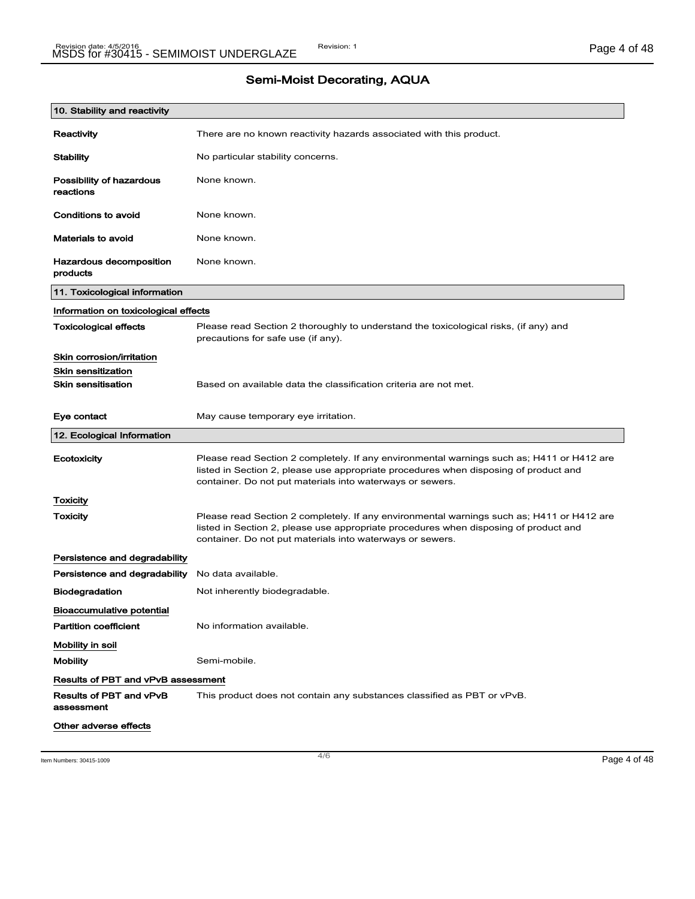| 10. Stability and reactivity              |                                                                                                                                                                                                                                                |
|-------------------------------------------|------------------------------------------------------------------------------------------------------------------------------------------------------------------------------------------------------------------------------------------------|
| Reactivity                                | There are no known reactivity hazards associated with this product.                                                                                                                                                                            |
| Stability                                 | No particular stability concerns.                                                                                                                                                                                                              |
| Possibility of hazardous<br>reactions     | None known.                                                                                                                                                                                                                                    |
| Conditions to avoid                       | None known.                                                                                                                                                                                                                                    |
| Materials to avoid                        | None known.                                                                                                                                                                                                                                    |
| Hazardous decomposition<br>products       | None known.                                                                                                                                                                                                                                    |
| 11. Toxicological information             |                                                                                                                                                                                                                                                |
| Information on toxicological effects      |                                                                                                                                                                                                                                                |
| <b>Toxicological effects</b>              | Please read Section 2 thoroughly to understand the toxicological risks, (if any) and<br>precautions for safe use (if any).                                                                                                                     |
| Skin corrosion/irritation                 |                                                                                                                                                                                                                                                |
| <b>Skin sensitization</b>                 |                                                                                                                                                                                                                                                |
| <b>Skin sensitisation</b>                 | Based on available data the classification criteria are not met.                                                                                                                                                                               |
| Eye contact                               | May cause temporary eye irritation.                                                                                                                                                                                                            |
|                                           |                                                                                                                                                                                                                                                |
| 12. Ecological Information                |                                                                                                                                                                                                                                                |
| Ecotoxicity                               | Please read Section 2 completely. If any environmental warnings such as; H411 or H412 are<br>listed in Section 2, please use appropriate procedures when disposing of product and<br>container. Do not put materials into waterways or sewers. |
| Toxicity                                  |                                                                                                                                                                                                                                                |
| <b>Toxicity</b>                           | Please read Section 2 completely. If any environmental warnings such as; H411 or H412 are<br>listed in Section 2, please use appropriate procedures when disposing of product and<br>container. Do not put materials into waterways or sewers. |
| Persistence and degradability             |                                                                                                                                                                                                                                                |
| Persistence and degradability             | No data available.                                                                                                                                                                                                                             |
| <b>Biodegradation</b>                     | Not inherently biodegradable.                                                                                                                                                                                                                  |
| Bioaccumulative potential                 |                                                                                                                                                                                                                                                |
| <b>Partition coefficient</b>              | No information available.                                                                                                                                                                                                                      |
| Mobility in soil                          |                                                                                                                                                                                                                                                |
| <b>Mobility</b>                           | Semi-mobile.                                                                                                                                                                                                                                   |
| <b>Results of PBT and vPvB assessment</b> |                                                                                                                                                                                                                                                |
| Results of PBT and vPvB<br>assessment     | This product does not contain any substances classified as PBT or vPvB.                                                                                                                                                                        |

Item Numbers: 30415-1009 Page 4 of 48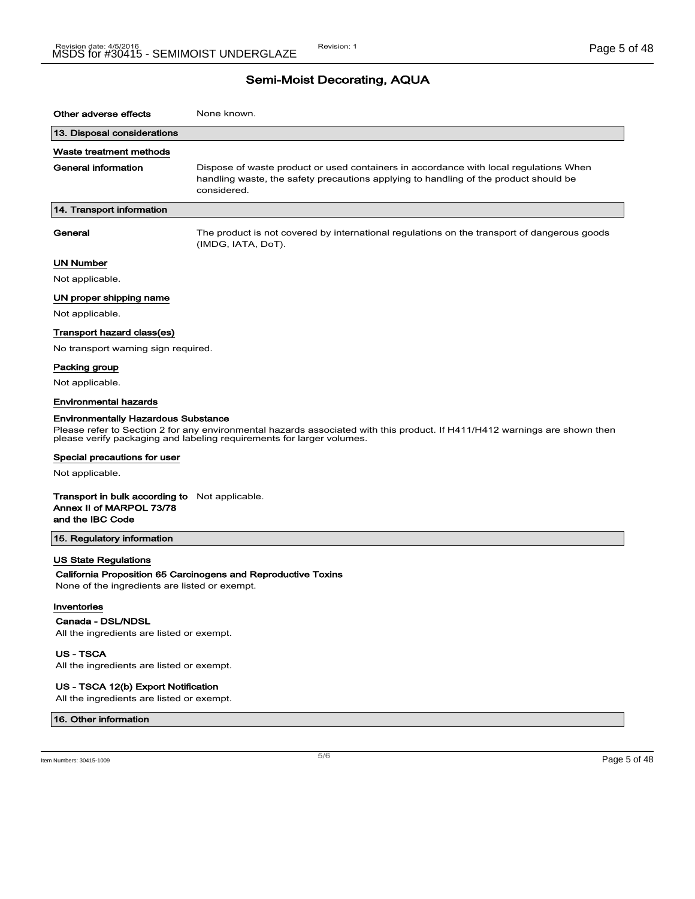| Other adverse effects                                                                                 | None known.                                                                                                                                                                                         |  |
|-------------------------------------------------------------------------------------------------------|-----------------------------------------------------------------------------------------------------------------------------------------------------------------------------------------------------|--|
| 13. Disposal considerations                                                                           |                                                                                                                                                                                                     |  |
| Waste treatment methods                                                                               |                                                                                                                                                                                                     |  |
| General information                                                                                   | Dispose of waste product or used containers in accordance with local regulations When<br>handling waste, the safety precautions applying to handling of the product should be<br>considered.        |  |
| 14. Transport information                                                                             |                                                                                                                                                                                                     |  |
| General                                                                                               | The product is not covered by international regulations on the transport of dangerous goods<br>(IMDG, IATA, DoT).                                                                                   |  |
| <b>UN Number</b>                                                                                      |                                                                                                                                                                                                     |  |
| Not applicable.                                                                                       |                                                                                                                                                                                                     |  |
| UN proper shipping name                                                                               |                                                                                                                                                                                                     |  |
| Not applicable.                                                                                       |                                                                                                                                                                                                     |  |
| Transport hazard class(es)                                                                            |                                                                                                                                                                                                     |  |
| No transport warning sign required.                                                                   |                                                                                                                                                                                                     |  |
| Packing group                                                                                         |                                                                                                                                                                                                     |  |
| Not applicable.                                                                                       |                                                                                                                                                                                                     |  |
| <b>Environmental hazards</b>                                                                          |                                                                                                                                                                                                     |  |
| <b>Environmentally Hazardous Substance</b>                                                            |                                                                                                                                                                                                     |  |
|                                                                                                       | Please refer to Section 2 for any environmental hazards associated with this product. If H411/H412 warnings are shown then<br>please verify packaging and labeling requirements for larger volumes. |  |
| Special precautions for user                                                                          |                                                                                                                                                                                                     |  |
| Not applicable.                                                                                       |                                                                                                                                                                                                     |  |
| <b>Transport in bulk according to</b> Not applicable.<br>Annex II of MARPOL 73/78<br>and the IBC Code |                                                                                                                                                                                                     |  |
| 15. Regulatory information                                                                            |                                                                                                                                                                                                     |  |
| <b>US State Regulations</b><br>None of the ingredients are listed or exempt.                          | California Proposition 65 Carcinogens and Reproductive Toxins                                                                                                                                       |  |
| Inventories                                                                                           |                                                                                                                                                                                                     |  |
| Canada - DSL/NDSL                                                                                     |                                                                                                                                                                                                     |  |
| All the ingredients are listed or exempt.                                                             |                                                                                                                                                                                                     |  |
| <b>US-TSCA</b><br>All the ingredients are listed or exempt.                                           |                                                                                                                                                                                                     |  |
|                                                                                                       |                                                                                                                                                                                                     |  |

US - TSCA 12(b) Export Notification All the ingredients are listed or exempt.

16. Other information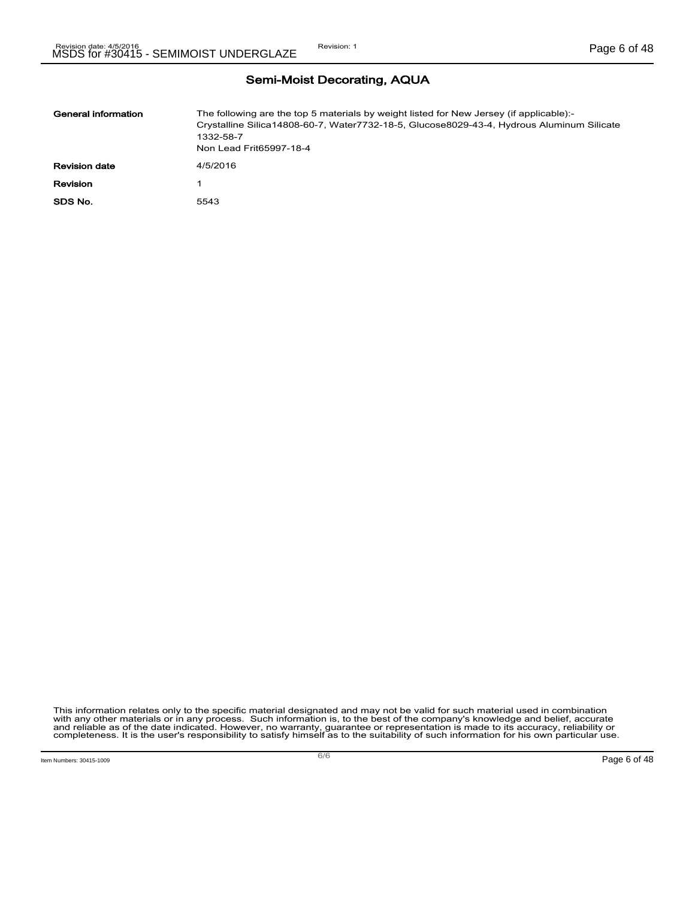| <b>Semi-Moist Decorating, AQUA</b> |  |
|------------------------------------|--|
|------------------------------------|--|

| General information  | The following are the top 5 materials by weight listed for New Jersey (if applicable):-<br>Crystalline Silica14808-60-7, Water7732-18-5, Glucose8029-43-4, Hydrous Aluminum Silicate<br>1332-58-7<br>Non Lead Frit65997-18-4 |
|----------------------|------------------------------------------------------------------------------------------------------------------------------------------------------------------------------------------------------------------------------|
| <b>Revision date</b> | 4/5/2016                                                                                                                                                                                                                     |
| <b>Revision</b>      |                                                                                                                                                                                                                              |
| SDS No.              | 5543                                                                                                                                                                                                                         |

This information relates only to the specific material designated and may not be valid for such material used in combination<br>with any other materials or in any process. Such information is, to the best of the company's kn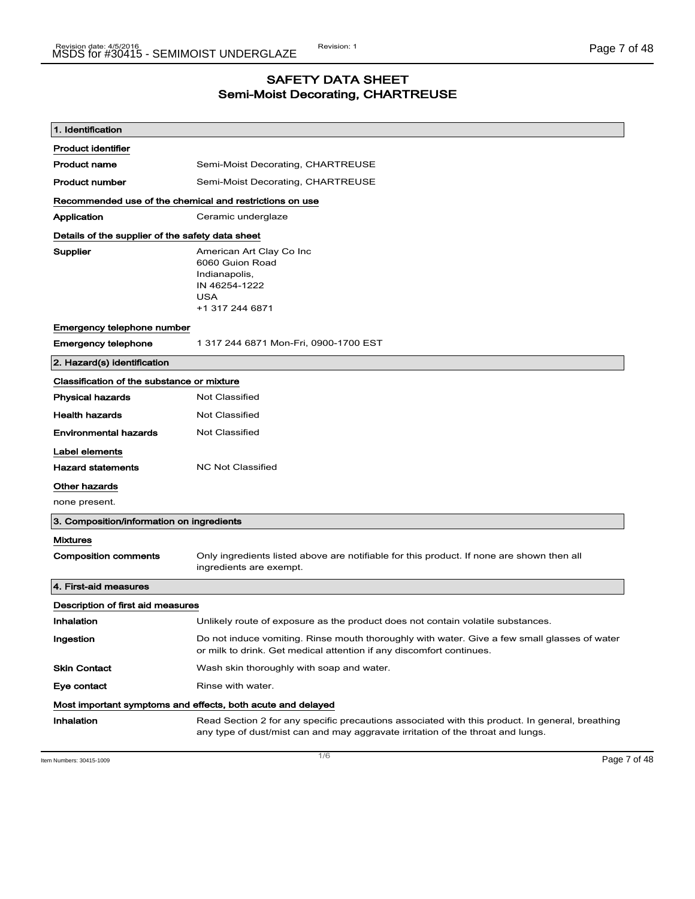### SAFETY DATA SHEET Semi-Moist Decorating, CHARTREUSE

| 1. Identification                                       |                                                                                                                                                                                    |  |
|---------------------------------------------------------|------------------------------------------------------------------------------------------------------------------------------------------------------------------------------------|--|
| <b>Product identifier</b>                               |                                                                                                                                                                                    |  |
| <b>Product name</b>                                     | Semi-Moist Decorating, CHARTREUSE                                                                                                                                                  |  |
| <b>Product number</b>                                   | Semi-Moist Decorating, CHARTREUSE                                                                                                                                                  |  |
| Recommended use of the chemical and restrictions on use |                                                                                                                                                                                    |  |
| Application                                             | Ceramic underglaze                                                                                                                                                                 |  |
| Details of the supplier of the safety data sheet        |                                                                                                                                                                                    |  |
| Supplier                                                | American Art Clay Co Inc<br>6060 Guion Road<br>Indianapolis,<br>IN 46254-1222<br><b>USA</b><br>+1 317 244 6871                                                                     |  |
| Emergency telephone number                              |                                                                                                                                                                                    |  |
| <b>Emergency telephone</b>                              | 1 317 244 6871 Mon-Fri, 0900-1700 EST                                                                                                                                              |  |
| 2. Hazard(s) identification                             |                                                                                                                                                                                    |  |
| Classification of the substance or mixture              |                                                                                                                                                                                    |  |
| <b>Physical hazards</b>                                 | <b>Not Classified</b>                                                                                                                                                              |  |
| <b>Health hazards</b>                                   | <b>Not Classified</b>                                                                                                                                                              |  |
| <b>Environmental hazards</b>                            | <b>Not Classified</b>                                                                                                                                                              |  |
| Label elements                                          |                                                                                                                                                                                    |  |
| <b>Hazard statements</b>                                | <b>NC Not Classified</b>                                                                                                                                                           |  |
| <b>Other hazards</b>                                    |                                                                                                                                                                                    |  |
| none present.                                           |                                                                                                                                                                                    |  |
| 3. Composition/information on ingredients               |                                                                                                                                                                                    |  |
| <b>Mixtures</b>                                         |                                                                                                                                                                                    |  |
| <b>Composition comments</b>                             | Only ingredients listed above are notifiable for this product. If none are shown then all<br>ingredients are exempt.                                                               |  |
| 4. First-aid measures                                   |                                                                                                                                                                                    |  |
| Description of first aid measures                       |                                                                                                                                                                                    |  |
| Inhalation                                              | Unlikely route of exposure as the product does not contain volatile substances.                                                                                                    |  |
| Ingestion                                               | Do not induce vomiting. Rinse mouth thoroughly with water. Give a few small glasses of water<br>or milk to drink. Get medical attention if any discomfort continues.               |  |
| <b>Skin Contact</b>                                     | Wash skin thoroughly with soap and water.                                                                                                                                          |  |
| Eye contact                                             | Rinse with water.                                                                                                                                                                  |  |
|                                                         | Most important symptoms and effects, both acute and delayed                                                                                                                        |  |
| Inhalation                                              | Read Section 2 for any specific precautions associated with this product. In general, breathing<br>any type of dust/mist can and may aggravate irritation of the throat and lungs. |  |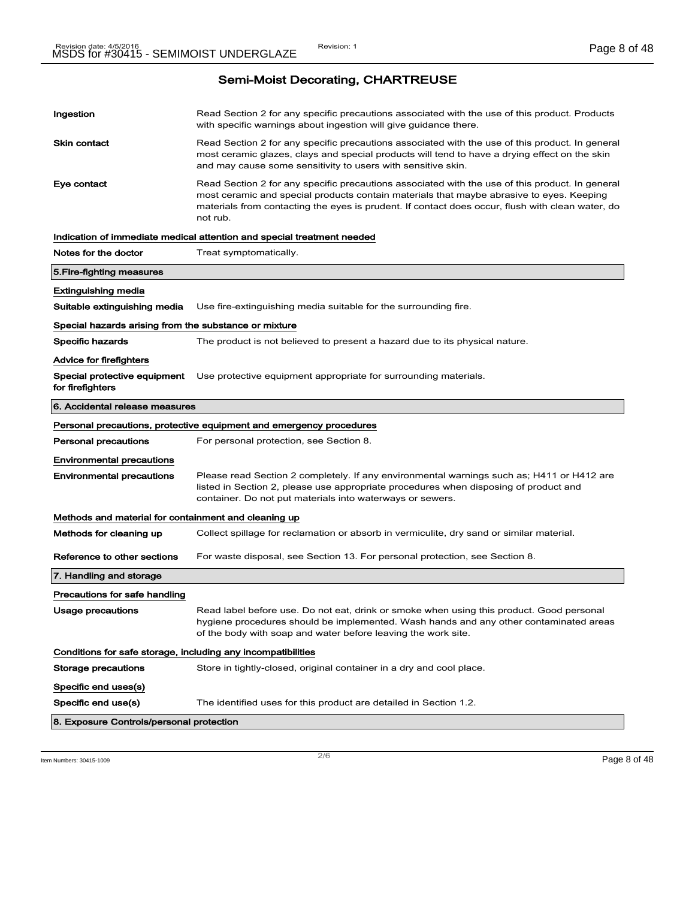| Ingestion                                                    | Read Section 2 for any specific precautions associated with the use of this product. Products<br>with specific warnings about ingestion will give guidance there.                                                                                                                                           |
|--------------------------------------------------------------|-------------------------------------------------------------------------------------------------------------------------------------------------------------------------------------------------------------------------------------------------------------------------------------------------------------|
| Skin contact                                                 | Read Section 2 for any specific precautions associated with the use of this product. In general<br>most ceramic glazes, clays and special products will tend to have a drying effect on the skin<br>and may cause some sensitivity to users with sensitive skin.                                            |
| Eye contact                                                  | Read Section 2 for any specific precautions associated with the use of this product. In general<br>most ceramic and special products contain materials that maybe abrasive to eyes. Keeping<br>materials from contacting the eyes is prudent. If contact does occur, flush with clean water, do<br>not rub. |
|                                                              | Indication of immediate medical attention and special treatment needed                                                                                                                                                                                                                                      |
| Notes for the doctor                                         | Treat symptomatically.                                                                                                                                                                                                                                                                                      |
| 5.Fire-fighting measures                                     |                                                                                                                                                                                                                                                                                                             |
| Extinguishing media                                          |                                                                                                                                                                                                                                                                                                             |
| Suitable extinguishing media                                 | Use fire-extinguishing media suitable for the surrounding fire.                                                                                                                                                                                                                                             |
| Special hazards arising from the substance or mixture        |                                                                                                                                                                                                                                                                                                             |
| <b>Specific hazards</b>                                      | The product is not believed to present a hazard due to its physical nature.                                                                                                                                                                                                                                 |
| Advice for firefighters                                      |                                                                                                                                                                                                                                                                                                             |
| Special protective equipment<br>for firefighters             | Use protective equipment appropriate for surrounding materials.                                                                                                                                                                                                                                             |
| 6. Accidental release measures                               |                                                                                                                                                                                                                                                                                                             |
|                                                              | Personal precautions, protective equipment and emergency procedures                                                                                                                                                                                                                                         |
| Personal precautions                                         | For personal protection, see Section 8.                                                                                                                                                                                                                                                                     |
| Environmental precautions                                    |                                                                                                                                                                                                                                                                                                             |
| <b>Environmental precautions</b>                             | Please read Section 2 completely. If any environmental warnings such as; H411 or H412 are<br>listed in Section 2, please use appropriate procedures when disposing of product and<br>container. Do not put materials into waterways or sewers.                                                              |
| Methods and material for containment and cleaning up         |                                                                                                                                                                                                                                                                                                             |
| Methods for cleaning up                                      | Collect spillage for reclamation or absorb in vermiculite, dry sand or similar material.                                                                                                                                                                                                                    |
| Reference to other sections                                  | For waste disposal, see Section 13. For personal protection, see Section 8.                                                                                                                                                                                                                                 |
| 7. Handling and storage                                      |                                                                                                                                                                                                                                                                                                             |
| Precautions for safe handling                                |                                                                                                                                                                                                                                                                                                             |
| <b>Usage precautions</b>                                     | Read label before use. Do not eat, drink or smoke when using this product. Good personal<br>hygiene procedures should be implemented. Wash hands and any other contaminated areas<br>of the body with soap and water before leaving the work site.                                                          |
| Conditions for safe storage, including any incompatibilities |                                                                                                                                                                                                                                                                                                             |
| Storage precautions                                          | Store in tightly-closed, original container in a dry and cool place.                                                                                                                                                                                                                                        |
| Specific end uses(s)                                         |                                                                                                                                                                                                                                                                                                             |
| Specific end use(s)                                          | The identified uses for this product are detailed in Section 1.2.                                                                                                                                                                                                                                           |
| 8. Exposure Controls/personal protection                     |                                                                                                                                                                                                                                                                                                             |
|                                                              |                                                                                                                                                                                                                                                                                                             |

Item Numbers: 30415-1009 **Page 8 of 48**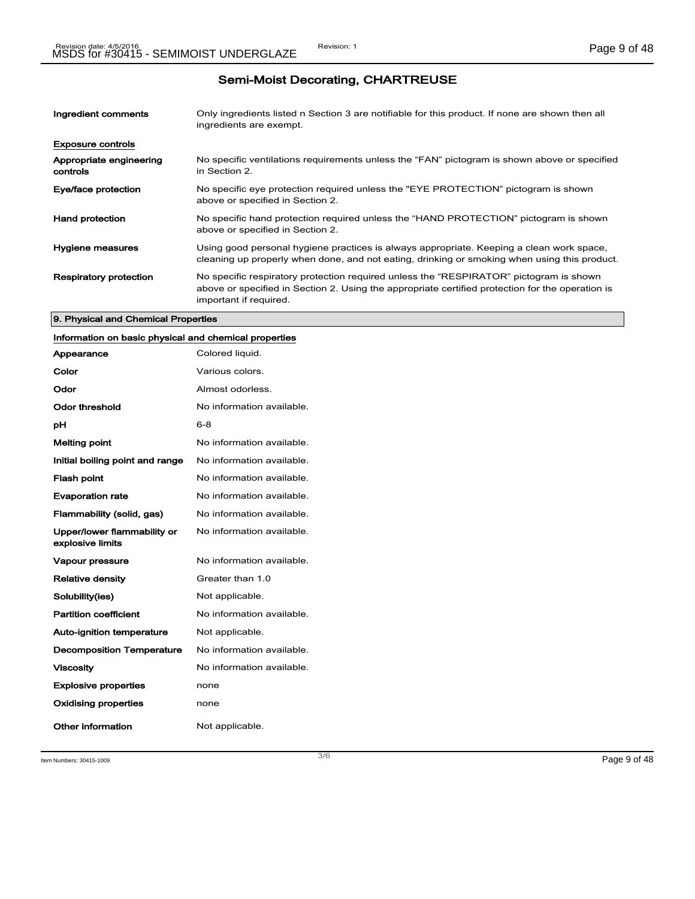| Ingredient comments                 | Only ingredients listed n Section 3 are notifiable for this product. If none are shown then all<br>ingredients are exempt.                                                                                           |
|-------------------------------------|----------------------------------------------------------------------------------------------------------------------------------------------------------------------------------------------------------------------|
| <b>Exposure controls</b>            |                                                                                                                                                                                                                      |
| Appropriate engineering<br>controls | No specific ventilations requirements unless the "FAN" pictogram is shown above or specified<br>in Section 2.                                                                                                        |
| Eye/face protection                 | No specific eye protection required unless the "EYE PROTECTION" pictogram is shown<br>above or specified in Section 2.                                                                                               |
| <b>Hand protection</b>              | No specific hand protection required unless the "HAND PROTECTION" pictogram is shown<br>above or specified in Section 2.                                                                                             |
| Hygiene measures                    | Using good personal hygiene practices is always appropriate. Keeping a clean work space,<br>cleaning up properly when done, and not eating, drinking or smoking when using this product.                             |
| <b>Respiratory protection</b>       | No specific respiratory protection required unless the "RESPIRATOR" pictogram is shown<br>above or specified in Section 2. Using the appropriate certified protection for the operation is<br>important if required. |

#### 9. Physical and Chemical Properties

### Information on basic physical and chemical properties

| Appearance                                      | Colored liquid.           |
|-------------------------------------------------|---------------------------|
| Color                                           | Various colors.           |
| Odor                                            | Almost odorless.          |
| Odor threshold                                  | No information available. |
| рH                                              | $6 - 8$                   |
| <b>Melting point</b>                            | No information available. |
| Initial boiling point and range                 | No information available. |
| <b>Flash point</b>                              | No information available. |
| <b>Evaporation rate</b>                         | No information available. |
| Flammability (solid, gas)                       | No information available. |
| Upper/lower flammability or<br>explosive limits | No information available. |
| Vapour pressure                                 | No information available. |
| <b>Relative density</b>                         | Greater than 1.0          |
| Solubility(ies)                                 | Not applicable.           |
| <b>Partition coefficient</b>                    | No information available. |
| <b>Auto-ignition temperature</b>                | Not applicable.           |
| <b>Decomposition Temperature</b>                | No information available. |
| <b>Viscosity</b>                                | No information available. |
| <b>Explosive properties</b>                     | none                      |
| <b>Oxidising properties</b>                     | none                      |
| Other information                               | Not applicable.           |

Item Numbers: 30415-1009 Page 9 of 48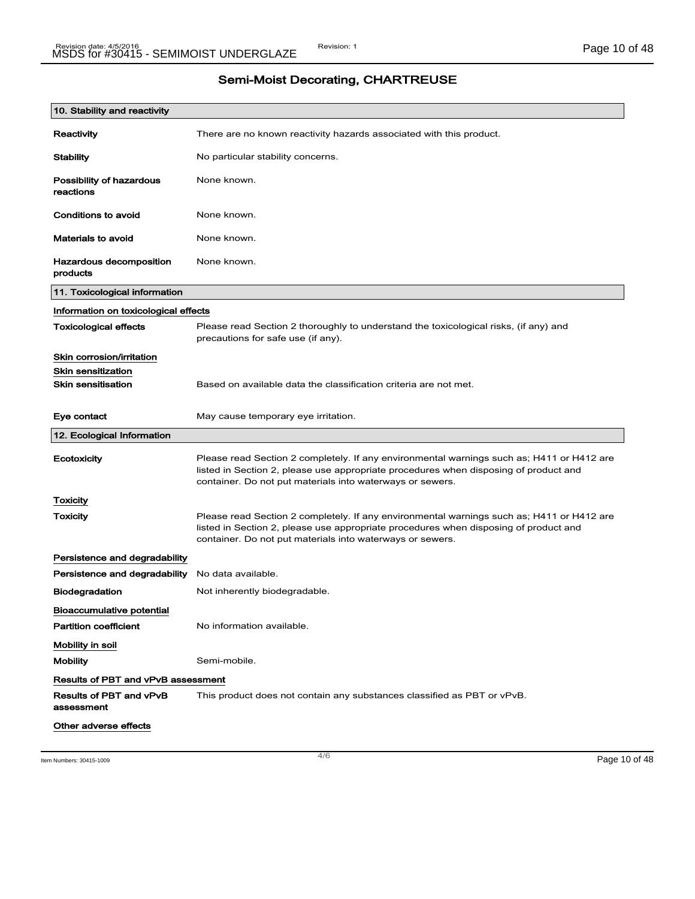| 10. Stability and reactivity              |                                                                                                                                                                                                                                                |
|-------------------------------------------|------------------------------------------------------------------------------------------------------------------------------------------------------------------------------------------------------------------------------------------------|
| Reactivity                                | There are no known reactivity hazards associated with this product.                                                                                                                                                                            |
| Stability                                 | No particular stability concerns.                                                                                                                                                                                                              |
| Possibility of hazardous<br>reactions     | None known.                                                                                                                                                                                                                                    |
| Conditions to avoid                       | None known.                                                                                                                                                                                                                                    |
| Materials to avoid                        | None known.                                                                                                                                                                                                                                    |
| Hazardous decomposition<br>products       | None known.                                                                                                                                                                                                                                    |
| 11. Toxicological information             |                                                                                                                                                                                                                                                |
| Information on toxicological effects      |                                                                                                                                                                                                                                                |
| <b>Toxicological effects</b>              | Please read Section 2 thoroughly to understand the toxicological risks, (if any) and<br>precautions for safe use (if any).                                                                                                                     |
| Skin corrosion/irritation                 |                                                                                                                                                                                                                                                |
| <b>Skin sensitization</b>                 |                                                                                                                                                                                                                                                |
| <b>Skin sensitisation</b>                 | Based on available data the classification criteria are not met.                                                                                                                                                                               |
| Eye contact                               | May cause temporary eye irritation.                                                                                                                                                                                                            |
| 12. Ecological Information                |                                                                                                                                                                                                                                                |
| Ecotoxicity                               | Please read Section 2 completely. If any environmental warnings such as; H411 or H412 are<br>listed in Section 2, please use appropriate procedures when disposing of product and<br>container. Do not put materials into waterways or sewers. |
| Toxicity                                  |                                                                                                                                                                                                                                                |
| <b>Toxicity</b>                           | Please read Section 2 completely. If any environmental warnings such as; H411 or H412 are<br>listed in Section 2, please use appropriate procedures when disposing of product and<br>container. Do not put materials into waterways or sewers. |
| Persistence and degradability             |                                                                                                                                                                                                                                                |
|                                           |                                                                                                                                                                                                                                                |
| Persistence and degradability             | No data available.                                                                                                                                                                                                                             |
| Biodegradation                            | Not inherently biodegradable.                                                                                                                                                                                                                  |
| Bioaccumulative potential                 |                                                                                                                                                                                                                                                |
| <b>Partition coefficient</b>              | No information available.                                                                                                                                                                                                                      |
| Mobility in soil                          |                                                                                                                                                                                                                                                |
| <b>Mobility</b>                           | Semi-mobile.                                                                                                                                                                                                                                   |
| <b>Results of PBT and vPvB assessment</b> |                                                                                                                                                                                                                                                |
| Results of PBT and vPvB<br>assessment     | This product does not contain any substances classified as PBT or vPvB.                                                                                                                                                                        |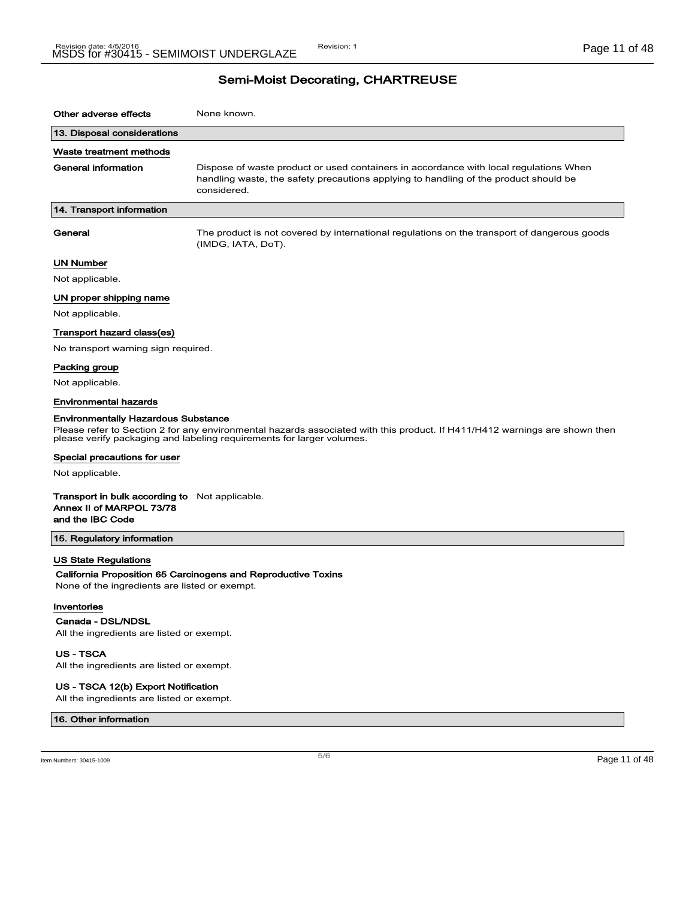| Other adverse effects                                                                          | None known.                                                                                                                                                                                         |
|------------------------------------------------------------------------------------------------|-----------------------------------------------------------------------------------------------------------------------------------------------------------------------------------------------------|
| 13. Disposal considerations                                                                    |                                                                                                                                                                                                     |
| Waste treatment methods                                                                        |                                                                                                                                                                                                     |
| General information                                                                            | Dispose of waste product or used containers in accordance with local regulations When<br>handling waste, the safety precautions applying to handling of the product should be<br>considered.        |
| 14. Transport information                                                                      |                                                                                                                                                                                                     |
| General                                                                                        | The product is not covered by international regulations on the transport of dangerous goods<br>(IMDG, IATA, DoT).                                                                                   |
| UN Number                                                                                      |                                                                                                                                                                                                     |
| Not applicable.                                                                                |                                                                                                                                                                                                     |
| UN proper shipping name                                                                        |                                                                                                                                                                                                     |
| Not applicable.                                                                                |                                                                                                                                                                                                     |
| Transport hazard class(es)                                                                     |                                                                                                                                                                                                     |
| No transport warning sign required.                                                            |                                                                                                                                                                                                     |
| Packing group                                                                                  |                                                                                                                                                                                                     |
| Not applicable.                                                                                |                                                                                                                                                                                                     |
| <b>Environmental hazards</b>                                                                   |                                                                                                                                                                                                     |
| <b>Environmentally Hazardous Substance</b>                                                     | Please refer to Section 2 for any environmental hazards associated with this product. If H411/H412 warnings are shown then<br>please verify packaging and labeling requirements for larger volumes. |
| Special precautions for user                                                                   |                                                                                                                                                                                                     |
| Not applicable.                                                                                |                                                                                                                                                                                                     |
| Transport in bulk according to Not applicable.<br>Annex II of MARPOL 73/78<br>and the IBC Code |                                                                                                                                                                                                     |
| 15. Regulatory information                                                                     |                                                                                                                                                                                                     |
| US State Regulations                                                                           |                                                                                                                                                                                                     |
| None of the ingredients are listed or exempt.                                                  | California Proposition 65 Carcinogens and Reproductive Toxins                                                                                                                                       |
| Inventories                                                                                    |                                                                                                                                                                                                     |
| Canada - DSL/NDSL                                                                              |                                                                                                                                                                                                     |
| All the ingredients are listed or exempt.                                                      |                                                                                                                                                                                                     |
| <b>US - TSCA</b><br>All the ingredients are listed or exempt.                                  |                                                                                                                                                                                                     |
| US - TSCA 12(b) Export Notification                                                            |                                                                                                                                                                                                     |

All the ingredients are listed or exempt.

#### 16. Other information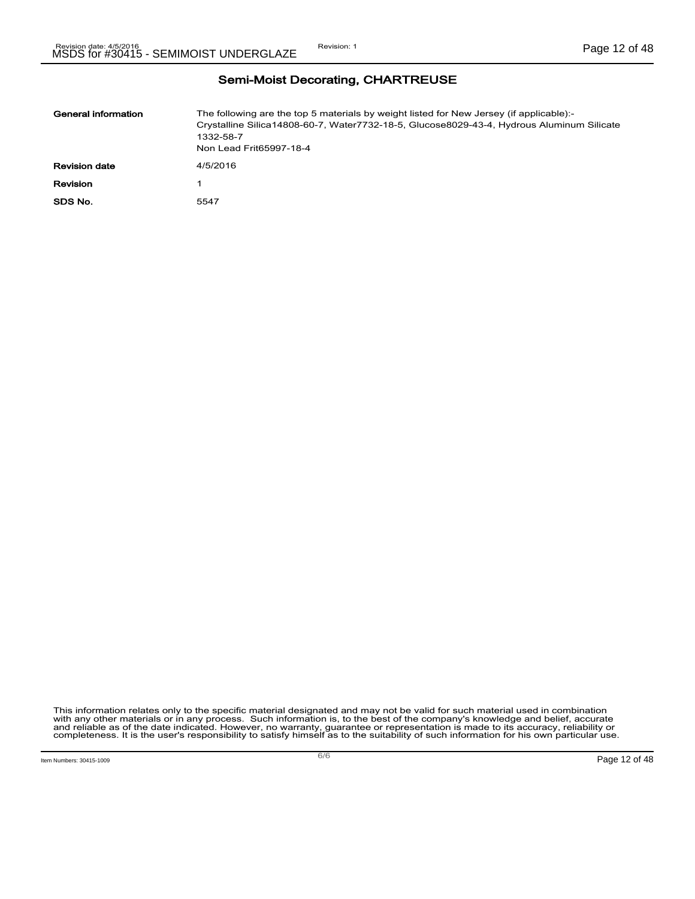| General information  | The following are the top 5 materials by weight listed for New Jersey (if applicable):-<br>Crystalline Silica14808-60-7, Water7732-18-5, Glucose8029-43-4, Hydrous Aluminum Silicate<br>1332-58-7<br>Non Lead Frit65997-18-4 |
|----------------------|------------------------------------------------------------------------------------------------------------------------------------------------------------------------------------------------------------------------------|
| <b>Revision date</b> | 4/5/2016                                                                                                                                                                                                                     |
| Revision             |                                                                                                                                                                                                                              |
| SDS No.              | 5547                                                                                                                                                                                                                         |

This information relates only to the specific material designated and may not be valid for such material used in combination<br>with any other materials or in any process. Such information is, to the best of the company's kn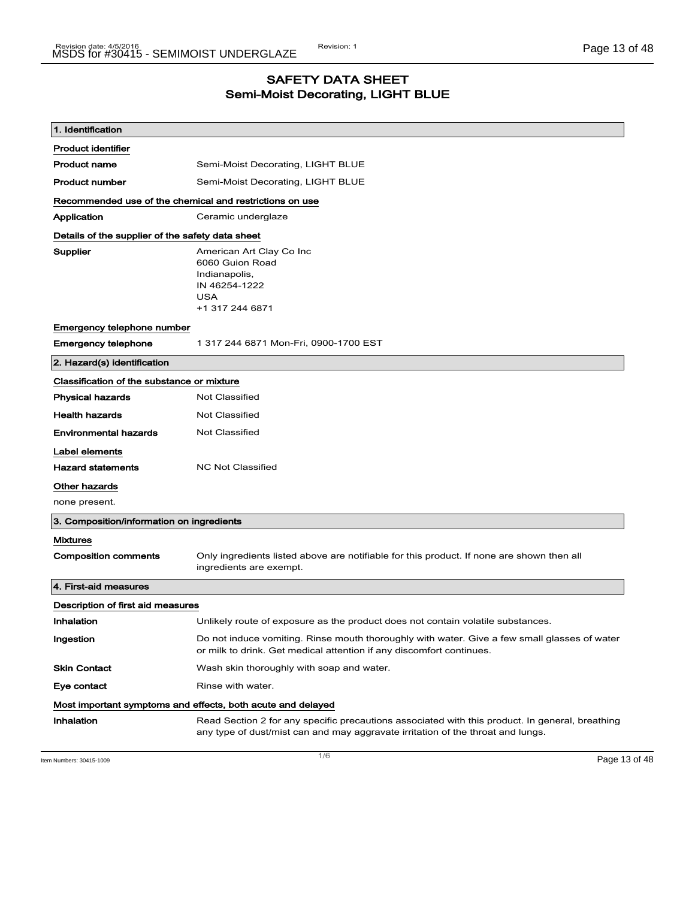## SAFETY DATA SHEET Semi-Moist Decorating, LIGHT BLUE

| 1. Identification                                       |                                                                                                                                                                                    |  |
|---------------------------------------------------------|------------------------------------------------------------------------------------------------------------------------------------------------------------------------------------|--|
| <b>Product identifier</b>                               |                                                                                                                                                                                    |  |
| <b>Product name</b>                                     | Semi-Moist Decorating, LIGHT BLUE                                                                                                                                                  |  |
| <b>Product number</b>                                   | Semi-Moist Decorating, LIGHT BLUE                                                                                                                                                  |  |
| Recommended use of the chemical and restrictions on use |                                                                                                                                                                                    |  |
| Application                                             | Ceramic underglaze                                                                                                                                                                 |  |
| Details of the supplier of the safety data sheet        |                                                                                                                                                                                    |  |
| <b>Supplier</b>                                         | American Art Clay Co Inc<br>6060 Guion Road<br>Indianapolis,<br>IN 46254-1222<br><b>USA</b><br>+1 317 244 6871                                                                     |  |
| Emergency telephone number                              |                                                                                                                                                                                    |  |
| <b>Emergency telephone</b>                              | 1 317 244 6871 Mon-Fri, 0900-1700 EST                                                                                                                                              |  |
| 2. Hazard(s) identification                             |                                                                                                                                                                                    |  |
| Classification of the substance or mixture              |                                                                                                                                                                                    |  |
| <b>Physical hazards</b>                                 | <b>Not Classified</b>                                                                                                                                                              |  |
| <b>Health hazards</b>                                   | <b>Not Classified</b>                                                                                                                                                              |  |
| <b>Environmental hazards</b>                            | Not Classified                                                                                                                                                                     |  |
| Label elements                                          |                                                                                                                                                                                    |  |
| <b>Hazard statements</b>                                | <b>NC Not Classified</b>                                                                                                                                                           |  |
| Other hazards                                           |                                                                                                                                                                                    |  |
| none present.                                           |                                                                                                                                                                                    |  |
| 3. Composition/information on ingredients               |                                                                                                                                                                                    |  |
| <b>Mixtures</b>                                         |                                                                                                                                                                                    |  |
| <b>Composition comments</b>                             | Only ingredients listed above are notifiable for this product. If none are shown then all<br>ingredients are exempt.                                                               |  |
| 4. First-aid measures                                   |                                                                                                                                                                                    |  |
| Description of first aid measures                       |                                                                                                                                                                                    |  |
| Inhalation                                              | Unlikely route of exposure as the product does not contain volatile substances.                                                                                                    |  |
| Ingestion                                               | Do not induce vomiting. Rinse mouth thoroughly with water. Give a few small glasses of water<br>or milk to drink. Get medical attention if any discomfort continues.               |  |
| <b>Skin Contact</b>                                     | Wash skin thoroughly with soap and water.                                                                                                                                          |  |
| Eye contact                                             | Rinse with water.                                                                                                                                                                  |  |
|                                                         | Most important symptoms and effects, both acute and delayed                                                                                                                        |  |
| Inhalation                                              | Read Section 2 for any specific precautions associated with this product. In general, breathing<br>any type of dust/mist can and may aggravate irritation of the throat and lungs. |  |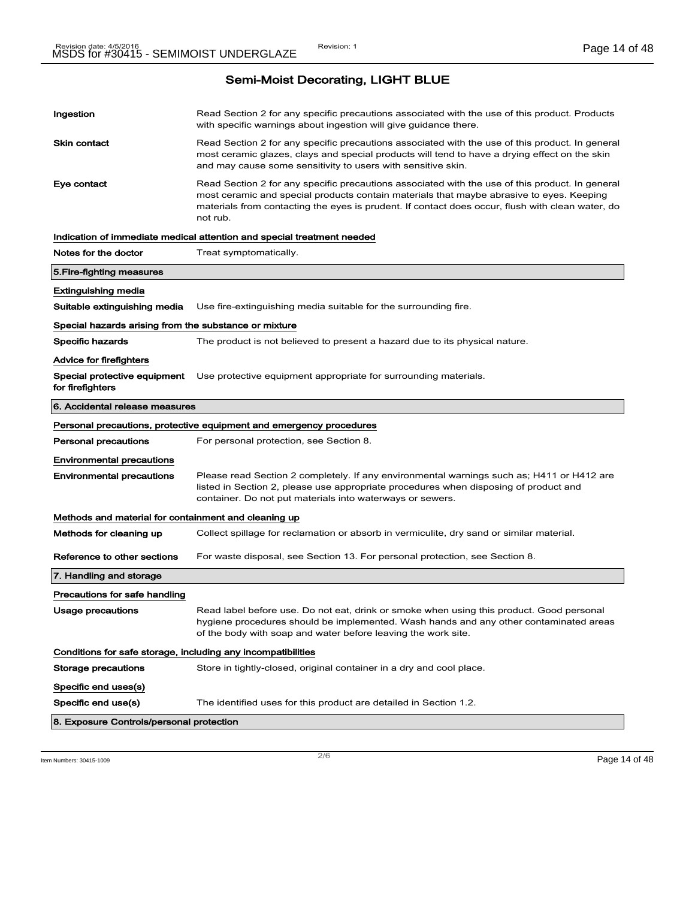| Ingestion                                                    | Read Section 2 for any specific precautions associated with the use of this product. Products<br>with specific warnings about ingestion will give guidance there.                                                                                                                                           |
|--------------------------------------------------------------|-------------------------------------------------------------------------------------------------------------------------------------------------------------------------------------------------------------------------------------------------------------------------------------------------------------|
| Skin contact                                                 | Read Section 2 for any specific precautions associated with the use of this product. In general<br>most ceramic glazes, clays and special products will tend to have a drying effect on the skin<br>and may cause some sensitivity to users with sensitive skin.                                            |
| Eye contact                                                  | Read Section 2 for any specific precautions associated with the use of this product. In general<br>most ceramic and special products contain materials that maybe abrasive to eyes. Keeping<br>materials from contacting the eyes is prudent. If contact does occur, flush with clean water, do<br>not rub. |
|                                                              | Indication of immediate medical attention and special treatment needed                                                                                                                                                                                                                                      |
| Notes for the doctor                                         | Treat symptomatically.                                                                                                                                                                                                                                                                                      |
| 5. Fire-fighting measures                                    |                                                                                                                                                                                                                                                                                                             |
| Extinguishing media                                          |                                                                                                                                                                                                                                                                                                             |
| Suitable extinguishing media                                 | Use fire-extinguishing media suitable for the surrounding fire.                                                                                                                                                                                                                                             |
| Special hazards arising from the substance or mixture        |                                                                                                                                                                                                                                                                                                             |
| Specific hazards                                             | The product is not believed to present a hazard due to its physical nature.                                                                                                                                                                                                                                 |
| Advice for firefighters                                      |                                                                                                                                                                                                                                                                                                             |
| Special protective equipment<br>for firefighters             | Use protective equipment appropriate for surrounding materials.                                                                                                                                                                                                                                             |
| 6. Accidental release measures                               |                                                                                                                                                                                                                                                                                                             |
|                                                              | Personal precautions, protective equipment and emergency procedures                                                                                                                                                                                                                                         |
| <b>Personal precautions</b>                                  | For personal protection, see Section 8.                                                                                                                                                                                                                                                                     |
| <b>Environmental precautions</b>                             |                                                                                                                                                                                                                                                                                                             |
| <b>Environmental precautions</b>                             | Please read Section 2 completely. If any environmental warnings such as; H411 or H412 are<br>listed in Section 2, please use appropriate procedures when disposing of product and<br>container. Do not put materials into waterways or sewers.                                                              |
| Methods and material for containment and cleaning up         |                                                                                                                                                                                                                                                                                                             |
| Methods for cleaning up                                      | Collect spillage for reclamation or absorb in vermiculite, dry sand or similar material.                                                                                                                                                                                                                    |
| Reference to other sections                                  | For waste disposal, see Section 13. For personal protection, see Section 8.                                                                                                                                                                                                                                 |
| 7. Handling and storage                                      |                                                                                                                                                                                                                                                                                                             |
| Precautions for safe handling                                |                                                                                                                                                                                                                                                                                                             |
| Usage precautions                                            | Read label before use. Do not eat, drink or smoke when using this product. Good personal<br>hygiene procedures should be implemented. Wash hands and any other contaminated areas<br>of the body with soap and water before leaving the work site.                                                          |
| Conditions for safe storage, including any incompatibilities |                                                                                                                                                                                                                                                                                                             |
| Storage precautions                                          | Store in tightly-closed, original container in a dry and cool place.                                                                                                                                                                                                                                        |
| Specific end uses(s)                                         |                                                                                                                                                                                                                                                                                                             |
| Specific end use(s)                                          | The identified uses for this product are detailed in Section 1.2.                                                                                                                                                                                                                                           |
| 8. Exposure Controls/personal protection                     |                                                                                                                                                                                                                                                                                                             |

 $\frac{1}{2}$  Item Numbers: 30415-1009 **Page 14 of 48**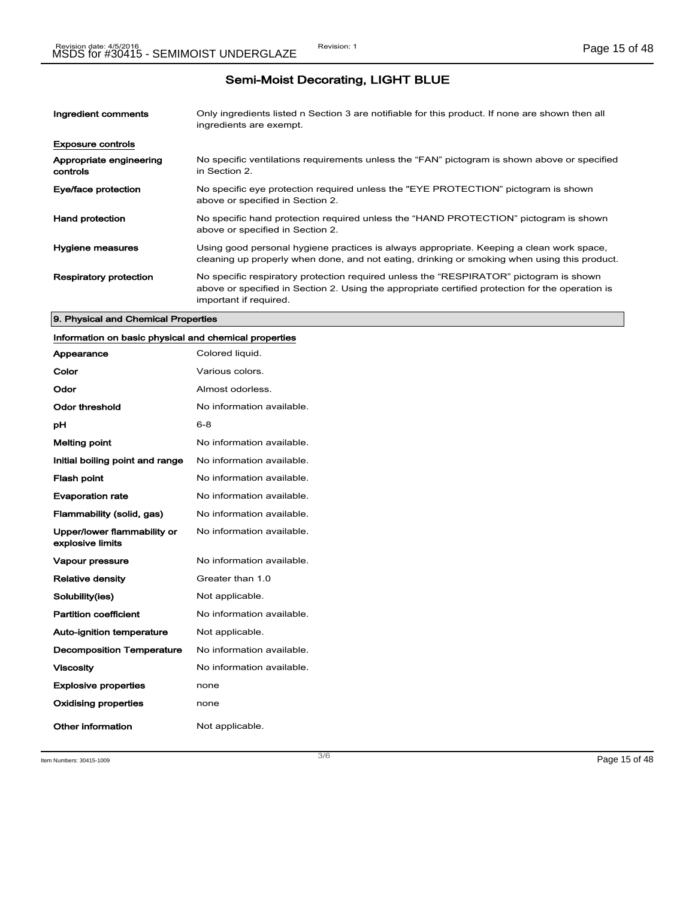| Ingredient comments                 | Only ingredients listed n Section 3 are notifiable for this product. If none are shown then all<br>ingredients are exempt.                                                                                           |
|-------------------------------------|----------------------------------------------------------------------------------------------------------------------------------------------------------------------------------------------------------------------|
| <b>Exposure controls</b>            |                                                                                                                                                                                                                      |
| Appropriate engineering<br>controls | No specific ventilations requirements unless the "FAN" pictogram is shown above or specified<br>in Section 2.                                                                                                        |
| Eye/face protection                 | No specific eye protection required unless the "EYE PROTECTION" pictogram is shown<br>above or specified in Section 2.                                                                                               |
| <b>Hand protection</b>              | No specific hand protection required unless the "HAND PROTECTION" pictogram is shown<br>above or specified in Section 2.                                                                                             |
| Hygiene measures                    | Using good personal hygiene practices is always appropriate. Keeping a clean work space,<br>cleaning up properly when done, and not eating, drinking or smoking when using this product.                             |
| <b>Respiratory protection</b>       | No specific respiratory protection required unless the "RESPIRATOR" pictogram is shown<br>above or specified in Section 2. Using the appropriate certified protection for the operation is<br>important if required. |

#### 9. Physical and Chemical Properties

### Information on basic physical and chemical properties

| Appearance                                      | Colored liquid.           |
|-------------------------------------------------|---------------------------|
| Color                                           | Various colors.           |
| Odor                                            | Almost odorless.          |
| Odor threshold                                  | No information available. |
| рH                                              | $6 - 8$                   |
| <b>Melting point</b>                            | No information available. |
| Initial boiling point and range                 | No information available. |
| <b>Flash point</b>                              | No information available. |
| <b>Evaporation rate</b>                         | No information available. |
| Flammability (solid, gas)                       | No information available. |
| Upper/lower flammability or<br>explosive limits | No information available. |
| <b>Vapour pressure</b>                          | No information available. |
| <b>Relative density</b>                         | Greater than 1.0          |
| Solubility(ies)                                 | Not applicable.           |
| <b>Partition coefficient</b>                    | No information available. |
| <b>Auto-ignition temperature</b>                | Not applicable.           |
| <b>Decomposition Temperature</b>                | No information available. |
| <b>Viscosity</b>                                | No information available. |
| <b>Explosive properties</b>                     | none                      |
| <b>Oxidising properties</b>                     | none                      |
| Other information                               | Not applicable.           |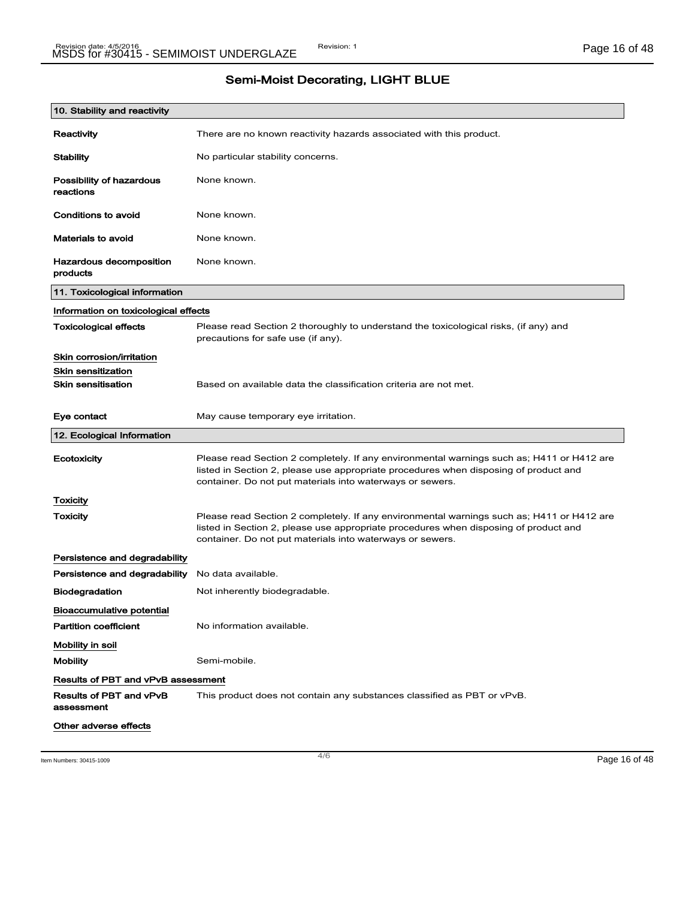| 10. Stability and reactivity              |                                                                                                                                                                                                                                                |
|-------------------------------------------|------------------------------------------------------------------------------------------------------------------------------------------------------------------------------------------------------------------------------------------------|
| Reactivity                                | There are no known reactivity hazards associated with this product.                                                                                                                                                                            |
| Stability                                 | No particular stability concerns.                                                                                                                                                                                                              |
| Possibility of hazardous<br>reactions     | None known.                                                                                                                                                                                                                                    |
| Conditions to avoid                       | None known.                                                                                                                                                                                                                                    |
| <b>Materials to avoid</b>                 | None known.                                                                                                                                                                                                                                    |
| Hazardous decomposition<br>products       | None known.                                                                                                                                                                                                                                    |
| 11. Toxicological information             |                                                                                                                                                                                                                                                |
| Information on toxicological effects      |                                                                                                                                                                                                                                                |
| <b>Toxicological effects</b>              | Please read Section 2 thoroughly to understand the toxicological risks, (if any) and<br>precautions for safe use (if any).                                                                                                                     |
| Skin corrosion/irritation                 |                                                                                                                                                                                                                                                |
| <b>Skin sensitization</b>                 |                                                                                                                                                                                                                                                |
| <b>Skin sensitisation</b>                 | Based on available data the classification criteria are not met.                                                                                                                                                                               |
| Eye contact                               | May cause temporary eye irritation.                                                                                                                                                                                                            |
| 12. Ecological Information                |                                                                                                                                                                                                                                                |
| Ecotoxicity                               | Please read Section 2 completely. If any environmental warnings such as; H411 or H412 are<br>listed in Section 2, please use appropriate procedures when disposing of product and<br>container. Do not put materials into waterways or sewers. |
| Toxicity                                  |                                                                                                                                                                                                                                                |
| <b>Toxicity</b>                           | Please read Section 2 completely. If any environmental warnings such as; H411 or H412 are<br>listed in Section 2, please use appropriate procedures when disposing of product and<br>container. Do not put materials into waterways or sewers. |
|                                           |                                                                                                                                                                                                                                                |
| Persistence and degradability             |                                                                                                                                                                                                                                                |
| Persistence and degradability             | No data available.                                                                                                                                                                                                                             |
| <b>Biodegradation</b>                     | Not inherently biodegradable.                                                                                                                                                                                                                  |
| Bioaccumulative potential                 |                                                                                                                                                                                                                                                |
| <b>Partition coefficient</b>              | No information available.                                                                                                                                                                                                                      |
| Mobility in soil                          |                                                                                                                                                                                                                                                |
| <b>Mobility</b>                           | Semi-mobile.                                                                                                                                                                                                                                   |
| <b>Results of PBT and vPvB assessment</b> |                                                                                                                                                                                                                                                |
| Results of PBT and vPvB<br>assessment     | This product does not contain any substances classified as PBT or vPvB.                                                                                                                                                                        |

 $\frac{4}{6}$  Item Numbers: 30415-1009 **Page 16 of 48**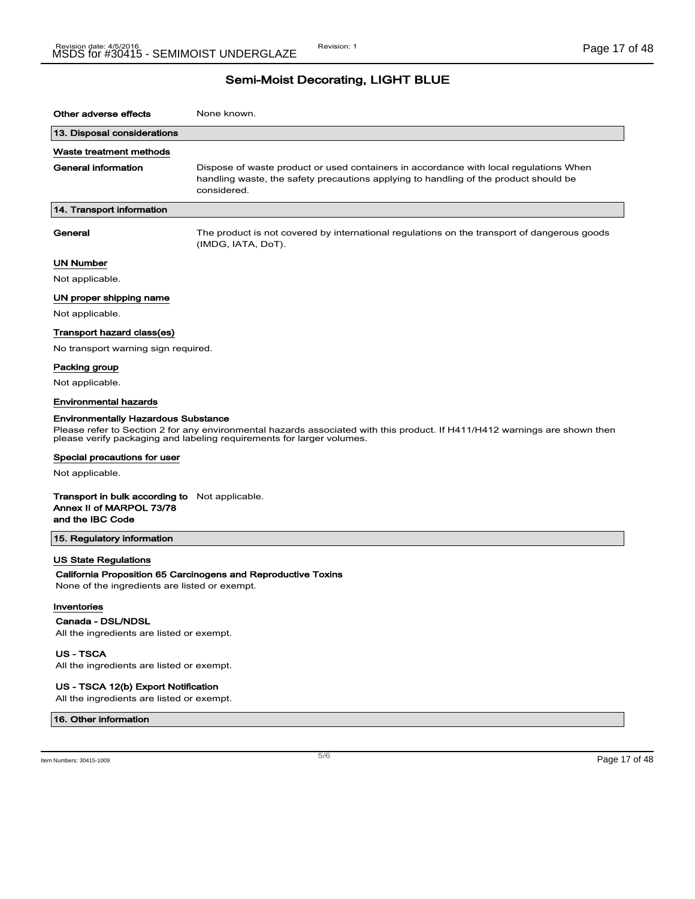| Other adverse effects                                                                                 | None known.                                                                                                                                                                                         |
|-------------------------------------------------------------------------------------------------------|-----------------------------------------------------------------------------------------------------------------------------------------------------------------------------------------------------|
| 13. Disposal considerations                                                                           |                                                                                                                                                                                                     |
| Waste treatment methods                                                                               |                                                                                                                                                                                                     |
| <b>General information</b>                                                                            | Dispose of waste product or used containers in accordance with local regulations When<br>handling waste, the safety precautions applying to handling of the product should be<br>considered.        |
| 14. Transport information                                                                             |                                                                                                                                                                                                     |
| General                                                                                               | The product is not covered by international regulations on the transport of dangerous goods<br>(IMDG, IATA, DoT).                                                                                   |
| UN Number                                                                                             |                                                                                                                                                                                                     |
| Not applicable.                                                                                       |                                                                                                                                                                                                     |
| UN proper shipping name                                                                               |                                                                                                                                                                                                     |
| Not applicable.                                                                                       |                                                                                                                                                                                                     |
| Transport hazard class(es)                                                                            |                                                                                                                                                                                                     |
| No transport warning sign required.                                                                   |                                                                                                                                                                                                     |
| Packing group                                                                                         |                                                                                                                                                                                                     |
| Not applicable.                                                                                       |                                                                                                                                                                                                     |
| <b>Environmental hazards</b>                                                                          |                                                                                                                                                                                                     |
| <b>Environmentally Hazardous Substance</b>                                                            | Please refer to Section 2 for any environmental hazards associated with this product. If H411/H412 warnings are shown then<br>please verify packaging and labeling requirements for larger volumes. |
| Special precautions for user                                                                          |                                                                                                                                                                                                     |
| Not applicable.                                                                                       |                                                                                                                                                                                                     |
| <b>Transport in bulk according to</b> Not applicable.<br>Annex II of MARPOL 73/78<br>and the IBC Code |                                                                                                                                                                                                     |
| 15. Regulatory information                                                                            |                                                                                                                                                                                                     |
| <b>US State Regulations</b><br>None of the ingredients are listed or exempt.                          | California Proposition 65 Carcinogens and Reproductive Toxins                                                                                                                                       |
| Inventories                                                                                           |                                                                                                                                                                                                     |
| Canada - DSL/NDSL<br>All the ingredients are listed or exempt.                                        |                                                                                                                                                                                                     |
| US - TSCA                                                                                             |                                                                                                                                                                                                     |

All the ingredients are listed or exempt.

#### US - TSCA 12(b) Export Notification

All the ingredients are listed or exempt.

#### 16. Other information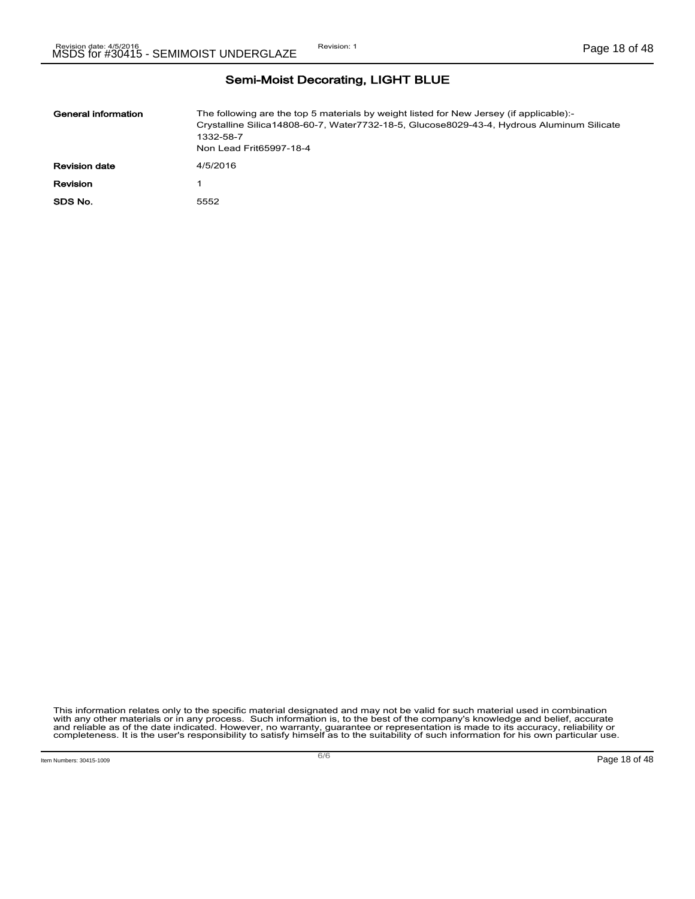| General information  | The following are the top 5 materials by weight listed for New Jersey (if applicable):-<br>Crystalline Silica14808-60-7, Water7732-18-5, Glucose8029-43-4, Hydrous Aluminum Silicate<br>1332-58-7<br>Non Lead Frit65997-18-4 |
|----------------------|------------------------------------------------------------------------------------------------------------------------------------------------------------------------------------------------------------------------------|
| <b>Revision date</b> | 4/5/2016                                                                                                                                                                                                                     |
| Revision             |                                                                                                                                                                                                                              |
| SDS No.              | 5552                                                                                                                                                                                                                         |

This information relates only to the specific material designated and may not be valid for such material used in combination<br>with any other materials or in any process. Such information is, to the best of the company's kn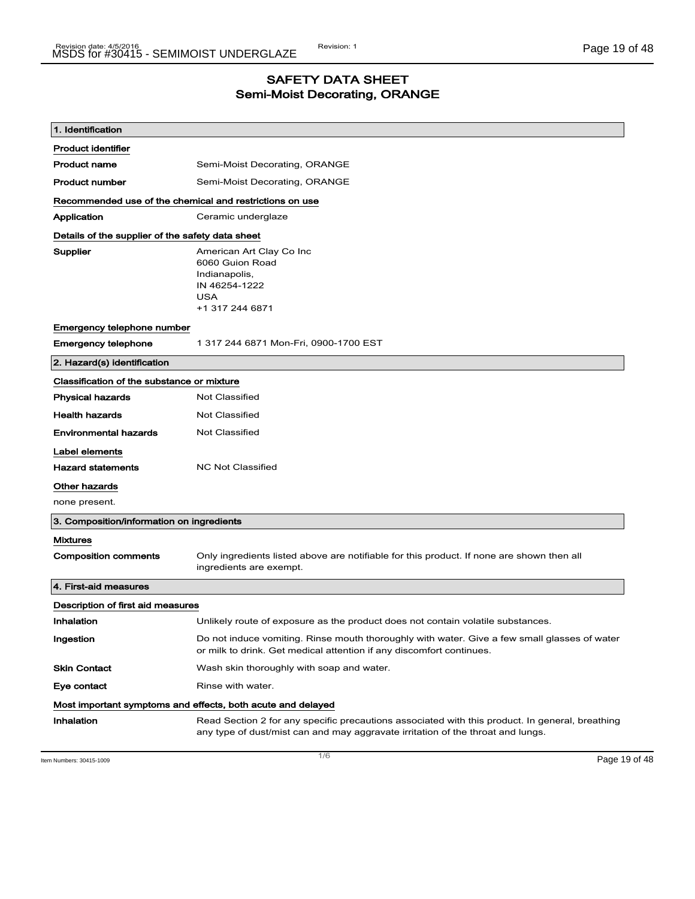## SAFETY DATA SHEET Semi-Moist Decorating, ORANGE

| 1. Identification                                |                                                                                                                                                                                    |  |  |
|--------------------------------------------------|------------------------------------------------------------------------------------------------------------------------------------------------------------------------------------|--|--|
| <b>Product identifier</b>                        |                                                                                                                                                                                    |  |  |
| <b>Product name</b>                              | Semi-Moist Decorating, ORANGE                                                                                                                                                      |  |  |
| <b>Product number</b>                            | Semi-Moist Decorating, ORANGE                                                                                                                                                      |  |  |
|                                                  | Recommended use of the chemical and restrictions on use                                                                                                                            |  |  |
| Application                                      | Ceramic underglaze                                                                                                                                                                 |  |  |
| Details of the supplier of the safety data sheet |                                                                                                                                                                                    |  |  |
| Supplier                                         | American Art Clay Co Inc<br>6060 Guion Road<br>Indianapolis,<br>IN 46254-1222<br><b>USA</b><br>+1 317 244 6871                                                                     |  |  |
| Emergency telephone number                       |                                                                                                                                                                                    |  |  |
| <b>Emergency telephone</b>                       | 1 317 244 6871 Mon-Fri, 0900-1700 EST                                                                                                                                              |  |  |
| 2. Hazard(s) identification                      |                                                                                                                                                                                    |  |  |
| Classification of the substance or mixture       |                                                                                                                                                                                    |  |  |
| <b>Physical hazards</b>                          | <b>Not Classified</b>                                                                                                                                                              |  |  |
| <b>Health hazards</b>                            | <b>Not Classified</b>                                                                                                                                                              |  |  |
| <b>Environmental hazards</b>                     | <b>Not Classified</b>                                                                                                                                                              |  |  |
| Label elements                                   |                                                                                                                                                                                    |  |  |
| <b>Hazard statements</b>                         | <b>NC Not Classified</b>                                                                                                                                                           |  |  |
| <b>Other hazards</b>                             |                                                                                                                                                                                    |  |  |
| none present.                                    |                                                                                                                                                                                    |  |  |
| 3. Composition/information on ingredients        |                                                                                                                                                                                    |  |  |
| <b>Mixtures</b>                                  |                                                                                                                                                                                    |  |  |
| <b>Composition comments</b>                      | Only ingredients listed above are notifiable for this product. If none are shown then all<br>ingredients are exempt.                                                               |  |  |
| 4. First-aid measures                            |                                                                                                                                                                                    |  |  |
| Description of first aid measures                |                                                                                                                                                                                    |  |  |
| Inhalation                                       | Unlikely route of exposure as the product does not contain volatile substances.                                                                                                    |  |  |
| Ingestion                                        | Do not induce vomiting. Rinse mouth thoroughly with water. Give a few small glasses of water<br>or milk to drink. Get medical attention if any discomfort continues.               |  |  |
| <b>Skin Contact</b>                              | Wash skin thoroughly with soap and water.                                                                                                                                          |  |  |
| Eye contact                                      | Rinse with water.                                                                                                                                                                  |  |  |
|                                                  | Most important symptoms and effects, both acute and delayed                                                                                                                        |  |  |
| Inhalation                                       | Read Section 2 for any specific precautions associated with this product. In general, breathing<br>any type of dust/mist can and may aggravate irritation of the throat and lungs. |  |  |

Item Numbers: 30415-1009 Page 19 of 48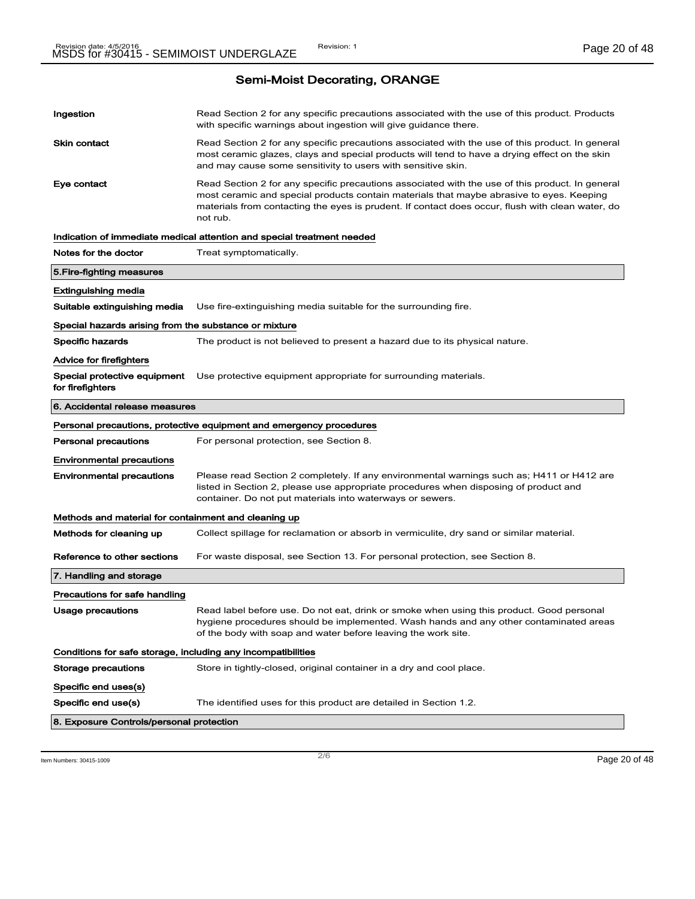Semi-Moist Decorating, ORANGE

| Ingestion<br>Read Section 2 for any specific precautions associated with the use of this product. Products<br>with specific warnings about ingestion will give guidance there.                                                                                                                                             |  |
|----------------------------------------------------------------------------------------------------------------------------------------------------------------------------------------------------------------------------------------------------------------------------------------------------------------------------|--|
| <b>Skin contact</b><br>Read Section 2 for any specific precautions associated with the use of this product. In general<br>most ceramic glazes, clays and special products will tend to have a drying effect on the skin<br>and may cause some sensitivity to users with sensitive skin.                                    |  |
| Eye contact<br>Read Section 2 for any specific precautions associated with the use of this product. In general<br>most ceramic and special products contain materials that maybe abrasive to eyes. Keeping<br>materials from contacting the eyes is prudent. If contact does occur, flush with clean water, do<br>not rub. |  |
| Indication of immediate medical attention and special treatment needed                                                                                                                                                                                                                                                     |  |
| Notes for the doctor<br>Treat symptomatically.                                                                                                                                                                                                                                                                             |  |
| 5. Fire-fighting measures                                                                                                                                                                                                                                                                                                  |  |
| Extinguishing media                                                                                                                                                                                                                                                                                                        |  |
| Suitable extinguishing media<br>Use fire-extinguishing media suitable for the surrounding fire.                                                                                                                                                                                                                            |  |
| Special hazards arising from the substance or mixture                                                                                                                                                                                                                                                                      |  |
| Specific hazards<br>The product is not believed to present a hazard due to its physical nature.                                                                                                                                                                                                                            |  |
| Advice for firefighters                                                                                                                                                                                                                                                                                                    |  |
| Special protective equipment<br>Use protective equipment appropriate for surrounding materials.<br>for firefighters                                                                                                                                                                                                        |  |
| 6. Accidental release measures                                                                                                                                                                                                                                                                                             |  |
| Personal precautions, protective equipment and emergency procedures                                                                                                                                                                                                                                                        |  |
| <b>Personal precautions</b><br>For personal protection, see Section 8.                                                                                                                                                                                                                                                     |  |
| <b>Environmental precautions</b>                                                                                                                                                                                                                                                                                           |  |
| <b>Environmental precautions</b><br>Please read Section 2 completely. If any environmental warnings such as; H411 or H412 are<br>listed in Section 2, please use appropriate procedures when disposing of product and<br>container. Do not put materials into waterways or sewers.                                         |  |
| Methods and material for containment and cleaning up                                                                                                                                                                                                                                                                       |  |
| Methods for cleaning up<br>Collect spillage for reclamation or absorb in vermiculite, dry sand or similar material.                                                                                                                                                                                                        |  |
| Reference to other sections<br>For waste disposal, see Section 13. For personal protection, see Section 8.                                                                                                                                                                                                                 |  |
| 7. Handling and storage                                                                                                                                                                                                                                                                                                    |  |
| Precautions for safe handling                                                                                                                                                                                                                                                                                              |  |
| <b>Usage precautions</b><br>Read label before use. Do not eat, drink or smoke when using this product. Good personal<br>hygiene procedures should be implemented. Wash hands and any other contaminated areas<br>of the body with soap and water before leaving the work site.                                             |  |
| Conditions for safe storage, including any incompatibilities                                                                                                                                                                                                                                                               |  |
| <b>Storage precautions</b><br>Store in tightly-closed, original container in a dry and cool place.                                                                                                                                                                                                                         |  |
|                                                                                                                                                                                                                                                                                                                            |  |
| Specific end uses(s)                                                                                                                                                                                                                                                                                                       |  |
| Specific end use(s)<br>The identified uses for this product are detailed in Section 1.2.                                                                                                                                                                                                                                   |  |

 $\frac{1}{2}$  Item Numbers: 30415-1009 **Page 20 of 48**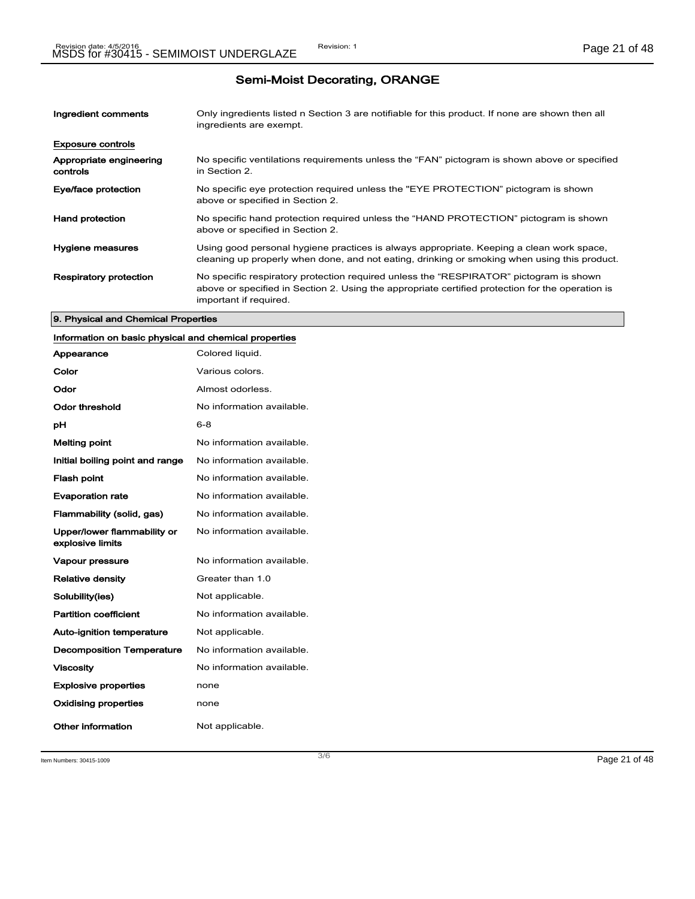# Semi-Moist Decorating, ORANGE

| Ingredient comments                 | Only ingredients listed n Section 3 are notifiable for this product. If none are shown then all<br>ingredients are exempt.                                                                                           |
|-------------------------------------|----------------------------------------------------------------------------------------------------------------------------------------------------------------------------------------------------------------------|
| <b>Exposure controls</b>            |                                                                                                                                                                                                                      |
| Appropriate engineering<br>controls | No specific ventilations requirements unless the "FAN" pictogram is shown above or specified<br>in Section 2.                                                                                                        |
| Eye/face protection                 | No specific eye protection required unless the "EYE PROTECTION" pictogram is shown<br>above or specified in Section 2.                                                                                               |
| <b>Hand protection</b>              | No specific hand protection required unless the "HAND PROTECTION" pictogram is shown<br>above or specified in Section 2.                                                                                             |
| <b>Hygiene measures</b>             | Using good personal hygiene practices is always appropriate. Keeping a clean work space,<br>cleaning up properly when done, and not eating, drinking or smoking when using this product.                             |
| <b>Respiratory protection</b>       | No specific respiratory protection required unless the "RESPIRATOR" pictogram is shown<br>above or specified in Section 2. Using the appropriate certified protection for the operation is<br>important if required. |

#### 9. Physical and Chemical Properties

### Information on basic physical and chemical properties

| Appearance                                      | Colored liquid.           |
|-------------------------------------------------|---------------------------|
| Color                                           | Various colors.           |
| Odor                                            | Almost odorless.          |
| Odor threshold                                  | No information available. |
| рH                                              | $6 - 8$                   |
| <b>Melting point</b>                            | No information available. |
| Initial boiling point and range                 | No information available. |
| <b>Flash point</b>                              | No information available. |
| <b>Evaporation rate</b>                         | No information available. |
| Flammability (solid, gas)                       | No information available. |
| Upper/lower flammability or<br>explosive limits | No information available. |
| <b>Vapour pressure</b>                          | No information available. |
| <b>Relative density</b>                         | Greater than 1.0          |
| Solubility(ies)                                 | Not applicable.           |
| <b>Partition coefficient</b>                    | No information available. |
| <b>Auto-ignition temperature</b>                | Not applicable.           |
| <b>Decomposition Temperature</b>                | No information available. |
| <b>Viscosity</b>                                | No information available. |
| <b>Explosive properties</b>                     | none                      |
| <b>Oxidising properties</b>                     | none                      |
| Other information                               | Not applicable.           |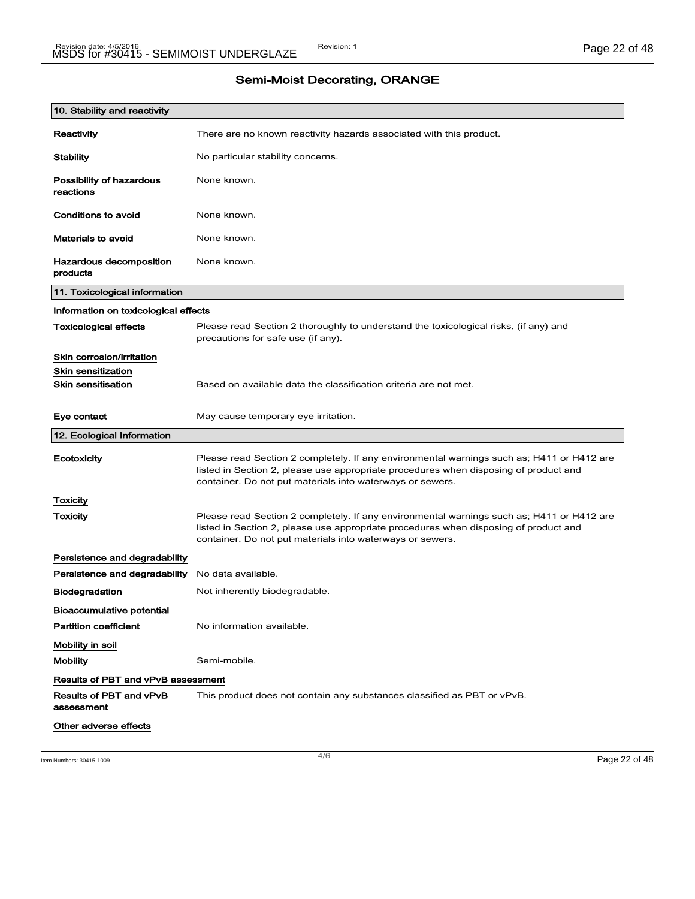| 10. Stability and reactivity              |                                                                                                                                                                                                                                                |
|-------------------------------------------|------------------------------------------------------------------------------------------------------------------------------------------------------------------------------------------------------------------------------------------------|
| Reactivity                                | There are no known reactivity hazards associated with this product.                                                                                                                                                                            |
| <b>Stability</b>                          | No particular stability concerns.                                                                                                                                                                                                              |
| Possibility of hazardous<br>reactions     | None known.                                                                                                                                                                                                                                    |
| Conditions to avoid                       | None known.                                                                                                                                                                                                                                    |
| <b>Materials to avoid</b>                 | None known.                                                                                                                                                                                                                                    |
| Hazardous decomposition<br>products       | None known.                                                                                                                                                                                                                                    |
| 11. Toxicological information             |                                                                                                                                                                                                                                                |
| Information on toxicological effects      |                                                                                                                                                                                                                                                |
| <b>Toxicological effects</b>              | Please read Section 2 thoroughly to understand the toxicological risks, (if any) and<br>precautions for safe use (if any).                                                                                                                     |
| Skin corrosion/irritation                 |                                                                                                                                                                                                                                                |
| <b>Skin sensitization</b>                 |                                                                                                                                                                                                                                                |
| <b>Skin sensitisation</b>                 | Based on available data the classification criteria are not met.                                                                                                                                                                               |
| Eye contact                               | May cause temporary eye irritation.                                                                                                                                                                                                            |
| 12. Ecological Information                |                                                                                                                                                                                                                                                |
| Ecotoxicity                               | Please read Section 2 completely. If any environmental warnings such as; H411 or H412 are<br>listed in Section 2, please use appropriate procedures when disposing of product and<br>container. Do not put materials into waterways or sewers. |
| Toxicity                                  |                                                                                                                                                                                                                                                |
| Toxicity                                  | Please read Section 2 completely. If any environmental warnings such as; H411 or H412 are<br>listed in Section 2, please use appropriate procedures when disposing of product and<br>container. Do not put materials into waterways or sewers. |
| Persistence and degradability             |                                                                                                                                                                                                                                                |
| Persistence and degradability             | No data available.                                                                                                                                                                                                                             |
| <b>Biodegradation</b>                     | Not inherently biodegradable.                                                                                                                                                                                                                  |
| <b>Bioaccumulative potential</b>          |                                                                                                                                                                                                                                                |
| <b>Partition coefficient</b>              | No information available.                                                                                                                                                                                                                      |
| Mobility in soil                          |                                                                                                                                                                                                                                                |
| <b>Mobility</b>                           | Semi-mobile.                                                                                                                                                                                                                                   |
| <b>Results of PBT and vPvB assessment</b> |                                                                                                                                                                                                                                                |
| Results of PBT and vPvB<br>assessment     | This product does not contain any substances classified as PBT or vPvB.                                                                                                                                                                        |
| Other adverse effects                     |                                                                                                                                                                                                                                                |

Item Numbers: 30415-1009 Page 22 of 48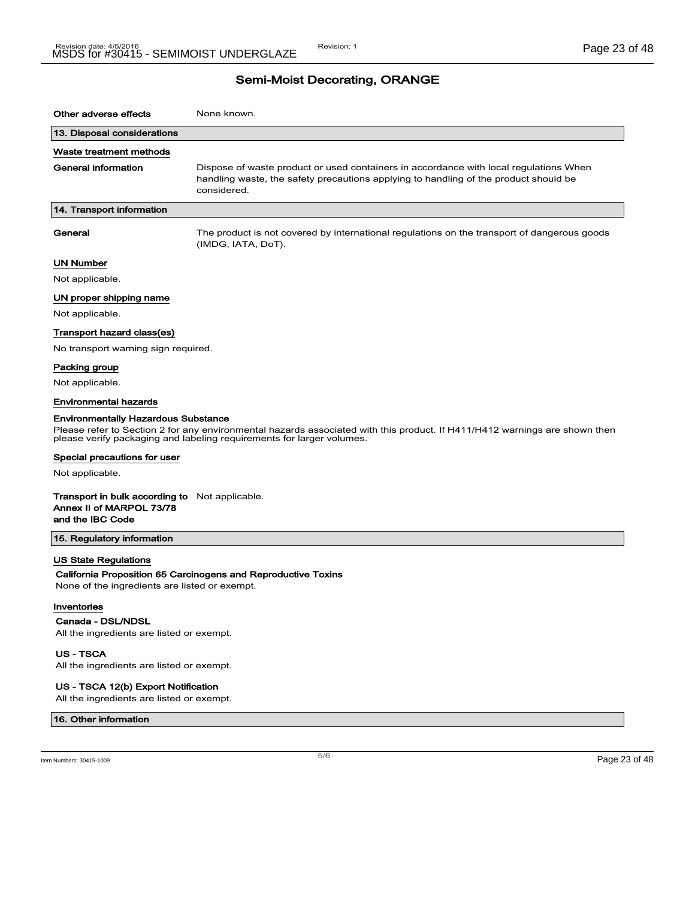# Semi-Moist Decorating, ORANGE

| Other adverse effects                                                                                 | None known.                                                                                                                                                                                         |
|-------------------------------------------------------------------------------------------------------|-----------------------------------------------------------------------------------------------------------------------------------------------------------------------------------------------------|
| 13. Disposal considerations                                                                           |                                                                                                                                                                                                     |
| Waste treatment methods                                                                               |                                                                                                                                                                                                     |
| <b>General information</b>                                                                            | Dispose of waste product or used containers in accordance with local regulations When<br>handling waste, the safety precautions applying to handling of the product should be<br>considered.        |
| 14. Transport information                                                                             |                                                                                                                                                                                                     |
| General                                                                                               | The product is not covered by international regulations on the transport of dangerous goods<br>(IMDG, IATA, DoT).                                                                                   |
| UN Number                                                                                             |                                                                                                                                                                                                     |
| Not applicable.                                                                                       |                                                                                                                                                                                                     |
| UN proper shipping name                                                                               |                                                                                                                                                                                                     |
| Not applicable.                                                                                       |                                                                                                                                                                                                     |
| Transport hazard class(es)                                                                            |                                                                                                                                                                                                     |
| No transport warning sign required.                                                                   |                                                                                                                                                                                                     |
| Packing group                                                                                         |                                                                                                                                                                                                     |
| Not applicable.                                                                                       |                                                                                                                                                                                                     |
| <b>Environmental hazards</b>                                                                          |                                                                                                                                                                                                     |
| <b>Environmentally Hazardous Substance</b>                                                            | Please refer to Section 2 for any environmental hazards associated with this product. If H411/H412 warnings are shown then<br>please verify packaging and labeling requirements for larger volumes. |
| Special precautions for user                                                                          |                                                                                                                                                                                                     |
| Not applicable.                                                                                       |                                                                                                                                                                                                     |
| <b>Transport in bulk according to</b> Not applicable.<br>Annex II of MARPOL 73/78<br>and the IBC Code |                                                                                                                                                                                                     |
| 15. Regulatory information                                                                            |                                                                                                                                                                                                     |
| <b>US State Regulations</b>                                                                           |                                                                                                                                                                                                     |
| None of the ingredients are listed or exempt.                                                         | California Proposition 65 Carcinogens and Reproductive Toxins                                                                                                                                       |
| Inventories                                                                                           |                                                                                                                                                                                                     |
| Canada - DSL/NDSL                                                                                     |                                                                                                                                                                                                     |
| All the ingredients are listed or exempt.                                                             |                                                                                                                                                                                                     |
| <b>US-TSCA</b><br>All the ingredients are listed or exempt.                                           |                                                                                                                                                                                                     |
|                                                                                                       |                                                                                                                                                                                                     |

### US - TSCA 12(b) Export Notification

All the ingredients are listed or exempt.

#### 16. Other information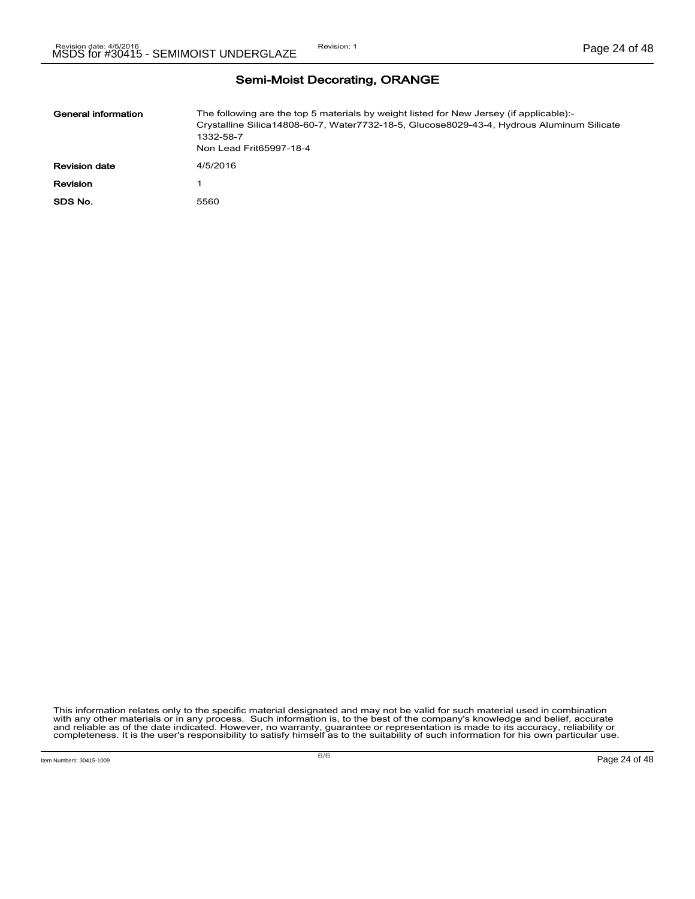Semi-Moist Decorating, ORANGE

| General information  | The following are the top 5 materials by weight listed for New Jersey (if applicable):-<br>Crystalline Silica14808-60-7, Water7732-18-5, Glucose8029-43-4, Hydrous Aluminum Silicate<br>1332-58-7<br>Non Lead Frit65997-18-4 |
|----------------------|------------------------------------------------------------------------------------------------------------------------------------------------------------------------------------------------------------------------------|
| <b>Revision date</b> | 4/5/2016                                                                                                                                                                                                                     |
| Revision             |                                                                                                                                                                                                                              |
| SDS No.              | 5560                                                                                                                                                                                                                         |

This information relates only to the specific material designated and may not be valid for such material used in combination<br>with any other materials or in any process. Such information is, to the best of the company's kn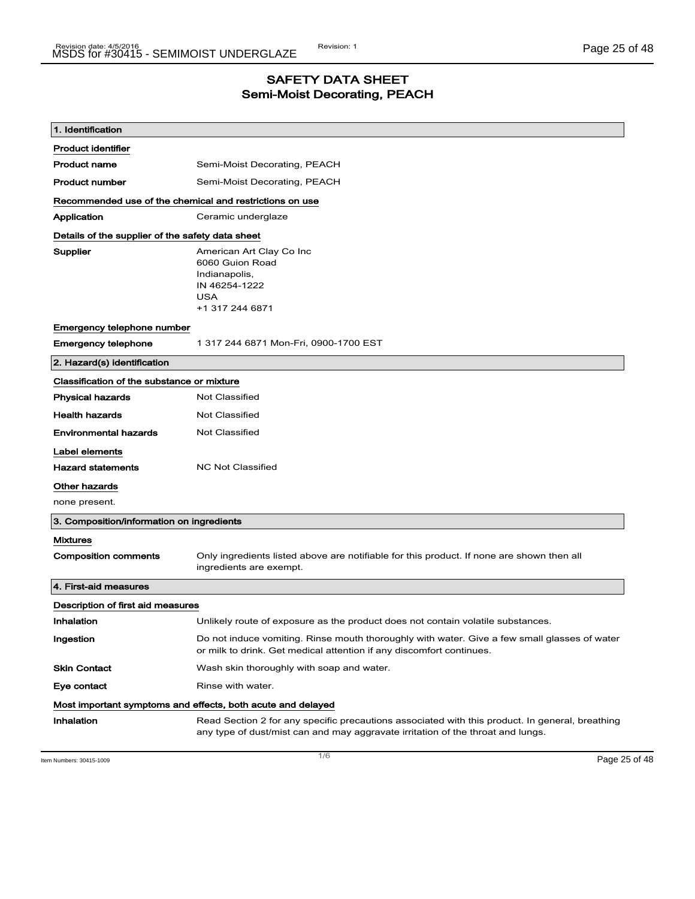### SAFETY DATA SHEET Semi-Moist Decorating, PEACH

| 1. Identification                                       |                                                                                                                                                                                    |
|---------------------------------------------------------|------------------------------------------------------------------------------------------------------------------------------------------------------------------------------------|
| <b>Product identifier</b>                               |                                                                                                                                                                                    |
| <b>Product name</b>                                     | Semi-Moist Decorating, PEACH                                                                                                                                                       |
| <b>Product number</b>                                   | Semi-Moist Decorating, PEACH                                                                                                                                                       |
| Recommended use of the chemical and restrictions on use |                                                                                                                                                                                    |
| Application                                             | Ceramic underglaze                                                                                                                                                                 |
| Details of the supplier of the safety data sheet        |                                                                                                                                                                                    |
| Supplier                                                | American Art Clay Co Inc<br>6060 Guion Road<br>Indianapolis,<br>IN 46254-1222<br><b>USA</b><br>+1 317 244 6871                                                                     |
| Emergency telephone number                              |                                                                                                                                                                                    |
| <b>Emergency telephone</b>                              | 1 317 244 6871 Mon-Fri, 0900-1700 EST                                                                                                                                              |
| 2. Hazard(s) identification                             |                                                                                                                                                                                    |
| Classification of the substance or mixture              |                                                                                                                                                                                    |
| <b>Physical hazards</b>                                 | <b>Not Classified</b>                                                                                                                                                              |
| <b>Health hazards</b>                                   | Not Classified                                                                                                                                                                     |
| <b>Environmental hazards</b>                            | <b>Not Classified</b>                                                                                                                                                              |
| Label elements                                          |                                                                                                                                                                                    |
| <b>Hazard statements</b>                                | <b>NC Not Classified</b>                                                                                                                                                           |
| Other hazards                                           |                                                                                                                                                                                    |
| none present.                                           |                                                                                                                                                                                    |
| 3. Composition/information on ingredients               |                                                                                                                                                                                    |
| <b>Mixtures</b>                                         |                                                                                                                                                                                    |
| <b>Composition comments</b>                             | Only ingredients listed above are notifiable for this product. If none are shown then all<br>ingredients are exempt.                                                               |
| 4. First-aid measures                                   |                                                                                                                                                                                    |
| Description of first aid measures                       |                                                                                                                                                                                    |
| Inhalation                                              | Unlikely route of exposure as the product does not contain volatile substances.                                                                                                    |
| Ingestion                                               | Do not induce vomiting. Rinse mouth thoroughly with water. Give a few small glasses of water<br>or milk to drink. Get medical attention if any discomfort continues.               |
| <b>Skin Contact</b>                                     | Wash skin thoroughly with soap and water.                                                                                                                                          |
| Eye contact                                             | Rinse with water.                                                                                                                                                                  |
|                                                         | Most important symptoms and effects, both acute and delayed                                                                                                                        |
| Inhalation                                              | Read Section 2 for any specific precautions associated with this product. In general, breathing<br>any type of dust/mist can and may aggravate irritation of the throat and lungs. |

Item Numbers: 30415-1009 Page 25 of 48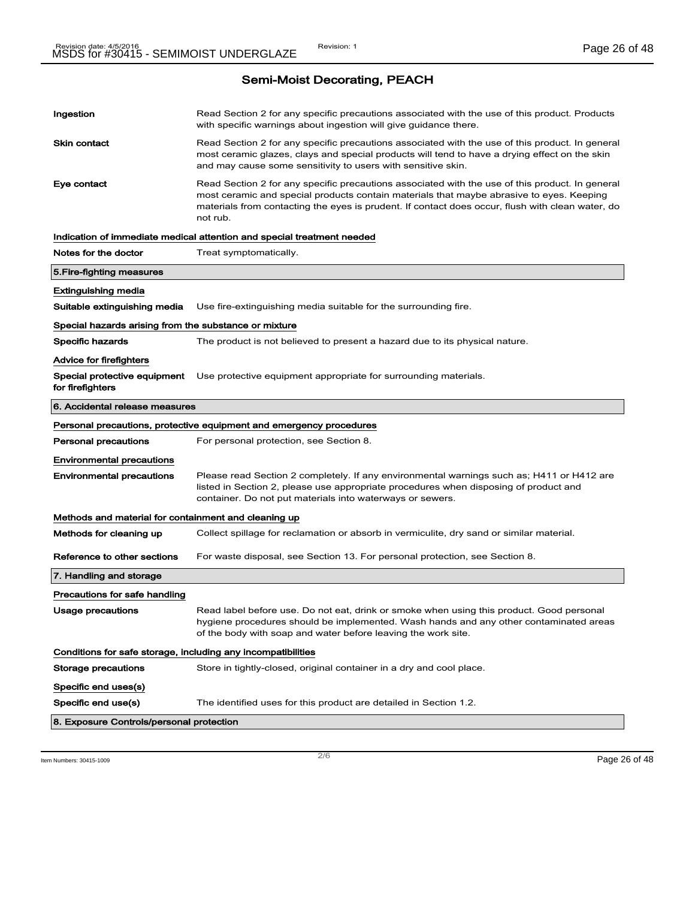Semi-Moist Decorating, PEACH

| Read Section 2 for any specific precautions associated with the use of this product. Products<br>with specific warnings about ingestion will give guidance there.<br>Read Section 2 for any specific precautions associated with the use of this product. In general<br>most ceramic glazes, clays and special products will tend to have a drying effect on the skin<br>and may cause some sensitivity to users with sensitive skin.<br>Read Section 2 for any specific precautions associated with the use of this product. In general<br>most ceramic and special products contain materials that maybe abrasive to eyes. Keeping<br>materials from contacting the eyes is prudent. If contact does occur, flush with clean water, do<br>not rub.<br>Indication of immediate medical attention and special treatment needed<br>Treat symptomatically.<br>Use fire-extinguishing media suitable for the surrounding fire.<br>Special hazards arising from the substance or mixture<br>The product is not believed to present a hazard due to its physical nature.<br>Use protective equipment appropriate for surrounding materials.<br>Personal precautions, protective equipment and emergency procedures<br>For personal protection, see Section 8.<br>Please read Section 2 completely. If any environmental warnings such as; H411 or H412 are<br>listed in Section 2, please use appropriate procedures when disposing of product and<br>container. Do not put materials into waterways or sewers.<br>Methods and material for containment and cleaning up<br>Collect spillage for reclamation or absorb in vermiculite, dry sand or similar material.<br>For waste disposal, see Section 13. For personal protection, see Section 8.<br>Read label before use. Do not eat, drink or smoke when using this product. Good personal<br>hygiene procedures should be implemented. Wash hands and any other contaminated areas<br>of the body with soap and water before leaving the work site.<br>Conditions for safe storage, including any incompatibilities<br>Store in tightly-closed, original container in a dry and cool place.<br>The identified uses for this product are detailed in Section 1.2.<br>8. Exposure Controls/personal protection |                                                  |  |  |
|--------------------------------------------------------------------------------------------------------------------------------------------------------------------------------------------------------------------------------------------------------------------------------------------------------------------------------------------------------------------------------------------------------------------------------------------------------------------------------------------------------------------------------------------------------------------------------------------------------------------------------------------------------------------------------------------------------------------------------------------------------------------------------------------------------------------------------------------------------------------------------------------------------------------------------------------------------------------------------------------------------------------------------------------------------------------------------------------------------------------------------------------------------------------------------------------------------------------------------------------------------------------------------------------------------------------------------------------------------------------------------------------------------------------------------------------------------------------------------------------------------------------------------------------------------------------------------------------------------------------------------------------------------------------------------------------------------------------------------------------------------------------------------------------------------------------------------------------------------------------------------------------------------------------------------------------------------------------------------------------------------------------------------------------------------------------------------------------------------------------------------------------------------------------------------------------------------------------------------------------------------------|--------------------------------------------------|--|--|
|                                                                                                                                                                                                                                                                                                                                                                                                                                                                                                                                                                                                                                                                                                                                                                                                                                                                                                                                                                                                                                                                                                                                                                                                                                                                                                                                                                                                                                                                                                                                                                                                                                                                                                                                                                                                                                                                                                                                                                                                                                                                                                                                                                                                                                                              | Ingestion                                        |  |  |
|                                                                                                                                                                                                                                                                                                                                                                                                                                                                                                                                                                                                                                                                                                                                                                                                                                                                                                                                                                                                                                                                                                                                                                                                                                                                                                                                                                                                                                                                                                                                                                                                                                                                                                                                                                                                                                                                                                                                                                                                                                                                                                                                                                                                                                                              | <b>Skin contact</b>                              |  |  |
|                                                                                                                                                                                                                                                                                                                                                                                                                                                                                                                                                                                                                                                                                                                                                                                                                                                                                                                                                                                                                                                                                                                                                                                                                                                                                                                                                                                                                                                                                                                                                                                                                                                                                                                                                                                                                                                                                                                                                                                                                                                                                                                                                                                                                                                              | Eye contact                                      |  |  |
|                                                                                                                                                                                                                                                                                                                                                                                                                                                                                                                                                                                                                                                                                                                                                                                                                                                                                                                                                                                                                                                                                                                                                                                                                                                                                                                                                                                                                                                                                                                                                                                                                                                                                                                                                                                                                                                                                                                                                                                                                                                                                                                                                                                                                                                              |                                                  |  |  |
|                                                                                                                                                                                                                                                                                                                                                                                                                                                                                                                                                                                                                                                                                                                                                                                                                                                                                                                                                                                                                                                                                                                                                                                                                                                                                                                                                                                                                                                                                                                                                                                                                                                                                                                                                                                                                                                                                                                                                                                                                                                                                                                                                                                                                                                              | Notes for the doctor                             |  |  |
|                                                                                                                                                                                                                                                                                                                                                                                                                                                                                                                                                                                                                                                                                                                                                                                                                                                                                                                                                                                                                                                                                                                                                                                                                                                                                                                                                                                                                                                                                                                                                                                                                                                                                                                                                                                                                                                                                                                                                                                                                                                                                                                                                                                                                                                              | 5. Fire-fighting measures                        |  |  |
|                                                                                                                                                                                                                                                                                                                                                                                                                                                                                                                                                                                                                                                                                                                                                                                                                                                                                                                                                                                                                                                                                                                                                                                                                                                                                                                                                                                                                                                                                                                                                                                                                                                                                                                                                                                                                                                                                                                                                                                                                                                                                                                                                                                                                                                              | Extinguishing media                              |  |  |
|                                                                                                                                                                                                                                                                                                                                                                                                                                                                                                                                                                                                                                                                                                                                                                                                                                                                                                                                                                                                                                                                                                                                                                                                                                                                                                                                                                                                                                                                                                                                                                                                                                                                                                                                                                                                                                                                                                                                                                                                                                                                                                                                                                                                                                                              | Suitable extinguishing media                     |  |  |
|                                                                                                                                                                                                                                                                                                                                                                                                                                                                                                                                                                                                                                                                                                                                                                                                                                                                                                                                                                                                                                                                                                                                                                                                                                                                                                                                                                                                                                                                                                                                                                                                                                                                                                                                                                                                                                                                                                                                                                                                                                                                                                                                                                                                                                                              |                                                  |  |  |
|                                                                                                                                                                                                                                                                                                                                                                                                                                                                                                                                                                                                                                                                                                                                                                                                                                                                                                                                                                                                                                                                                                                                                                                                                                                                                                                                                                                                                                                                                                                                                                                                                                                                                                                                                                                                                                                                                                                                                                                                                                                                                                                                                                                                                                                              | Specific hazards                                 |  |  |
|                                                                                                                                                                                                                                                                                                                                                                                                                                                                                                                                                                                                                                                                                                                                                                                                                                                                                                                                                                                                                                                                                                                                                                                                                                                                                                                                                                                                                                                                                                                                                                                                                                                                                                                                                                                                                                                                                                                                                                                                                                                                                                                                                                                                                                                              | Advice for firefighters                          |  |  |
|                                                                                                                                                                                                                                                                                                                                                                                                                                                                                                                                                                                                                                                                                                                                                                                                                                                                                                                                                                                                                                                                                                                                                                                                                                                                                                                                                                                                                                                                                                                                                                                                                                                                                                                                                                                                                                                                                                                                                                                                                                                                                                                                                                                                                                                              | Special protective equipment<br>for firefighters |  |  |
|                                                                                                                                                                                                                                                                                                                                                                                                                                                                                                                                                                                                                                                                                                                                                                                                                                                                                                                                                                                                                                                                                                                                                                                                                                                                                                                                                                                                                                                                                                                                                                                                                                                                                                                                                                                                                                                                                                                                                                                                                                                                                                                                                                                                                                                              | 6. Accidental release measures                   |  |  |
|                                                                                                                                                                                                                                                                                                                                                                                                                                                                                                                                                                                                                                                                                                                                                                                                                                                                                                                                                                                                                                                                                                                                                                                                                                                                                                                                                                                                                                                                                                                                                                                                                                                                                                                                                                                                                                                                                                                                                                                                                                                                                                                                                                                                                                                              |                                                  |  |  |
|                                                                                                                                                                                                                                                                                                                                                                                                                                                                                                                                                                                                                                                                                                                                                                                                                                                                                                                                                                                                                                                                                                                                                                                                                                                                                                                                                                                                                                                                                                                                                                                                                                                                                                                                                                                                                                                                                                                                                                                                                                                                                                                                                                                                                                                              | <b>Personal precautions</b>                      |  |  |
|                                                                                                                                                                                                                                                                                                                                                                                                                                                                                                                                                                                                                                                                                                                                                                                                                                                                                                                                                                                                                                                                                                                                                                                                                                                                                                                                                                                                                                                                                                                                                                                                                                                                                                                                                                                                                                                                                                                                                                                                                                                                                                                                                                                                                                                              | <b>Environmental precautions</b>                 |  |  |
|                                                                                                                                                                                                                                                                                                                                                                                                                                                                                                                                                                                                                                                                                                                                                                                                                                                                                                                                                                                                                                                                                                                                                                                                                                                                                                                                                                                                                                                                                                                                                                                                                                                                                                                                                                                                                                                                                                                                                                                                                                                                                                                                                                                                                                                              | <b>Environmental precautions</b>                 |  |  |
|                                                                                                                                                                                                                                                                                                                                                                                                                                                                                                                                                                                                                                                                                                                                                                                                                                                                                                                                                                                                                                                                                                                                                                                                                                                                                                                                                                                                                                                                                                                                                                                                                                                                                                                                                                                                                                                                                                                                                                                                                                                                                                                                                                                                                                                              |                                                  |  |  |
|                                                                                                                                                                                                                                                                                                                                                                                                                                                                                                                                                                                                                                                                                                                                                                                                                                                                                                                                                                                                                                                                                                                                                                                                                                                                                                                                                                                                                                                                                                                                                                                                                                                                                                                                                                                                                                                                                                                                                                                                                                                                                                                                                                                                                                                              | Methods for cleaning up                          |  |  |
|                                                                                                                                                                                                                                                                                                                                                                                                                                                                                                                                                                                                                                                                                                                                                                                                                                                                                                                                                                                                                                                                                                                                                                                                                                                                                                                                                                                                                                                                                                                                                                                                                                                                                                                                                                                                                                                                                                                                                                                                                                                                                                                                                                                                                                                              | Reference to other sections                      |  |  |
|                                                                                                                                                                                                                                                                                                                                                                                                                                                                                                                                                                                                                                                                                                                                                                                                                                                                                                                                                                                                                                                                                                                                                                                                                                                                                                                                                                                                                                                                                                                                                                                                                                                                                                                                                                                                                                                                                                                                                                                                                                                                                                                                                                                                                                                              | 7. Handling and storage                          |  |  |
|                                                                                                                                                                                                                                                                                                                                                                                                                                                                                                                                                                                                                                                                                                                                                                                                                                                                                                                                                                                                                                                                                                                                                                                                                                                                                                                                                                                                                                                                                                                                                                                                                                                                                                                                                                                                                                                                                                                                                                                                                                                                                                                                                                                                                                                              | Precautions for safe handling                    |  |  |
|                                                                                                                                                                                                                                                                                                                                                                                                                                                                                                                                                                                                                                                                                                                                                                                                                                                                                                                                                                                                                                                                                                                                                                                                                                                                                                                                                                                                                                                                                                                                                                                                                                                                                                                                                                                                                                                                                                                                                                                                                                                                                                                                                                                                                                                              | Usage precautions                                |  |  |
|                                                                                                                                                                                                                                                                                                                                                                                                                                                                                                                                                                                                                                                                                                                                                                                                                                                                                                                                                                                                                                                                                                                                                                                                                                                                                                                                                                                                                                                                                                                                                                                                                                                                                                                                                                                                                                                                                                                                                                                                                                                                                                                                                                                                                                                              |                                                  |  |  |
|                                                                                                                                                                                                                                                                                                                                                                                                                                                                                                                                                                                                                                                                                                                                                                                                                                                                                                                                                                                                                                                                                                                                                                                                                                                                                                                                                                                                                                                                                                                                                                                                                                                                                                                                                                                                                                                                                                                                                                                                                                                                                                                                                                                                                                                              | Storage precautions                              |  |  |
|                                                                                                                                                                                                                                                                                                                                                                                                                                                                                                                                                                                                                                                                                                                                                                                                                                                                                                                                                                                                                                                                                                                                                                                                                                                                                                                                                                                                                                                                                                                                                                                                                                                                                                                                                                                                                                                                                                                                                                                                                                                                                                                                                                                                                                                              | Specific end uses(s)                             |  |  |
|                                                                                                                                                                                                                                                                                                                                                                                                                                                                                                                                                                                                                                                                                                                                                                                                                                                                                                                                                                                                                                                                                                                                                                                                                                                                                                                                                                                                                                                                                                                                                                                                                                                                                                                                                                                                                                                                                                                                                                                                                                                                                                                                                                                                                                                              | Specific end use(s)                              |  |  |
|                                                                                                                                                                                                                                                                                                                                                                                                                                                                                                                                                                                                                                                                                                                                                                                                                                                                                                                                                                                                                                                                                                                                                                                                                                                                                                                                                                                                                                                                                                                                                                                                                                                                                                                                                                                                                                                                                                                                                                                                                                                                                                                                                                                                                                                              |                                                  |  |  |

 $\frac{1}{2}$  Item Numbers: 30415-1009 **Page 26 of 48**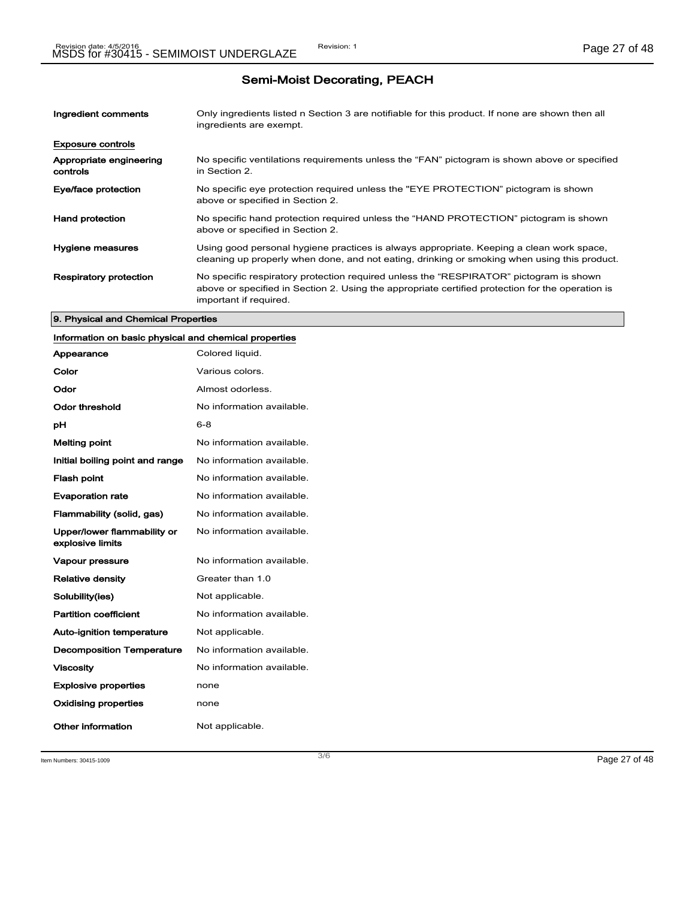# Semi-Moist Decorating, PEACH

| Ingredient comments                 | Only ingredients listed n Section 3 are notifiable for this product. If none are shown then all<br>ingredients are exempt.                                                                                           |
|-------------------------------------|----------------------------------------------------------------------------------------------------------------------------------------------------------------------------------------------------------------------|
| <b>Exposure controls</b>            |                                                                                                                                                                                                                      |
| Appropriate engineering<br>controls | No specific ventilations requirements unless the "FAN" pictogram is shown above or specified<br>in Section 2.                                                                                                        |
| Eye/face protection                 | No specific eye protection required unless the "EYE PROTECTION" pictogram is shown<br>above or specified in Section 2.                                                                                               |
| <b>Hand protection</b>              | No specific hand protection required unless the "HAND PROTECTION" pictogram is shown<br>above or specified in Section 2.                                                                                             |
| Hygiene measures                    | Using good personal hygiene practices is always appropriate. Keeping a clean work space,<br>cleaning up properly when done, and not eating, drinking or smoking when using this product.                             |
| <b>Respiratory protection</b>       | No specific respiratory protection required unless the "RESPIRATOR" pictogram is shown<br>above or specified in Section 2. Using the appropriate certified protection for the operation is<br>important if required. |

#### 9. Physical and Chemical Properties

### Information on basic physical and chemical properties

| Appearance                                      | Colored liquid.           |
|-------------------------------------------------|---------------------------|
| Color                                           | Various colors.           |
| Odor                                            | Almost odorless.          |
| Odor threshold                                  | No information available. |
| рH                                              | 6-8                       |
| <b>Melting point</b>                            | No information available. |
| Initial boiling point and range                 | No information available. |
| <b>Flash point</b>                              | No information available. |
| <b>Evaporation rate</b>                         | No information available. |
| Flammability (solid, gas)                       | No information available. |
| Upper/lower flammability or<br>explosive limits | No information available. |
| <b>Vapour pressure</b>                          | No information available. |
| <b>Relative density</b>                         | Greater than 1.0          |
| Solubility(ies)                                 | Not applicable.           |
| <b>Partition coefficient</b>                    | No information available. |
| <b>Auto-ignition temperature</b>                | Not applicable.           |
| <b>Decomposition Temperature</b>                | No information available. |
| <b>Viscosity</b>                                | No information available. |
| <b>Explosive properties</b>                     | none                      |
| <b>Oxidising properties</b>                     | none                      |
| Other information                               | Not applicable.           |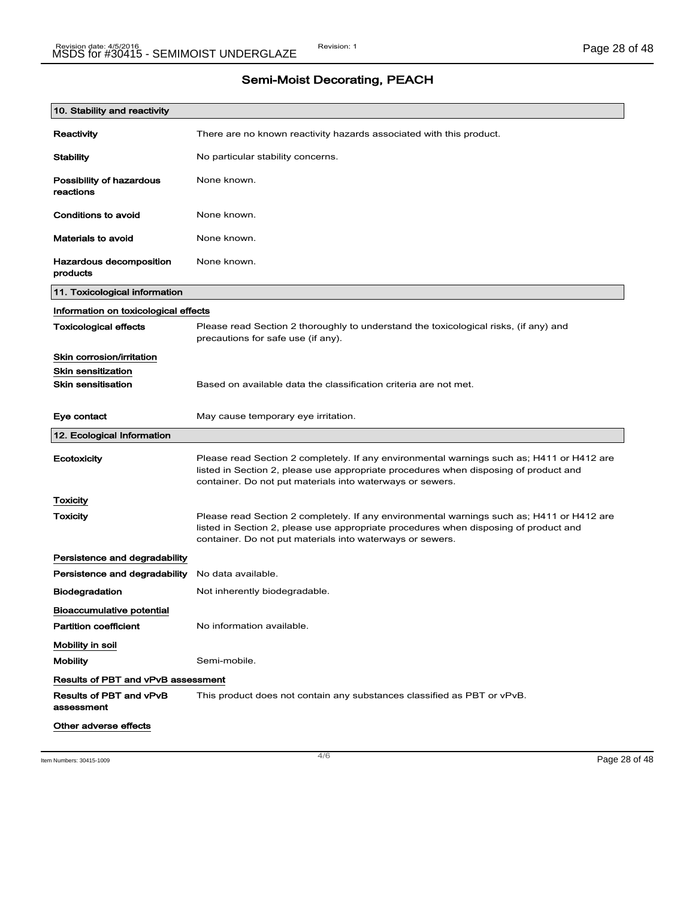|  | <b>Semi-Moist Decorating, PEACH</b> |  |
|--|-------------------------------------|--|
|--|-------------------------------------|--|

| 10. Stability and reactivity              |                                                                                                                                                                                                                                                |
|-------------------------------------------|------------------------------------------------------------------------------------------------------------------------------------------------------------------------------------------------------------------------------------------------|
| Reactivity                                | There are no known reactivity hazards associated with this product.                                                                                                                                                                            |
| <b>Stability</b>                          | No particular stability concerns.                                                                                                                                                                                                              |
| Possibility of hazardous<br>reactions     | None known.                                                                                                                                                                                                                                    |
| Conditions to avoid                       | None known.                                                                                                                                                                                                                                    |
| <b>Materials to avoid</b>                 | None known.                                                                                                                                                                                                                                    |
| Hazardous decomposition<br>products       | None known.                                                                                                                                                                                                                                    |
| 11. Toxicological information             |                                                                                                                                                                                                                                                |
| Information on toxicological effects      |                                                                                                                                                                                                                                                |
| <b>Toxicological effects</b>              | Please read Section 2 thoroughly to understand the toxicological risks, (if any) and<br>precautions for safe use (if any).                                                                                                                     |
| Skin corrosion/irritation                 |                                                                                                                                                                                                                                                |
| <b>Skin sensitization</b>                 |                                                                                                                                                                                                                                                |
| <b>Skin sensitisation</b>                 | Based on available data the classification criteria are not met.                                                                                                                                                                               |
| Eye contact                               | May cause temporary eye irritation.                                                                                                                                                                                                            |
| 12. Ecological Information                |                                                                                                                                                                                                                                                |
| Ecotoxicity                               | Please read Section 2 completely. If any environmental warnings such as; H411 or H412 are<br>listed in Section 2, please use appropriate procedures when disposing of product and<br>container. Do not put materials into waterways or sewers. |
| Toxicity                                  |                                                                                                                                                                                                                                                |
| <b>Toxicity</b>                           | Please read Section 2 completely. If any environmental warnings such as; H411 or H412 are<br>listed in Section 2, please use appropriate procedures when disposing of product and<br>container. Do not put materials into waterways or sewers. |
| Persistence and degradability             |                                                                                                                                                                                                                                                |
| Persistence and degradability             | No data available.                                                                                                                                                                                                                             |
| Biodegradation                            | Not inherently biodegradable.                                                                                                                                                                                                                  |
| Bioaccumulative potential                 |                                                                                                                                                                                                                                                |
| <b>Partition coefficient</b>              | No information available.                                                                                                                                                                                                                      |
| Mobility in soil                          |                                                                                                                                                                                                                                                |
| <b>Mobility</b>                           | Semi-mobile.                                                                                                                                                                                                                                   |
| <b>Results of PBT and vPvB assessment</b> |                                                                                                                                                                                                                                                |
| Results of PBT and vPvB<br>assessment     | This product does not contain any substances classified as PBT or vPvB.                                                                                                                                                                        |
|                                           |                                                                                                                                                                                                                                                |

 $\frac{4}{6}$  Item Numbers: 30415-1009 **Page 28 of 48**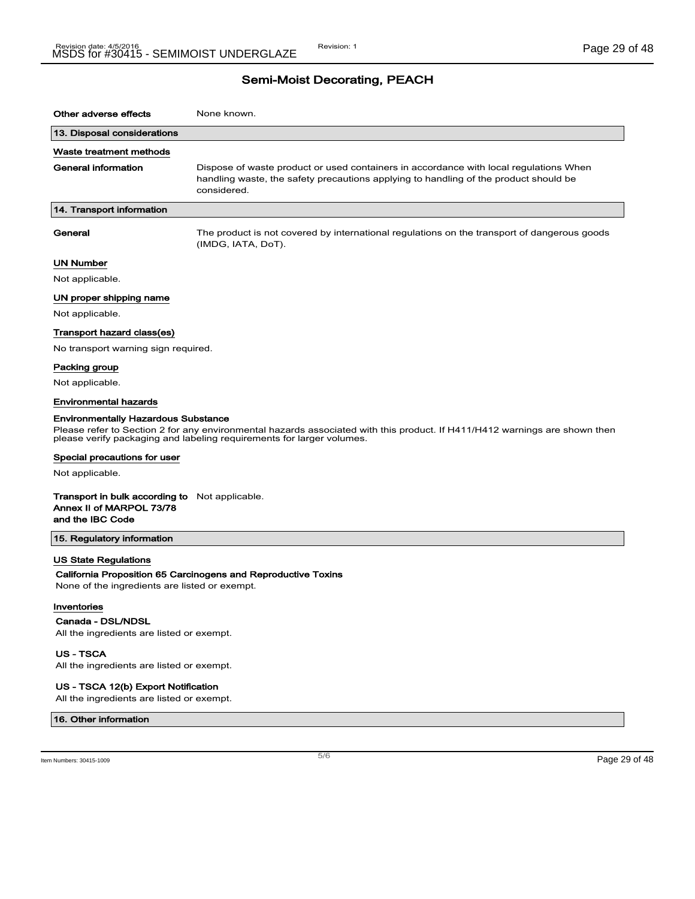# Semi-Moist Decorating, PEACH

| Other adverse effects                                                                                 | None known.                                                                                                                                                                                         |
|-------------------------------------------------------------------------------------------------------|-----------------------------------------------------------------------------------------------------------------------------------------------------------------------------------------------------|
| 13. Disposal considerations                                                                           |                                                                                                                                                                                                     |
| Waste treatment methods                                                                               |                                                                                                                                                                                                     |
| <b>General information</b>                                                                            | Dispose of waste product or used containers in accordance with local regulations When<br>handling waste, the safety precautions applying to handling of the product should be<br>considered.        |
| 14. Transport information                                                                             |                                                                                                                                                                                                     |
| General                                                                                               | The product is not covered by international regulations on the transport of dangerous goods<br>(IMDG, IATA, DoT).                                                                                   |
| <b>UN Number</b>                                                                                      |                                                                                                                                                                                                     |
| Not applicable.                                                                                       |                                                                                                                                                                                                     |
| UN proper shipping name                                                                               |                                                                                                                                                                                                     |
| Not applicable.                                                                                       |                                                                                                                                                                                                     |
| Transport hazard class(es)                                                                            |                                                                                                                                                                                                     |
| No transport warning sign required.                                                                   |                                                                                                                                                                                                     |
| Packing group                                                                                         |                                                                                                                                                                                                     |
| Not applicable.                                                                                       |                                                                                                                                                                                                     |
| <b>Environmental hazards</b>                                                                          |                                                                                                                                                                                                     |
| <b>Environmentally Hazardous Substance</b>                                                            | Please refer to Section 2 for any environmental hazards associated with this product. If H411/H412 warnings are shown then<br>please verify packaging and labeling requirements for larger volumes. |
| Special precautions for user                                                                          |                                                                                                                                                                                                     |
| Not applicable.                                                                                       |                                                                                                                                                                                                     |
| <b>Transport in bulk according to</b> Not applicable.<br>Annex II of MARPOL 73/78<br>and the IBC Code |                                                                                                                                                                                                     |
| 15. Regulatory information                                                                            |                                                                                                                                                                                                     |
| <b>US State Regulations</b><br>None of the ingredients are listed or exempt.                          | California Proposition 65 Carcinogens and Reproductive Toxins                                                                                                                                       |
| Inventories                                                                                           |                                                                                                                                                                                                     |
| Canada - DSL/NDSL<br>All the ingredients are listed or exempt.                                        |                                                                                                                                                                                                     |
| <b>US-TSCA</b><br>All the ingredients are listed or exempt.                                           |                                                                                                                                                                                                     |

### US - TSCA 12(b) Export Notification

All the ingredients are listed or exempt.

#### 16. Other information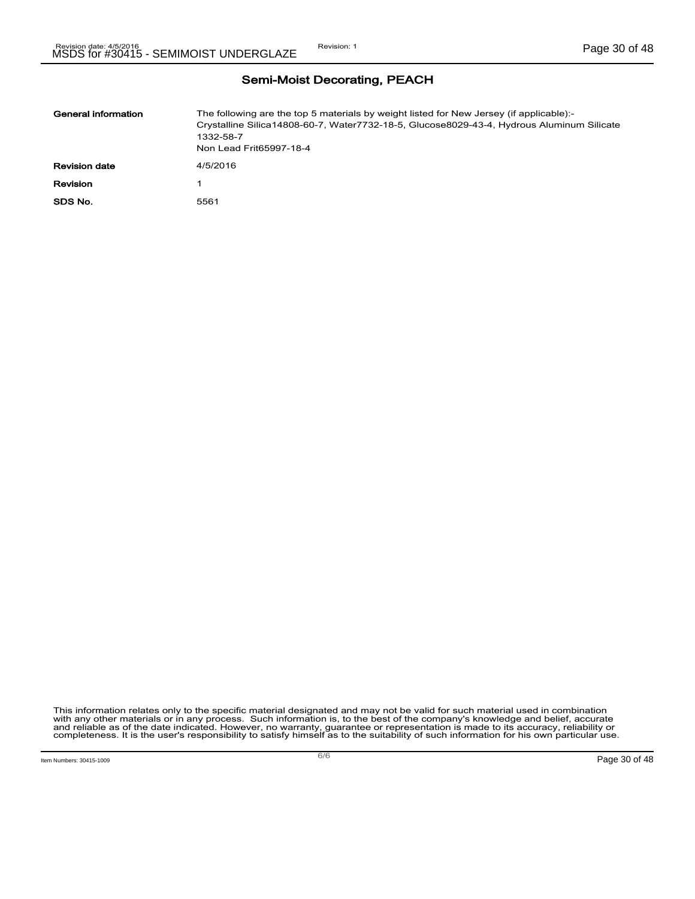| General information  | The following are the top 5 materials by weight listed for New Jersey (if applicable):-<br>Crystalline Silica14808-60-7, Water7732-18-5, Glucose8029-43-4, Hydrous Aluminum Silicate<br>1332-58-7<br>Non Lead Frit65997-18-4 |
|----------------------|------------------------------------------------------------------------------------------------------------------------------------------------------------------------------------------------------------------------------|
| <b>Revision date</b> | 4/5/2016                                                                                                                                                                                                                     |
| Revision             |                                                                                                                                                                                                                              |
| SDS No.              | 5561                                                                                                                                                                                                                         |

### Semi-Moist Decorating, PEACH

This information relates only to the specific material designated and may not be valid for such material used in combination<br>with any other materials or in any process. Such information is, to the best of the company's kn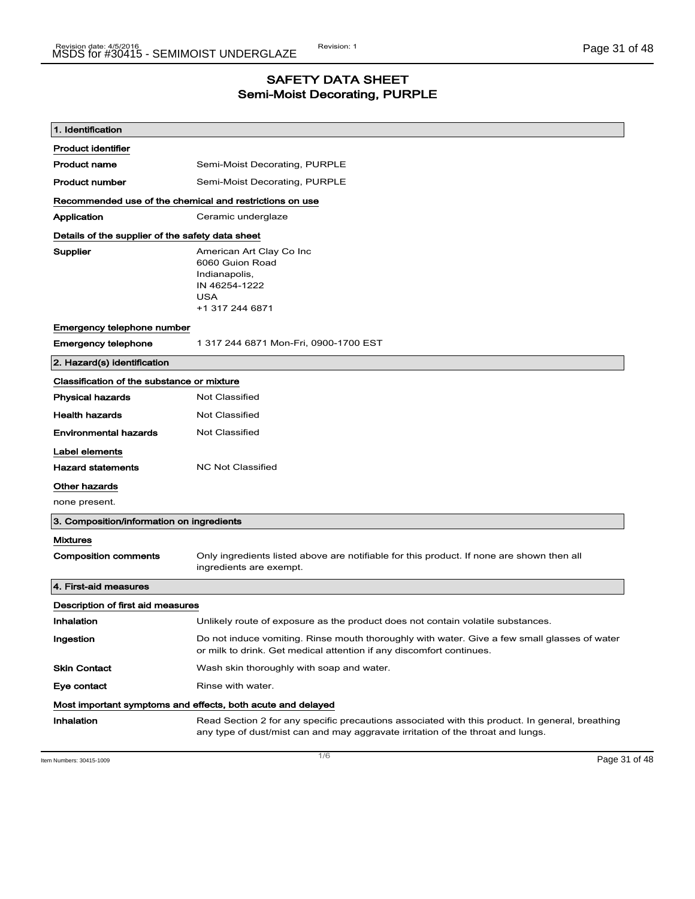### SAFETY DATA SHEET Semi-Moist Decorating, PURPLE

| 1. Identification                                       |                                                                                                                                                                                    |
|---------------------------------------------------------|------------------------------------------------------------------------------------------------------------------------------------------------------------------------------------|
| <b>Product identifier</b>                               |                                                                                                                                                                                    |
| <b>Product name</b>                                     | Semi-Moist Decorating, PURPLE                                                                                                                                                      |
| <b>Product number</b>                                   | Semi-Moist Decorating, PURPLE                                                                                                                                                      |
| Recommended use of the chemical and restrictions on use |                                                                                                                                                                                    |
| Application                                             | Ceramic underglaze                                                                                                                                                                 |
| Details of the supplier of the safety data sheet        |                                                                                                                                                                                    |
| Supplier                                                | American Art Clay Co Inc<br>6060 Guion Road<br>Indianapolis,<br>IN 46254-1222<br><b>USA</b><br>+1 317 244 6871                                                                     |
| Emergency telephone number                              |                                                                                                                                                                                    |
| <b>Emergency telephone</b>                              | 1 317 244 6871 Mon-Fri, 0900-1700 EST                                                                                                                                              |
| 2. Hazard(s) identification                             |                                                                                                                                                                                    |
| Classification of the substance or mixture              |                                                                                                                                                                                    |
| <b>Physical hazards</b>                                 | <b>Not Classified</b>                                                                                                                                                              |
| <b>Health hazards</b>                                   | <b>Not Classified</b>                                                                                                                                                              |
| <b>Environmental hazards</b>                            | <b>Not Classified</b>                                                                                                                                                              |
| Label elements                                          |                                                                                                                                                                                    |
| <b>Hazard statements</b>                                | <b>NC Not Classified</b>                                                                                                                                                           |
| Other hazards                                           |                                                                                                                                                                                    |
| none present.                                           |                                                                                                                                                                                    |
| 3. Composition/information on ingredients               |                                                                                                                                                                                    |
| <b>Mixtures</b>                                         |                                                                                                                                                                                    |
| <b>Composition comments</b>                             | Only ingredients listed above are notifiable for this product. If none are shown then all<br>ingredients are exempt.                                                               |
| 4. First-aid measures                                   |                                                                                                                                                                                    |
| Description of first aid measures                       |                                                                                                                                                                                    |
| Inhalation                                              | Unlikely route of exposure as the product does not contain volatile substances.                                                                                                    |
| Ingestion                                               | Do not induce vomiting. Rinse mouth thoroughly with water. Give a few small glasses of water<br>or milk to drink. Get medical attention if any discomfort continues.               |
| <b>Skin Contact</b>                                     | Wash skin thoroughly with soap and water.                                                                                                                                          |
| Eye contact                                             | Rinse with water.                                                                                                                                                                  |
|                                                         | Most important symptoms and effects, both acute and delayed                                                                                                                        |
| Inhalation                                              | Read Section 2 for any specific precautions associated with this product. In general, breathing<br>any type of dust/mist can and may aggravate irritation of the throat and lungs. |

Item Numbers: 30415-1009 Page 31 of 48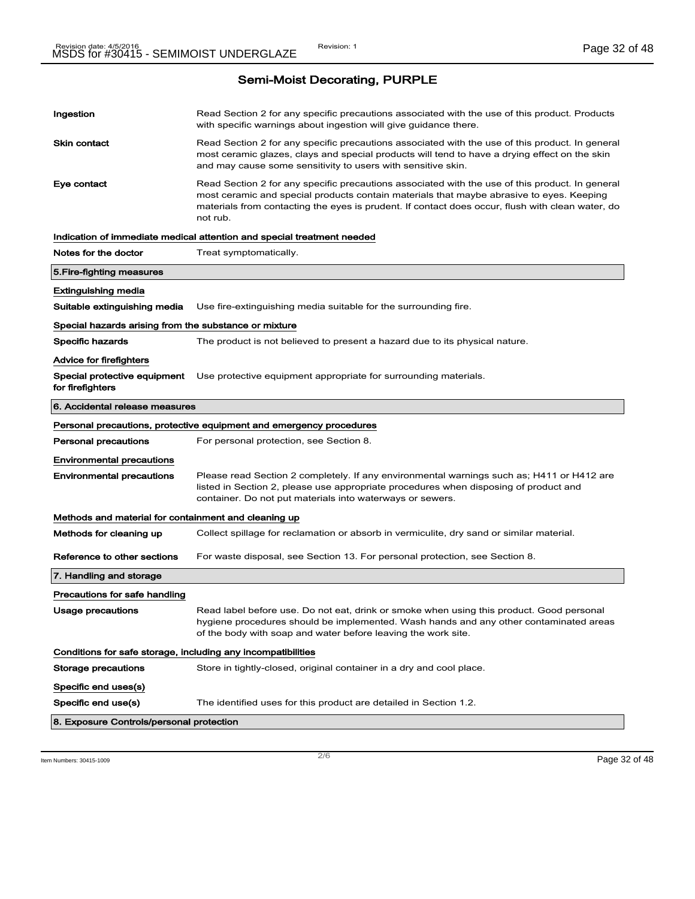| Ingestion                                                    | Read Section 2 for any specific precautions associated with the use of this product. Products<br>with specific warnings about ingestion will give guidance there.                                                                                                                                           |
|--------------------------------------------------------------|-------------------------------------------------------------------------------------------------------------------------------------------------------------------------------------------------------------------------------------------------------------------------------------------------------------|
| Skin contact                                                 | Read Section 2 for any specific precautions associated with the use of this product. In general<br>most ceramic glazes, clays and special products will tend to have a drying effect on the skin<br>and may cause some sensitivity to users with sensitive skin.                                            |
| Eye contact                                                  | Read Section 2 for any specific precautions associated with the use of this product. In general<br>most ceramic and special products contain materials that maybe abrasive to eyes. Keeping<br>materials from contacting the eyes is prudent. If contact does occur, flush with clean water, do<br>not rub. |
|                                                              | Indication of immediate medical attention and special treatment needed                                                                                                                                                                                                                                      |
| Notes for the doctor                                         | Treat symptomatically.                                                                                                                                                                                                                                                                                      |
| 5. Fire-fighting measures                                    |                                                                                                                                                                                                                                                                                                             |
| Extinguishing media                                          |                                                                                                                                                                                                                                                                                                             |
| Suitable extinguishing media                                 | Use fire-extinguishing media suitable for the surrounding fire.                                                                                                                                                                                                                                             |
| Special hazards arising from the substance or mixture        |                                                                                                                                                                                                                                                                                                             |
| <b>Specific hazards</b>                                      | The product is not believed to present a hazard due to its physical nature.                                                                                                                                                                                                                                 |
| Advice for firefighters                                      |                                                                                                                                                                                                                                                                                                             |
| Special protective equipment<br>for firefighters             | Use protective equipment appropriate for surrounding materials.                                                                                                                                                                                                                                             |
| 6. Accidental release measures                               |                                                                                                                                                                                                                                                                                                             |
|                                                              | Personal precautions, protective equipment and emergency procedures                                                                                                                                                                                                                                         |
| <b>Personal precautions</b>                                  | For personal protection, see Section 8.                                                                                                                                                                                                                                                                     |
|                                                              |                                                                                                                                                                                                                                                                                                             |
| <b>Environmental precautions</b>                             |                                                                                                                                                                                                                                                                                                             |
| <b>Environmental precautions</b>                             | Please read Section 2 completely. If any environmental warnings such as; H411 or H412 are<br>listed in Section 2, please use appropriate procedures when disposing of product and<br>container. Do not put materials into waterways or sewers.                                                              |
| Methods and material for containment and cleaning up         |                                                                                                                                                                                                                                                                                                             |
| Methods for cleaning up                                      | Collect spillage for reclamation or absorb in vermiculite, dry sand or similar material.                                                                                                                                                                                                                    |
| Reference to other sections                                  | For waste disposal, see Section 13. For personal protection, see Section 8.                                                                                                                                                                                                                                 |
| 7. Handling and storage                                      |                                                                                                                                                                                                                                                                                                             |
| Precautions for safe handling                                |                                                                                                                                                                                                                                                                                                             |
| Usage precautions                                            | Read label before use. Do not eat, drink or smoke when using this product. Good personal<br>hygiene procedures should be implemented. Wash hands and any other contaminated areas<br>of the body with soap and water before leaving the work site.                                                          |
| Conditions for safe storage, including any incompatibilities |                                                                                                                                                                                                                                                                                                             |
| Storage precautions                                          | Store in tightly-closed, original container in a dry and cool place.                                                                                                                                                                                                                                        |
| Specific end uses(s)                                         |                                                                                                                                                                                                                                                                                                             |
| Specific end use(s)                                          | The identified uses for this product are detailed in Section 1.2.                                                                                                                                                                                                                                           |

Item Numbers: 30415-1009 Page 32 of 48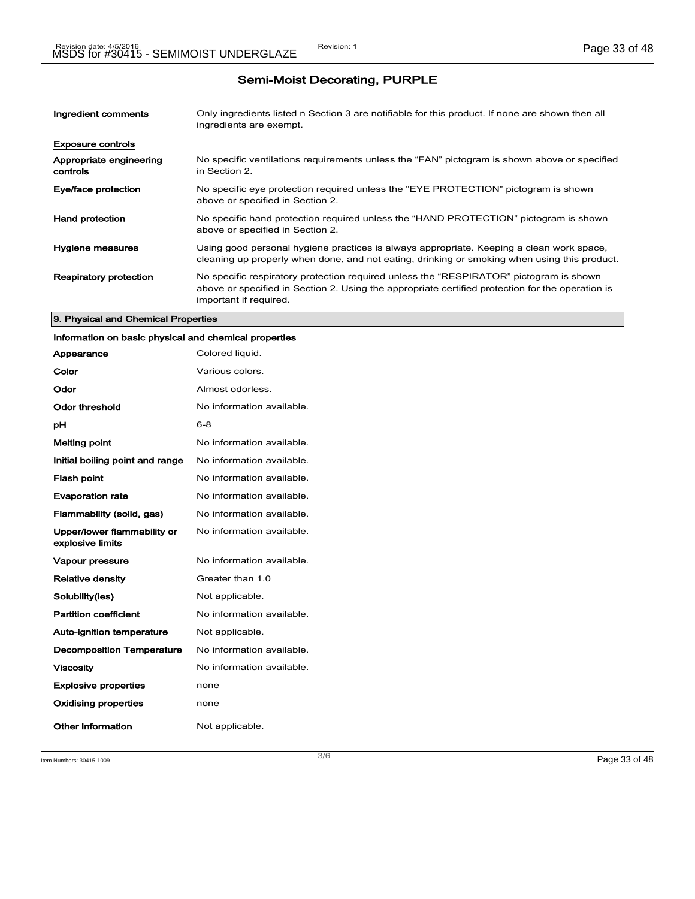| Ingredient comments                 | Only ingredients listed n Section 3 are notifiable for this product. If none are shown then all<br>ingredients are exempt.                                                                                           |
|-------------------------------------|----------------------------------------------------------------------------------------------------------------------------------------------------------------------------------------------------------------------|
| <b>Exposure controls</b>            |                                                                                                                                                                                                                      |
| Appropriate engineering<br>controls | No specific ventilations requirements unless the "FAN" pictogram is shown above or specified<br>in Section 2.                                                                                                        |
| Eye/face protection                 | No specific eye protection required unless the "EYE PROTECTION" pictogram is shown<br>above or specified in Section 2.                                                                                               |
| <b>Hand protection</b>              | No specific hand protection required unless the "HAND PROTECTION" pictogram is shown<br>above or specified in Section 2.                                                                                             |
| <b>Hygiene measures</b>             | Using good personal hygiene practices is always appropriate. Keeping a clean work space,<br>cleaning up properly when done, and not eating, drinking or smoking when using this product.                             |
| <b>Respiratory protection</b>       | No specific respiratory protection required unless the "RESPIRATOR" pictogram is shown<br>above or specified in Section 2. Using the appropriate certified protection for the operation is<br>important if required. |

#### 9. Physical and Chemical Properties

### Information on basic physical and chemical properties

| Appearance                                      | Colored liquid.           |
|-------------------------------------------------|---------------------------|
| Color                                           | Various colors.           |
| Odor                                            | Almost odorless.          |
| Odor threshold                                  | No information available. |
| рH                                              | $6 - 8$                   |
| <b>Melting point</b>                            | No information available. |
| Initial boiling point and range                 | No information available. |
| <b>Flash point</b>                              | No information available. |
| <b>Evaporation rate</b>                         | No information available. |
| Flammability (solid, gas)                       | No information available. |
| Upper/lower flammability or<br>explosive limits | No information available. |
| <b>Vapour pressure</b>                          | No information available. |
| <b>Relative density</b>                         | Greater than 1.0          |
| Solubility(ies)                                 | Not applicable.           |
| <b>Partition coefficient</b>                    | No information available. |
| <b>Auto-ignition temperature</b>                | Not applicable.           |
| <b>Decomposition Temperature</b>                | No information available. |
| <b>Viscosity</b>                                | No information available. |
| <b>Explosive properties</b>                     | none                      |
| <b>Oxidising properties</b>                     | none                      |
| Other information                               | Not applicable.           |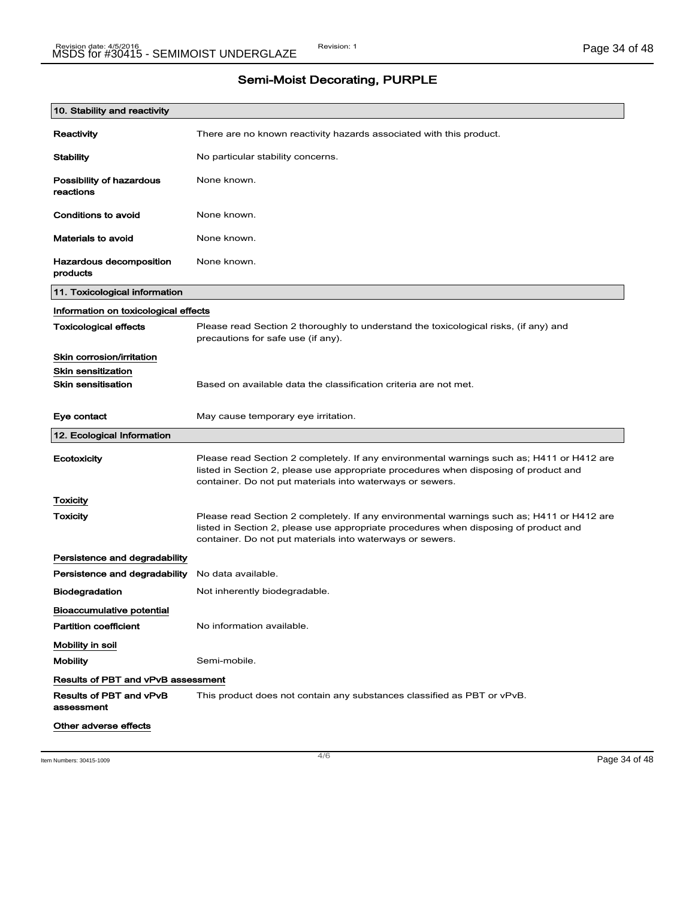| 10. Stability and reactivity              |                                                                                                                                                                                                                                                |
|-------------------------------------------|------------------------------------------------------------------------------------------------------------------------------------------------------------------------------------------------------------------------------------------------|
| Reactivity                                | There are no known reactivity hazards associated with this product.                                                                                                                                                                            |
| <b>Stability</b>                          | No particular stability concerns.                                                                                                                                                                                                              |
| Possibility of hazardous<br>reactions     | None known.                                                                                                                                                                                                                                    |
| Conditions to avoid                       | None known.                                                                                                                                                                                                                                    |
| <b>Materials to avoid</b>                 | None known.                                                                                                                                                                                                                                    |
| Hazardous decomposition<br>products       | None known.                                                                                                                                                                                                                                    |
| 11. Toxicological information             |                                                                                                                                                                                                                                                |
| Information on toxicological effects      |                                                                                                                                                                                                                                                |
| <b>Toxicological effects</b>              | Please read Section 2 thoroughly to understand the toxicological risks, (if any) and<br>precautions for safe use (if any).                                                                                                                     |
| Skin corrosion/irritation                 |                                                                                                                                                                                                                                                |
| <b>Skin sensitization</b>                 |                                                                                                                                                                                                                                                |
| <b>Skin sensitisation</b>                 | Based on available data the classification criteria are not met.                                                                                                                                                                               |
| Eye contact                               | May cause temporary eye irritation.                                                                                                                                                                                                            |
| 12. Ecological Information                |                                                                                                                                                                                                                                                |
| Ecotoxicity                               | Please read Section 2 completely. If any environmental warnings such as; H411 or H412 are<br>listed in Section 2, please use appropriate procedures when disposing of product and<br>container. Do not put materials into waterways or sewers. |
| Toxicity                                  |                                                                                                                                                                                                                                                |
| <b>Toxicity</b>                           | Please read Section 2 completely. If any environmental warnings such as; H411 or H412 are<br>listed in Section 2, please use appropriate procedures when disposing of product and<br>container. Do not put materials into waterways or sewers. |
| Persistence and degradability             |                                                                                                                                                                                                                                                |
| Persistence and degradability             | No data available.                                                                                                                                                                                                                             |
| <b>Biodegradation</b>                     | Not inherently biodegradable.                                                                                                                                                                                                                  |
| <b>Bioaccumulative potential</b>          |                                                                                                                                                                                                                                                |
| <b>Partition coefficient</b>              | No information available.                                                                                                                                                                                                                      |
| Mobility in soil                          |                                                                                                                                                                                                                                                |
| <b>Mobility</b>                           | Semi-mobile.                                                                                                                                                                                                                                   |
| <b>Results of PBT and vPvB assessment</b> |                                                                                                                                                                                                                                                |
| Results of PBT and vPvB<br>assessment     | This product does not contain any substances classified as PBT or vPvB.                                                                                                                                                                        |
| Other adverse effects                     |                                                                                                                                                                                                                                                |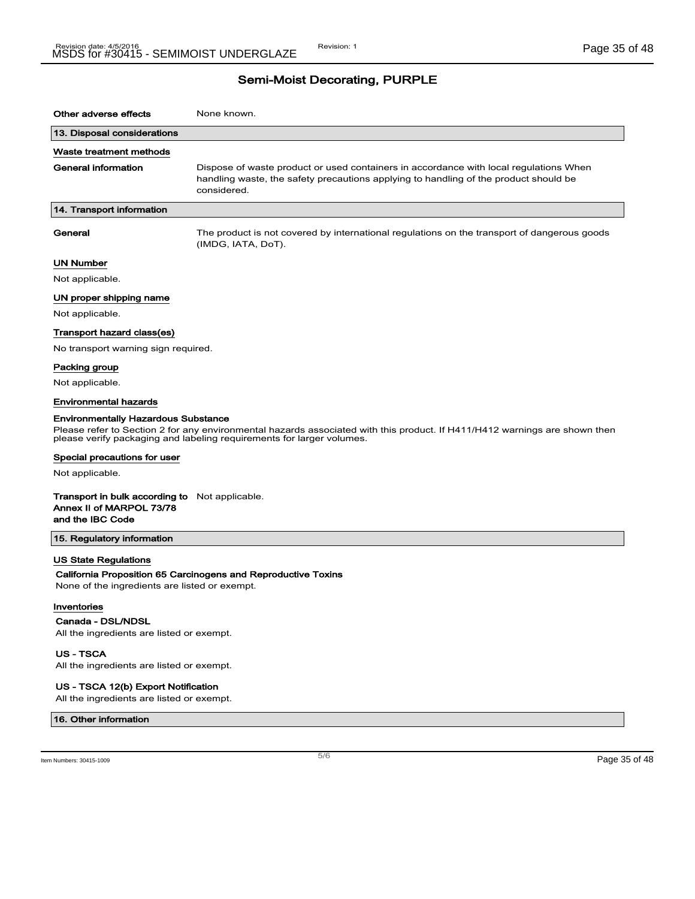| Other adverse effects                                                                                 | None known.                                                                                                                                                                                         |
|-------------------------------------------------------------------------------------------------------|-----------------------------------------------------------------------------------------------------------------------------------------------------------------------------------------------------|
| 13. Disposal considerations                                                                           |                                                                                                                                                                                                     |
| Waste treatment methods                                                                               |                                                                                                                                                                                                     |
| <b>General information</b>                                                                            | Dispose of waste product or used containers in accordance with local regulations When<br>handling waste, the safety precautions applying to handling of the product should be<br>considered.        |
| 14. Transport information                                                                             |                                                                                                                                                                                                     |
| General                                                                                               | The product is not covered by international regulations on the transport of dangerous goods<br>(IMDG, IATA, DoT).                                                                                   |
| <b>UN Number</b>                                                                                      |                                                                                                                                                                                                     |
| Not applicable.                                                                                       |                                                                                                                                                                                                     |
| UN proper shipping name                                                                               |                                                                                                                                                                                                     |
| Not applicable.                                                                                       |                                                                                                                                                                                                     |
| Transport hazard class(es)                                                                            |                                                                                                                                                                                                     |
| No transport warning sign required.                                                                   |                                                                                                                                                                                                     |
| Packing group                                                                                         |                                                                                                                                                                                                     |
| Not applicable.                                                                                       |                                                                                                                                                                                                     |
| <b>Environmental hazards</b>                                                                          |                                                                                                                                                                                                     |
| <b>Environmentally Hazardous Substance</b>                                                            | Please refer to Section 2 for any environmental hazards associated with this product. If H411/H412 warnings are shown then<br>please verify packaging and labeling requirements for larger volumes. |
| Special precautions for user                                                                          |                                                                                                                                                                                                     |
| Not applicable.                                                                                       |                                                                                                                                                                                                     |
| <b>Transport in bulk according to</b> Not applicable.<br>Annex II of MARPOL 73/78<br>and the IBC Code |                                                                                                                                                                                                     |
| 15. Regulatory information                                                                            |                                                                                                                                                                                                     |
| <b>US State Regulations</b><br>None of the ingredients are listed or exempt.                          | California Proposition 65 Carcinogens and Reproductive Toxins                                                                                                                                       |
| Inventories<br>Canada - DSL/NDSL<br>All the ingredients are listed or exempt.<br><b>US-TSCA</b>       |                                                                                                                                                                                                     |
| All the ingredients are listed or exempt.                                                             |                                                                                                                                                                                                     |

### US - TSCA 12(b) Export Notification

All the ingredients are listed or exempt.

#### 16. Other information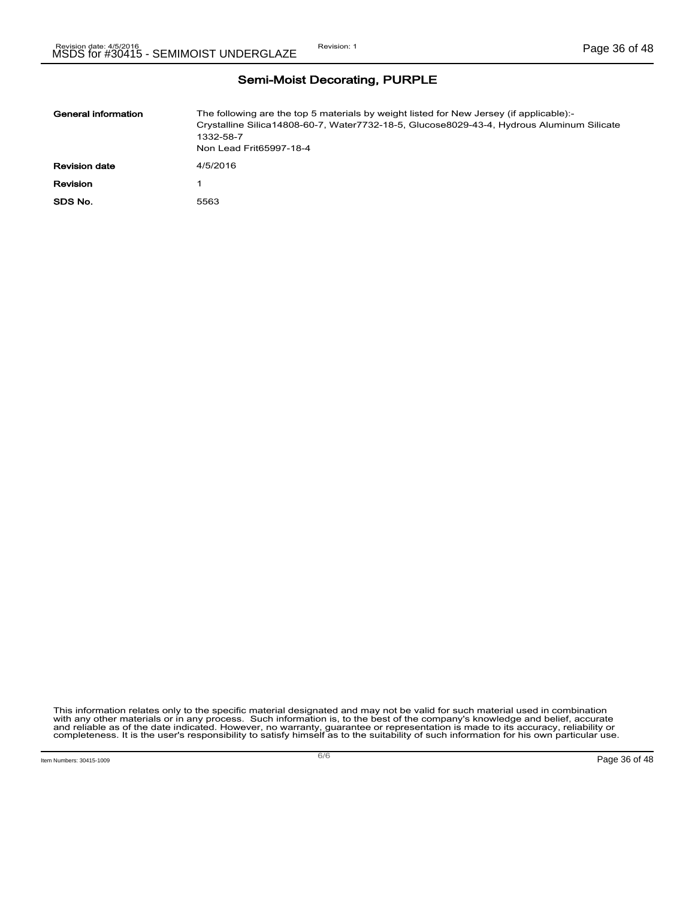| General information  | The following are the top 5 materials by weight listed for New Jersey (if applicable):-<br>Crystalline Silica14808-60-7, Water7732-18-5, Glucose8029-43-4, Hydrous Aluminum Silicate<br>1332-58-7<br>Non Lead Frit65997-18-4 |
|----------------------|------------------------------------------------------------------------------------------------------------------------------------------------------------------------------------------------------------------------------|
| <b>Revision date</b> | 4/5/2016                                                                                                                                                                                                                     |
| Revision             |                                                                                                                                                                                                                              |
| SDS No.              | 5563                                                                                                                                                                                                                         |

This information relates only to the specific material designated and may not be valid for such material used in combination<br>with any other materials or in any process. Such information is, to the best of the company's kn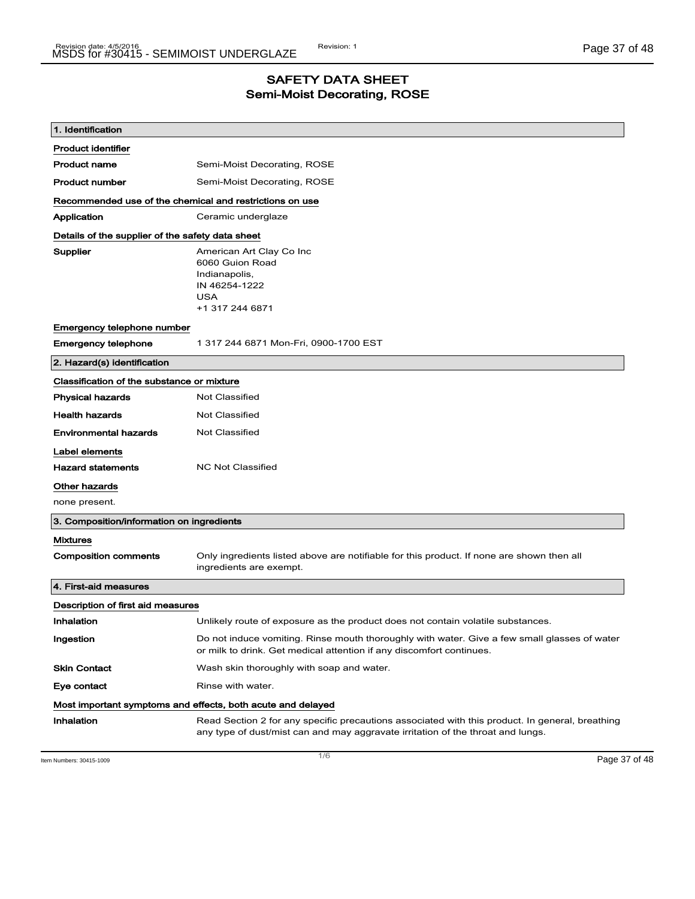### SAFETY DATA SHEET Semi-Moist Decorating, ROSE

| 1. Identification                                       |                                                                                                                                                                                    |
|---------------------------------------------------------|------------------------------------------------------------------------------------------------------------------------------------------------------------------------------------|
| <b>Product identifier</b>                               |                                                                                                                                                                                    |
| <b>Product name</b>                                     | Semi-Moist Decorating, ROSE                                                                                                                                                        |
| <b>Product number</b>                                   | Semi-Moist Decorating, ROSE                                                                                                                                                        |
| Recommended use of the chemical and restrictions on use |                                                                                                                                                                                    |
| Application                                             | Ceramic underglaze                                                                                                                                                                 |
| Details of the supplier of the safety data sheet        |                                                                                                                                                                                    |
| Supplier                                                | American Art Clay Co Inc<br>6060 Guion Road<br>Indianapolis,<br>IN 46254-1222<br><b>USA</b><br>+1 317 244 6871                                                                     |
| Emergency telephone number                              |                                                                                                                                                                                    |
| <b>Emergency telephone</b>                              | 1 317 244 6871 Mon-Fri, 0900-1700 EST                                                                                                                                              |
| 2. Hazard(s) identification                             |                                                                                                                                                                                    |
| Classification of the substance or mixture              |                                                                                                                                                                                    |
| <b>Physical hazards</b>                                 | <b>Not Classified</b>                                                                                                                                                              |
| <b>Health hazards</b>                                   | <b>Not Classified</b>                                                                                                                                                              |
| <b>Environmental hazards</b>                            | <b>Not Classified</b>                                                                                                                                                              |
| Label elements                                          |                                                                                                                                                                                    |
| <b>Hazard statements</b>                                | <b>NC Not Classified</b>                                                                                                                                                           |
| <b>Other hazards</b>                                    |                                                                                                                                                                                    |
| none present.                                           |                                                                                                                                                                                    |
| 3. Composition/information on ingredients               |                                                                                                                                                                                    |
| <b>Mixtures</b>                                         |                                                                                                                                                                                    |
| <b>Composition comments</b>                             | Only ingredients listed above are notifiable for this product. If none are shown then all<br>ingredients are exempt.                                                               |
| 4. First-aid measures                                   |                                                                                                                                                                                    |
| Description of first aid measures                       |                                                                                                                                                                                    |
| Inhalation                                              | Unlikely route of exposure as the product does not contain volatile substances.                                                                                                    |
| Ingestion                                               | Do not induce vomiting. Rinse mouth thoroughly with water. Give a few small glasses of water<br>or milk to drink. Get medical attention if any discomfort continues.               |
| <b>Skin Contact</b>                                     | Wash skin thoroughly with soap and water.                                                                                                                                          |
| Eye contact                                             | Rinse with water.                                                                                                                                                                  |
|                                                         | Most important symptoms and effects, both acute and delayed                                                                                                                        |
| Inhalation                                              | Read Section 2 for any specific precautions associated with this product. In general, breathing<br>any type of dust/mist can and may aggravate irritation of the throat and lungs. |

Item Numbers: 30415-1009 Page 37 of 48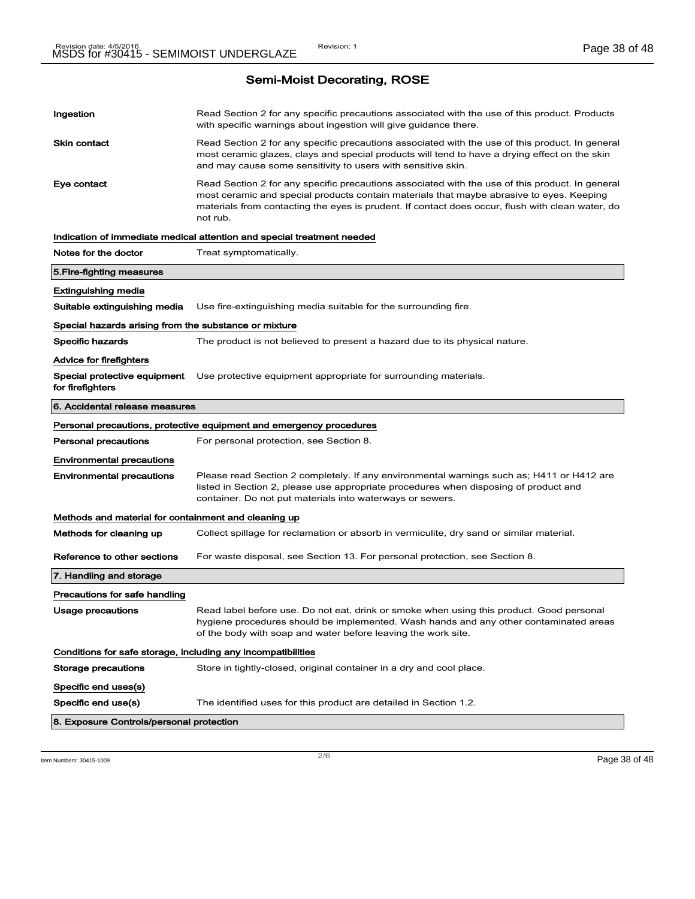| Ingestion                                                    | Read Section 2 for any specific precautions associated with the use of this product. Products<br>with specific warnings about ingestion will give guidance there.                                                                                                                                           |
|--------------------------------------------------------------|-------------------------------------------------------------------------------------------------------------------------------------------------------------------------------------------------------------------------------------------------------------------------------------------------------------|
| <b>Skin contact</b>                                          | Read Section 2 for any specific precautions associated with the use of this product. In general<br>most ceramic glazes, clays and special products will tend to have a drying effect on the skin<br>and may cause some sensitivity to users with sensitive skin.                                            |
| Eye contact                                                  | Read Section 2 for any specific precautions associated with the use of this product. In general<br>most ceramic and special products contain materials that maybe abrasive to eyes. Keeping<br>materials from contacting the eyes is prudent. If contact does occur, flush with clean water, do<br>not rub. |
|                                                              | Indication of immediate medical attention and special treatment needed                                                                                                                                                                                                                                      |
| Notes for the doctor                                         | Treat symptomatically.                                                                                                                                                                                                                                                                                      |
| 5. Fire-fighting measures                                    |                                                                                                                                                                                                                                                                                                             |
| Extinguishing media                                          |                                                                                                                                                                                                                                                                                                             |
| Suitable extinguishing media                                 | Use fire-extinguishing media suitable for the surrounding fire.                                                                                                                                                                                                                                             |
| Special hazards arising from the substance or mixture        |                                                                                                                                                                                                                                                                                                             |
| Specific hazards                                             | The product is not believed to present a hazard due to its physical nature.                                                                                                                                                                                                                                 |
| <b>Advice for firefighters</b>                               |                                                                                                                                                                                                                                                                                                             |
| Special protective equipment<br>for firefighters             | Use protective equipment appropriate for surrounding materials.                                                                                                                                                                                                                                             |
| 6. Accidental release measures                               |                                                                                                                                                                                                                                                                                                             |
|                                                              | Personal precautions, protective equipment and emergency procedures                                                                                                                                                                                                                                         |
| Personal precautions                                         | For personal protection, see Section 8.                                                                                                                                                                                                                                                                     |
| <b>Environmental precautions</b>                             |                                                                                                                                                                                                                                                                                                             |
| <b>Environmental precautions</b>                             | Please read Section 2 completely. If any environmental warnings such as; H411 or H412 are<br>listed in Section 2, please use appropriate procedures when disposing of product and<br>container. Do not put materials into waterways or sewers.                                                              |
| Methods and material for containment and cleaning up         |                                                                                                                                                                                                                                                                                                             |
| Methods for cleaning up                                      | Collect spillage for reclamation or absorb in vermiculite, dry sand or similar material.                                                                                                                                                                                                                    |
| Reference to other sections                                  | For waste disposal, see Section 13. For personal protection, see Section 8.                                                                                                                                                                                                                                 |
| 7. Handling and storage                                      |                                                                                                                                                                                                                                                                                                             |
|                                                              |                                                                                                                                                                                                                                                                                                             |
| Precautions for safe handling                                |                                                                                                                                                                                                                                                                                                             |
|                                                              |                                                                                                                                                                                                                                                                                                             |
| <b>Usage precautions</b>                                     | Read label before use. Do not eat, drink or smoke when using this product. Good personal<br>hygiene procedures should be implemented. Wash hands and any other contaminated areas<br>of the body with soap and water before leaving the work site.                                                          |
| Conditions for safe storage, including any incompatibilities |                                                                                                                                                                                                                                                                                                             |
| <b>Storage precautions</b>                                   | Store in tightly-closed, original container in a dry and cool place.                                                                                                                                                                                                                                        |
|                                                              |                                                                                                                                                                                                                                                                                                             |
| Specific end uses(s)<br>Specific end use(s)                  | The identified uses for this product are detailed in Section 1.2.                                                                                                                                                                                                                                           |
| 8. Exposure Controls/personal protection                     |                                                                                                                                                                                                                                                                                                             |

Item Numbers: 30415-1009 **Page 38 of 48**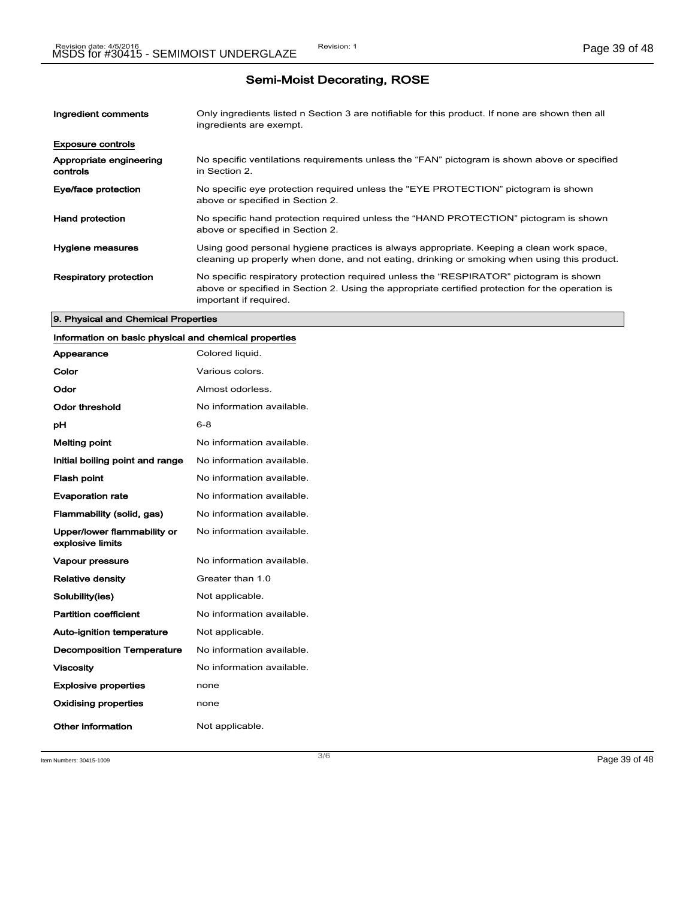| Ingredient comments                 | Only ingredients listed n Section 3 are notifiable for this product. If none are shown then all<br>ingredients are exempt.                                                                                           |
|-------------------------------------|----------------------------------------------------------------------------------------------------------------------------------------------------------------------------------------------------------------------|
| <b>Exposure controls</b>            |                                                                                                                                                                                                                      |
| Appropriate engineering<br>controls | No specific ventilations requirements unless the "FAN" pictogram is shown above or specified<br>in Section 2.                                                                                                        |
| Eye/face protection                 | No specific eye protection required unless the "EYE PROTECTION" pictogram is shown<br>above or specified in Section 2.                                                                                               |
| <b>Hand protection</b>              | No specific hand protection required unless the "HAND PROTECTION" pictogram is shown<br>above or specified in Section 2.                                                                                             |
| Hygiene measures                    | Using good personal hygiene practices is always appropriate. Keeping a clean work space,<br>cleaning up properly when done, and not eating, drinking or smoking when using this product.                             |
| <b>Respiratory protection</b>       | No specific respiratory protection required unless the "RESPIRATOR" pictogram is shown<br>above or specified in Section 2. Using the appropriate certified protection for the operation is<br>important if required. |

#### 9. Physical and Chemical Properties

## Information on basic physical and chemical properties

| Appearance                                      | Colored liquid.           |
|-------------------------------------------------|---------------------------|
| Color                                           | Various colors.           |
| Odor                                            | Almost odorless.          |
| Odor threshold                                  | No information available. |
| рH                                              | $6 - 8$                   |
| <b>Melting point</b>                            | No information available. |
| Initial boiling point and range                 | No information available. |
| <b>Flash point</b>                              | No information available. |
| <b>Evaporation rate</b>                         | No information available. |
| Flammability (solid, gas)                       | No information available. |
| Upper/lower flammability or<br>explosive limits | No information available. |
| <b>Vapour pressure</b>                          | No information available. |
| <b>Relative density</b>                         | Greater than 1.0          |
| Solubility(ies)                                 | Not applicable.           |
| <b>Partition coefficient</b>                    | No information available. |
| <b>Auto-ignition temperature</b>                | Not applicable.           |
| <b>Decomposition Temperature</b>                | No information available. |
| <b>Viscosity</b>                                | No information available. |
| <b>Explosive properties</b>                     | none                      |
| Oxidising properties                            | none                      |
| Other information                               | Not applicable.           |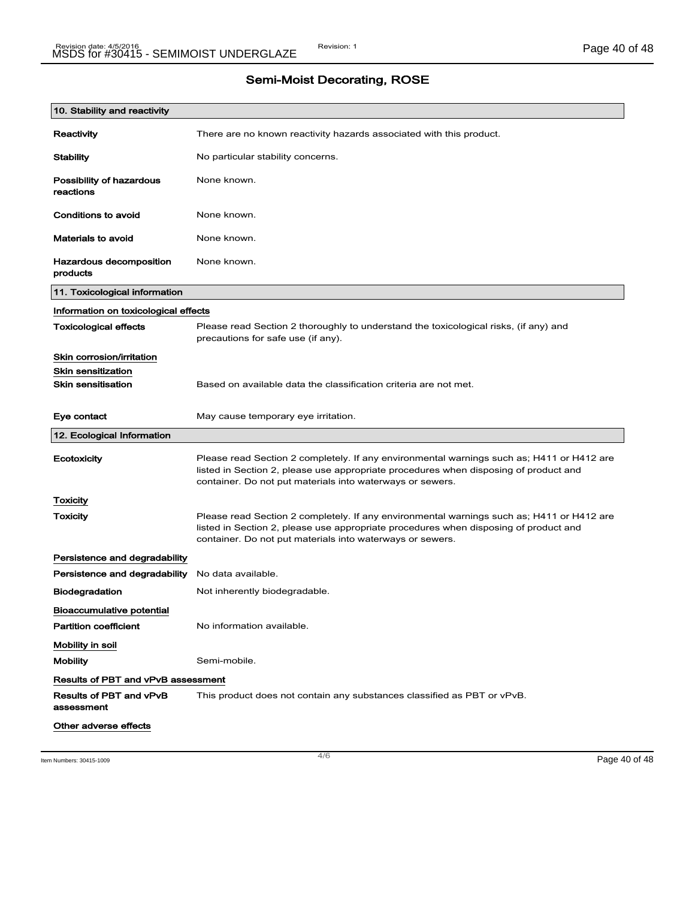| 10. Stability and reactivity              |                                                                                                                                                                                                                                                |
|-------------------------------------------|------------------------------------------------------------------------------------------------------------------------------------------------------------------------------------------------------------------------------------------------|
| Reactivity                                | There are no known reactivity hazards associated with this product.                                                                                                                                                                            |
| <b>Stability</b>                          | No particular stability concerns.                                                                                                                                                                                                              |
| Possibility of hazardous<br>reactions     | None known.                                                                                                                                                                                                                                    |
| Conditions to avoid                       | None known.                                                                                                                                                                                                                                    |
| <b>Materials to avoid</b>                 | None known.                                                                                                                                                                                                                                    |
| Hazardous decomposition<br>products       | None known.                                                                                                                                                                                                                                    |
| 11. Toxicological information             |                                                                                                                                                                                                                                                |
| Information on toxicological effects      |                                                                                                                                                                                                                                                |
| <b>Toxicological effects</b>              | Please read Section 2 thoroughly to understand the toxicological risks, (if any) and<br>precautions for safe use (if any).                                                                                                                     |
| Skin corrosion/irritation                 |                                                                                                                                                                                                                                                |
| <b>Skin sensitization</b>                 |                                                                                                                                                                                                                                                |
| <b>Skin sensitisation</b>                 | Based on available data the classification criteria are not met.                                                                                                                                                                               |
| Eye contact                               | May cause temporary eye irritation.                                                                                                                                                                                                            |
| 12. Ecological Information                |                                                                                                                                                                                                                                                |
| Ecotoxicity                               | Please read Section 2 completely. If any environmental warnings such as; H411 or H412 are<br>listed in Section 2, please use appropriate procedures when disposing of product and<br>container. Do not put materials into waterways or sewers. |
| Toxicity                                  |                                                                                                                                                                                                                                                |
| <b>Toxicity</b>                           | Please read Section 2 completely. If any environmental warnings such as; H411 or H412 are<br>listed in Section 2, please use appropriate procedures when disposing of product and<br>container. Do not put materials into waterways or sewers. |
| Persistence and degradability             |                                                                                                                                                                                                                                                |
| Persistence and degradability             | No data available.                                                                                                                                                                                                                             |
| <b>Biodegradation</b>                     | Not inherently biodegradable.                                                                                                                                                                                                                  |
| Bioaccumulative potential                 |                                                                                                                                                                                                                                                |
| <b>Partition coefficient</b>              | No information available.                                                                                                                                                                                                                      |
| Mobility in soil                          |                                                                                                                                                                                                                                                |
| <b>Mobility</b>                           | Semi-mobile.                                                                                                                                                                                                                                   |
| <b>Results of PBT and vPvB assessment</b> |                                                                                                                                                                                                                                                |
| Results of PBT and vPvB<br>assessment     | This product does not contain any substances classified as PBT or vPvB.                                                                                                                                                                        |
| Other adverse effects                     |                                                                                                                                                                                                                                                |

 $\frac{4}{6}$  Item Numbers: 30415-1009 **Page 40 of 48**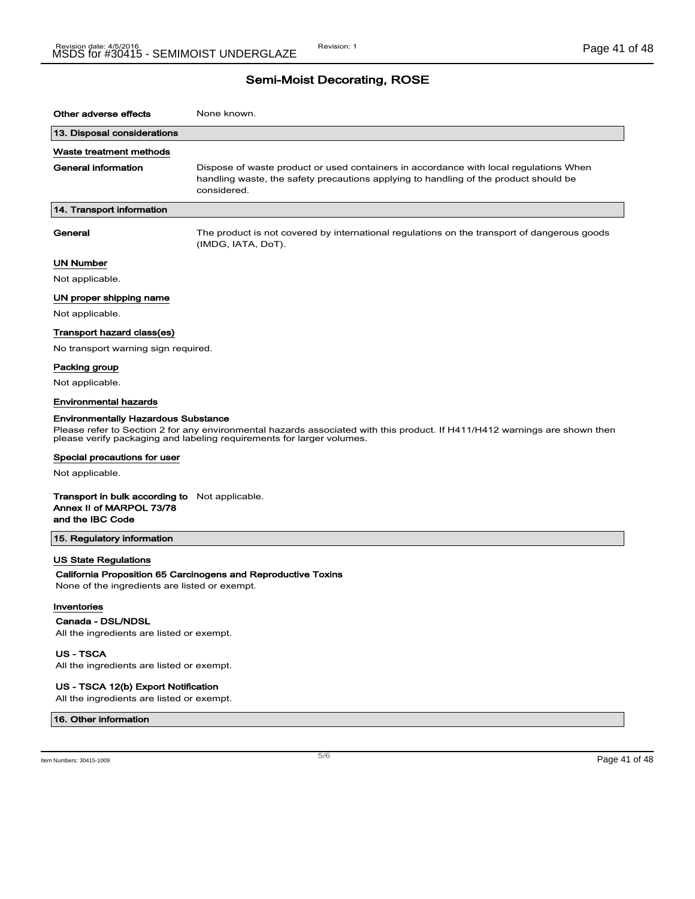| Other adverse effects                                                                                 | None known.                                                                                                                                                                                         |
|-------------------------------------------------------------------------------------------------------|-----------------------------------------------------------------------------------------------------------------------------------------------------------------------------------------------------|
| 13. Disposal considerations                                                                           |                                                                                                                                                                                                     |
| Waste treatment methods                                                                               |                                                                                                                                                                                                     |
| General information                                                                                   | Dispose of waste product or used containers in accordance with local regulations When<br>handling waste, the safety precautions applying to handling of the product should be<br>considered.        |
| 14. Transport information                                                                             |                                                                                                                                                                                                     |
| General                                                                                               | The product is not covered by international regulations on the transport of dangerous goods<br>(IMDG, IATA, DoT).                                                                                   |
| <b>UN Number</b>                                                                                      |                                                                                                                                                                                                     |
| Not applicable.                                                                                       |                                                                                                                                                                                                     |
| UN proper shipping name                                                                               |                                                                                                                                                                                                     |
| Not applicable.                                                                                       |                                                                                                                                                                                                     |
| Transport hazard class(es)                                                                            |                                                                                                                                                                                                     |
| No transport warning sign required.                                                                   |                                                                                                                                                                                                     |
| Packing group                                                                                         |                                                                                                                                                                                                     |
| Not applicable.                                                                                       |                                                                                                                                                                                                     |
| <b>Environmental hazards</b>                                                                          |                                                                                                                                                                                                     |
| <b>Environmentally Hazardous Substance</b>                                                            | Please refer to Section 2 for any environmental hazards associated with this product. If H411/H412 warnings are shown then<br>please verify packaging and labeling requirements for larger volumes. |
| Special precautions for user                                                                          |                                                                                                                                                                                                     |
| Not applicable.                                                                                       |                                                                                                                                                                                                     |
| <b>Transport in bulk according to</b> Not applicable.<br>Annex II of MARPOL 73/78<br>and the IBC Code |                                                                                                                                                                                                     |
| 15. Regulatory information                                                                            |                                                                                                                                                                                                     |
| <b>US State Regulations</b><br>None of the ingredients are listed or exempt.                          | California Proposition 65 Carcinogens and Reproductive Toxins                                                                                                                                       |
| Inventories<br>Canada - DSL/NDSL<br>All the ingredients are listed or exempt.                         |                                                                                                                                                                                                     |
| <b>US-TSCA</b><br>All the ingredients are listed or exempt.                                           |                                                                                                                                                                                                     |
| US - TSCA 12(b) Export Notification                                                                   |                                                                                                                                                                                                     |

All the ingredients are listed or exempt.

16. Other information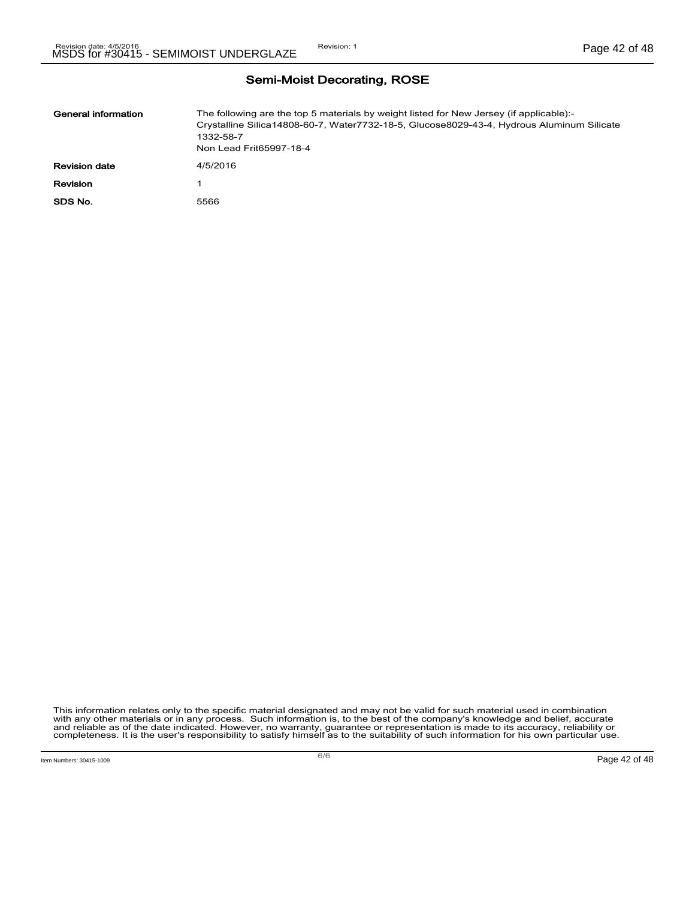| General information  | The following are the top 5 materials by weight listed for New Jersey (if applicable):-<br>Crystalline Silica14808-60-7, Water7732-18-5, Glucose8029-43-4, Hydrous Aluminum Silicate<br>1332-58-7<br>Non Lead Frit65997-18-4 |
|----------------------|------------------------------------------------------------------------------------------------------------------------------------------------------------------------------------------------------------------------------|
| <b>Revision date</b> | 4/5/2016                                                                                                                                                                                                                     |
| Revision             |                                                                                                                                                                                                                              |
| SDS No.              | 5566                                                                                                                                                                                                                         |

This information relates only to the specific material designated and may not be valid for such material used in combination<br>with any other materials or in any process. Such information is, to the best of the company's kn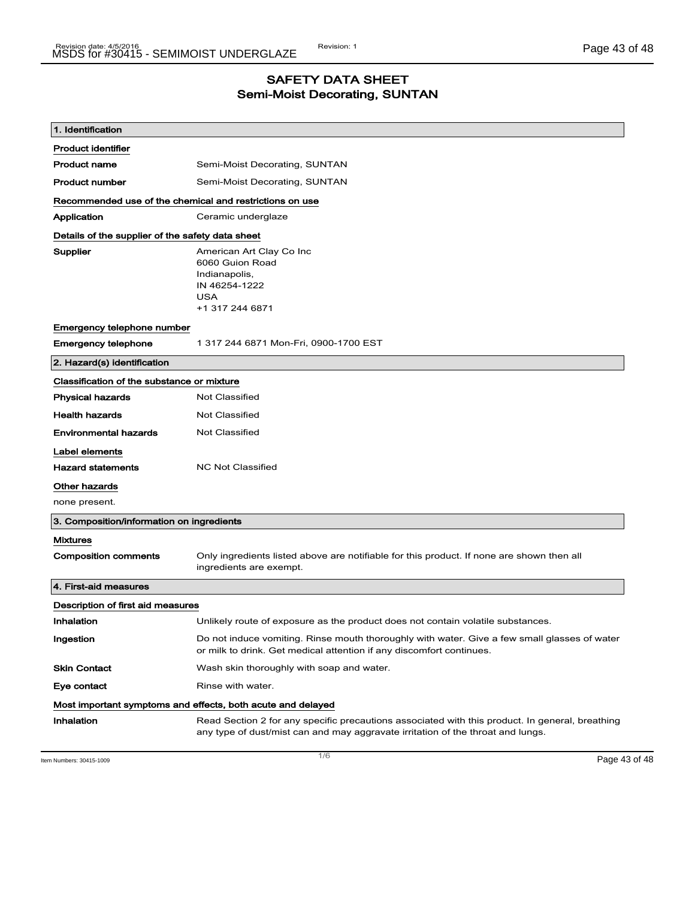## SAFETY DATA SHEET Semi-Moist Decorating, SUNTAN

| 1. Identification                                       |                                                                                                                                                                                    |
|---------------------------------------------------------|------------------------------------------------------------------------------------------------------------------------------------------------------------------------------------|
| <b>Product identifier</b>                               |                                                                                                                                                                                    |
| <b>Product name</b>                                     | Semi-Moist Decorating, SUNTAN                                                                                                                                                      |
| <b>Product number</b>                                   | Semi-Moist Decorating, SUNTAN                                                                                                                                                      |
| Recommended use of the chemical and restrictions on use |                                                                                                                                                                                    |
| Application                                             | Ceramic underglaze                                                                                                                                                                 |
| Details of the supplier of the safety data sheet        |                                                                                                                                                                                    |
| Supplier                                                | American Art Clay Co Inc<br>6060 Guion Road<br>Indianapolis,<br>IN 46254-1222<br><b>USA</b><br>+1 317 244 6871                                                                     |
| Emergency telephone number                              |                                                                                                                                                                                    |
| <b>Emergency telephone</b>                              | 1 317 244 6871 Mon-Fri, 0900-1700 EST                                                                                                                                              |
| 2. Hazard(s) identification                             |                                                                                                                                                                                    |
| Classification of the substance or mixture              |                                                                                                                                                                                    |
| <b>Physical hazards</b>                                 | <b>Not Classified</b>                                                                                                                                                              |
| <b>Health hazards</b>                                   | <b>Not Classified</b>                                                                                                                                                              |
| <b>Environmental hazards</b>                            | Not Classified                                                                                                                                                                     |
| Label elements                                          |                                                                                                                                                                                    |
| <b>Hazard statements</b>                                | <b>NC Not Classified</b>                                                                                                                                                           |
| <b>Other hazards</b>                                    |                                                                                                                                                                                    |
| none present.                                           |                                                                                                                                                                                    |
| 3. Composition/information on ingredients               |                                                                                                                                                                                    |
| <b>Mixtures</b>                                         |                                                                                                                                                                                    |
| <b>Composition comments</b>                             | Only ingredients listed above are notifiable for this product. If none are shown then all<br>ingredients are exempt.                                                               |
| 4. First-aid measures                                   |                                                                                                                                                                                    |
| Description of first aid measures                       |                                                                                                                                                                                    |
| Inhalation                                              | Unlikely route of exposure as the product does not contain volatile substances.                                                                                                    |
| Ingestion                                               | Do not induce vomiting. Rinse mouth thoroughly with water. Give a few small glasses of water<br>or milk to drink. Get medical attention if any discomfort continues.               |
| <b>Skin Contact</b>                                     | Wash skin thoroughly with soap and water.                                                                                                                                          |
| Eye contact                                             | Rinse with water.                                                                                                                                                                  |
|                                                         | Most important symptoms and effects, both acute and delayed                                                                                                                        |
| Inhalation                                              | Read Section 2 for any specific precautions associated with this product. In general, breathing<br>any type of dust/mist can and may aggravate irritation of the throat and lungs. |

Item Numbers: 30415-1009 Page 43 of 48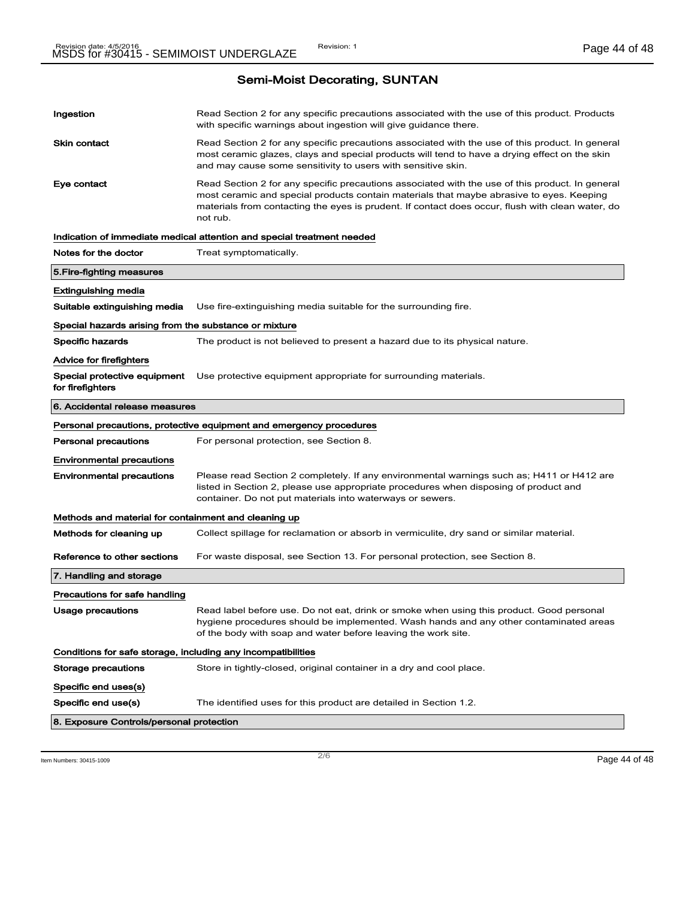|                                                              | Indication of immediate medical attention and special treatment needed                                                                                                                                                                             |
|--------------------------------------------------------------|----------------------------------------------------------------------------------------------------------------------------------------------------------------------------------------------------------------------------------------------------|
| Notes for the doctor                                         | Treat symptomatically.                                                                                                                                                                                                                             |
| 5.Fire-fighting measures                                     |                                                                                                                                                                                                                                                    |
| <b>Extinguishing media</b>                                   |                                                                                                                                                                                                                                                    |
| Suitable extinguishing media                                 | Use fire-extinguishing media suitable for the surrounding fire.                                                                                                                                                                                    |
| Special hazards arising from the substance or mixture        |                                                                                                                                                                                                                                                    |
| <b>Specific hazards</b>                                      | The product is not believed to present a hazard due to its physical nature.                                                                                                                                                                        |
| <b>Advice for firefighters</b>                               |                                                                                                                                                                                                                                                    |
| Special protective equipment<br>for firefighters             | Use protective equipment appropriate for surrounding materials.                                                                                                                                                                                    |
| 6. Accidental release measures                               |                                                                                                                                                                                                                                                    |
|                                                              | Personal precautions, protective equipment and emergency procedures                                                                                                                                                                                |
| <b>Personal precautions</b>                                  | For personal protection, see Section 8.                                                                                                                                                                                                            |
|                                                              |                                                                                                                                                                                                                                                    |
| <b>Environmental precautions</b>                             |                                                                                                                                                                                                                                                    |
| <b>Environmental precautions</b>                             | Please read Section 2 completely. If any environmental warnings such as; H411 or H412 are<br>listed in Section 2, please use appropriate procedures when disposing of product and<br>container. Do not put materials into waterways or sewers.     |
| Methods and material for containment and cleaning up         |                                                                                                                                                                                                                                                    |
| Methods for cleaning up                                      | Collect spillage for reclamation or absorb in vermiculite, dry sand or similar material.                                                                                                                                                           |
| Reference to other sections                                  | For waste disposal, see Section 13. For personal protection, see Section 8.                                                                                                                                                                        |
| 7. Handling and storage                                      |                                                                                                                                                                                                                                                    |
| Precautions for safe handling                                |                                                                                                                                                                                                                                                    |
| Usage precautions                                            | Read label before use. Do not eat, drink or smoke when using this product. Good personal<br>hygiene procedures should be implemented. Wash hands and any other contaminated areas<br>of the body with soap and water before leaving the work site. |
| Conditions for safe storage, including any incompatibilities |                                                                                                                                                                                                                                                    |
| <b>Storage precautions</b>                                   | Store in tightly-closed, original container in a dry and cool place.                                                                                                                                                                               |
| Specific end uses(s)                                         |                                                                                                                                                                                                                                                    |
| Specific end use(s)                                          | The identified uses for this product are detailed in Section 1.2.                                                                                                                                                                                  |

Item Numbers: 30415-1009 Page 44 of 48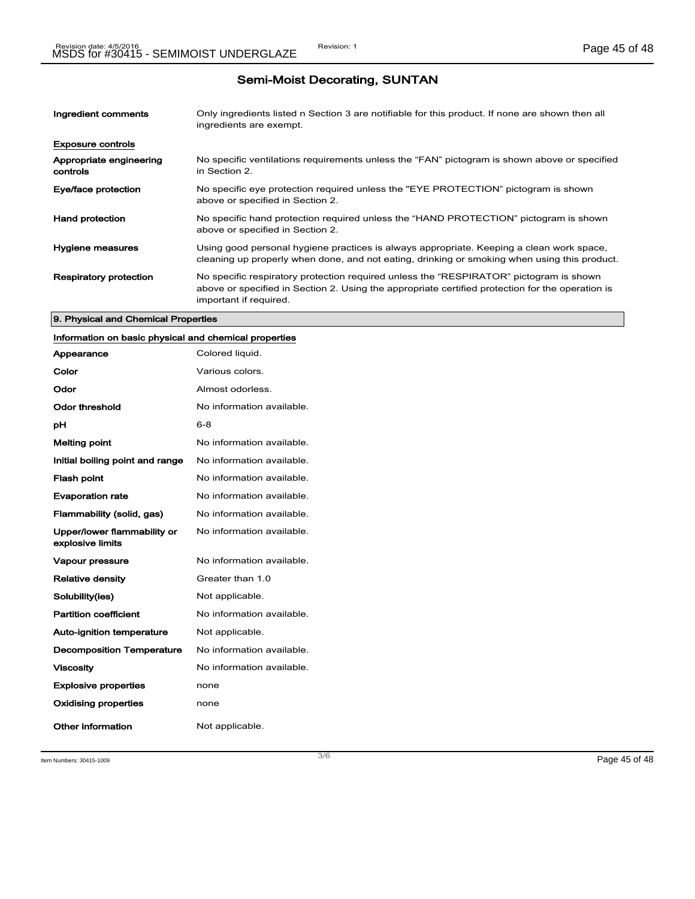| Ingredient comments                 | Only ingredients listed n Section 3 are notifiable for this product. If none are shown then all<br>ingredients are exempt.                                                                                           |
|-------------------------------------|----------------------------------------------------------------------------------------------------------------------------------------------------------------------------------------------------------------------|
| <b>Exposure controls</b>            |                                                                                                                                                                                                                      |
| Appropriate engineering<br>controls | No specific ventilations requirements unless the "FAN" pictogram is shown above or specified<br>in Section 2.                                                                                                        |
| Eye/face protection                 | No specific eye protection required unless the "EYE PROTECTION" pictogram is shown<br>above or specified in Section 2.                                                                                               |
| <b>Hand protection</b>              | No specific hand protection required unless the "HAND PROTECTION" pictogram is shown<br>above or specified in Section 2.                                                                                             |
| Hygiene measures                    | Using good personal hygiene practices is always appropriate. Keeping a clean work space,<br>cleaning up properly when done, and not eating, drinking or smoking when using this product.                             |
| <b>Respiratory protection</b>       | No specific respiratory protection required unless the "RESPIRATOR" pictogram is shown<br>above or specified in Section 2. Using the appropriate certified protection for the operation is<br>important if required. |

#### 9. Physical and Chemical Properties

### Information on basic physical and chemical properties

| Appearance                                      | Colored liquid.           |
|-------------------------------------------------|---------------------------|
| Color                                           | Various colors.           |
| Odor                                            | Almost odorless.          |
| Odor threshold                                  | No information available. |
| рH                                              | 6-8                       |
| <b>Melting point</b>                            | No information available. |
| Initial boiling point and range                 | No information available. |
| <b>Flash point</b>                              | No information available. |
| <b>Evaporation rate</b>                         | No information available. |
| Flammability (solid, gas)                       | No information available. |
| Upper/lower flammability or<br>explosive limits | No information available. |
| <b>Vapour pressure</b>                          | No information available. |
| <b>Relative density</b>                         | Greater than 1.0          |
| Solubility(ies)                                 | Not applicable.           |
| <b>Partition coefficient</b>                    | No information available. |
| <b>Auto-ignition temperature</b>                | Not applicable.           |
| <b>Decomposition Temperature</b>                | No information available. |
| <b>Viscosity</b>                                | No information available. |
| <b>Explosive properties</b>                     | none                      |
| <b>Oxidising properties</b>                     | none                      |
| Other information                               | Not applicable.           |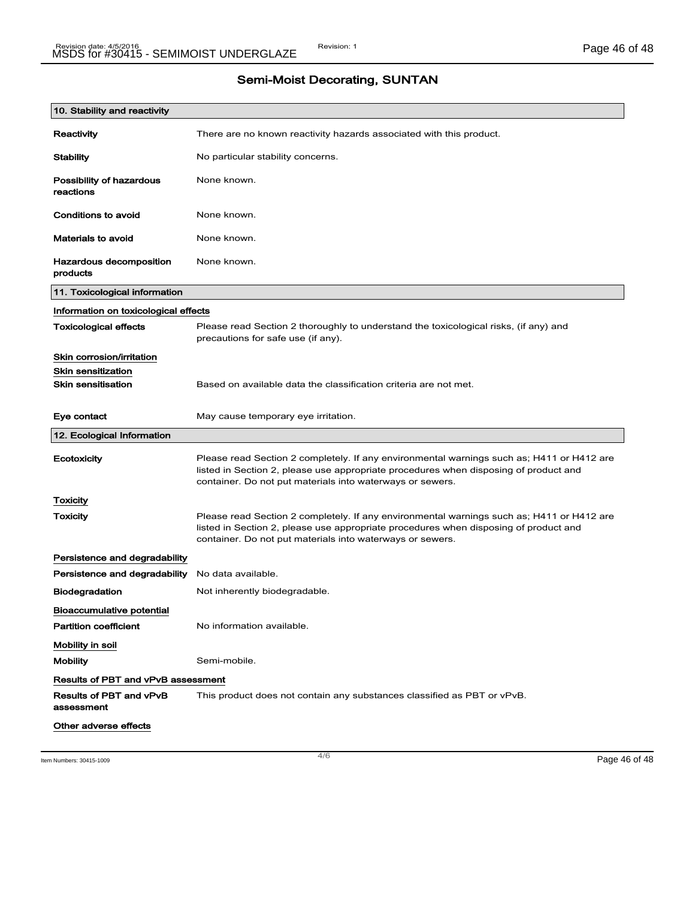| <b>Semi-Moist Decorating, SUNTAN</b> |  |
|--------------------------------------|--|
|--------------------------------------|--|

| 10. Stability and reactivity              |                                                                                                                                                                                                                                                |
|-------------------------------------------|------------------------------------------------------------------------------------------------------------------------------------------------------------------------------------------------------------------------------------------------|
| Reactivity                                | There are no known reactivity hazards associated with this product.                                                                                                                                                                            |
| Stability                                 | No particular stability concerns.                                                                                                                                                                                                              |
| Possibility of hazardous<br>reactions     | None known.                                                                                                                                                                                                                                    |
| Conditions to avoid                       | None known.                                                                                                                                                                                                                                    |
| Materials to avoid                        | None known.                                                                                                                                                                                                                                    |
| Hazardous decomposition<br>products       | None known.                                                                                                                                                                                                                                    |
| 11. Toxicological information             |                                                                                                                                                                                                                                                |
| Information on toxicological effects      |                                                                                                                                                                                                                                                |
| <b>Toxicological effects</b>              | Please read Section 2 thoroughly to understand the toxicological risks, (if any) and<br>precautions for safe use (if any).                                                                                                                     |
| Skin corrosion/irritation                 |                                                                                                                                                                                                                                                |
| <b>Skin sensitization</b>                 |                                                                                                                                                                                                                                                |
| <b>Skin sensitisation</b>                 | Based on available data the classification criteria are not met.                                                                                                                                                                               |
| Eye contact                               | May cause temporary eye irritation.                                                                                                                                                                                                            |
| 12. Ecological Information                |                                                                                                                                                                                                                                                |
| Ecotoxicity                               | Please read Section 2 completely. If any environmental warnings such as; H411 or H412 are<br>listed in Section 2, please use appropriate procedures when disposing of product and<br>container. Do not put materials into waterways or sewers. |
| Toxicity                                  |                                                                                                                                                                                                                                                |
| Toxicity                                  | Please read Section 2 completely. If any environmental warnings such as; H411 or H412 are<br>listed in Section 2, please use appropriate procedures when disposing of product and<br>container. Do not put materials into waterways or sewers. |
| Persistence and degradability             |                                                                                                                                                                                                                                                |
| Persistence and degradability             | No data available.                                                                                                                                                                                                                             |
| Biodegradation                            | Not inherently biodegradable.                                                                                                                                                                                                                  |
| Bioaccumulative potential                 |                                                                                                                                                                                                                                                |
| <b>Partition coefficient</b>              | No information available.                                                                                                                                                                                                                      |
| Mobility in soil                          |                                                                                                                                                                                                                                                |
| <b>Mobility</b>                           | Semi-mobile.                                                                                                                                                                                                                                   |
| <b>Results of PBT and vPvB assessment</b> |                                                                                                                                                                                                                                                |
| Results of PBT and vPvB<br>assessment     | This product does not contain any substances classified as PBT or vPvB.                                                                                                                                                                        |
| Other adverse effects                     |                                                                                                                                                                                                                                                |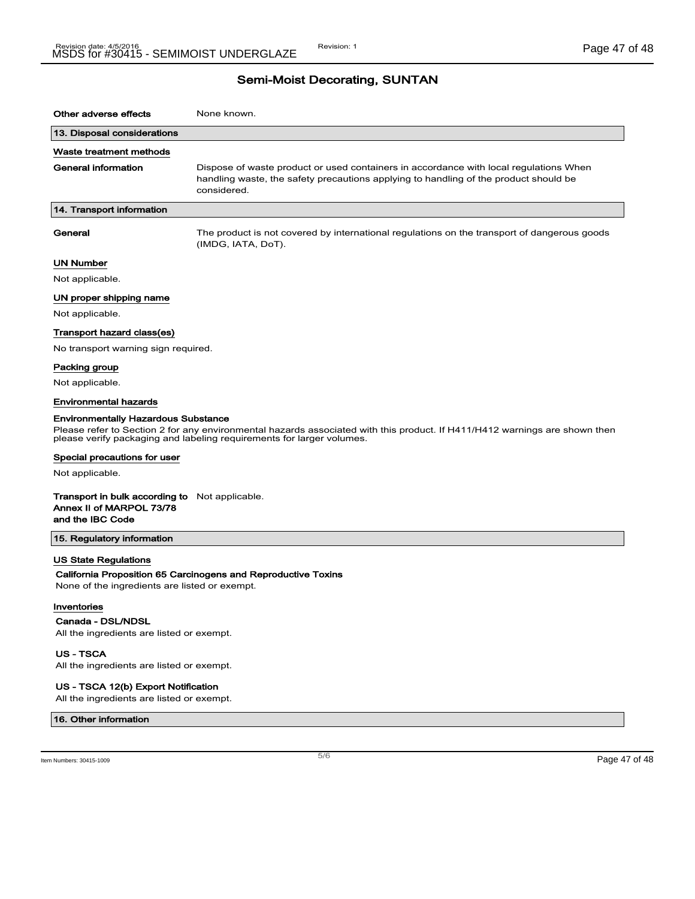| Other adverse effects                                                                                 | None known.                                                                                                                                                                                         |
|-------------------------------------------------------------------------------------------------------|-----------------------------------------------------------------------------------------------------------------------------------------------------------------------------------------------------|
| 13. Disposal considerations                                                                           |                                                                                                                                                                                                     |
| Waste treatment methods                                                                               |                                                                                                                                                                                                     |
| General information                                                                                   | Dispose of waste product or used containers in accordance with local regulations When<br>handling waste, the safety precautions applying to handling of the product should be<br>considered.        |
| 14. Transport information                                                                             |                                                                                                                                                                                                     |
| General                                                                                               | The product is not covered by international regulations on the transport of dangerous goods<br>(IMDG, IATA, DoT).                                                                                   |
| <b>UN Number</b>                                                                                      |                                                                                                                                                                                                     |
| Not applicable.                                                                                       |                                                                                                                                                                                                     |
| UN proper shipping name                                                                               |                                                                                                                                                                                                     |
| Not applicable.                                                                                       |                                                                                                                                                                                                     |
| Transport hazard class(es)                                                                            |                                                                                                                                                                                                     |
| No transport warning sign required.                                                                   |                                                                                                                                                                                                     |
| Packing group                                                                                         |                                                                                                                                                                                                     |
| Not applicable.                                                                                       |                                                                                                                                                                                                     |
| <b>Environmental hazards</b>                                                                          |                                                                                                                                                                                                     |
| <b>Environmentally Hazardous Substance</b><br>Special precautions for user                            | Please refer to Section 2 for any environmental hazards associated with this product. If H411/H412 warnings are shown then<br>please verify packaging and labeling requirements for larger volumes. |
| Not applicable.                                                                                       |                                                                                                                                                                                                     |
| <b>Transport in bulk according to</b> Not applicable.<br>Annex II of MARPOL 73/78<br>and the IBC Code |                                                                                                                                                                                                     |
| 15. Regulatory information                                                                            |                                                                                                                                                                                                     |
| <b>US State Regulations</b><br>None of the ingredients are listed or exempt.                          | California Proposition 65 Carcinogens and Reproductive Toxins                                                                                                                                       |
| Inventories<br>Canada - DSL/NDSL<br>All the ingredients are listed or exempt.                         |                                                                                                                                                                                                     |
| <b>US - TSCA</b><br>All the ingredients are listed or exempt.                                         |                                                                                                                                                                                                     |

### US - TSCA 12(b) Export Notification

All the ingredients are listed or exempt.

#### 16. Other information